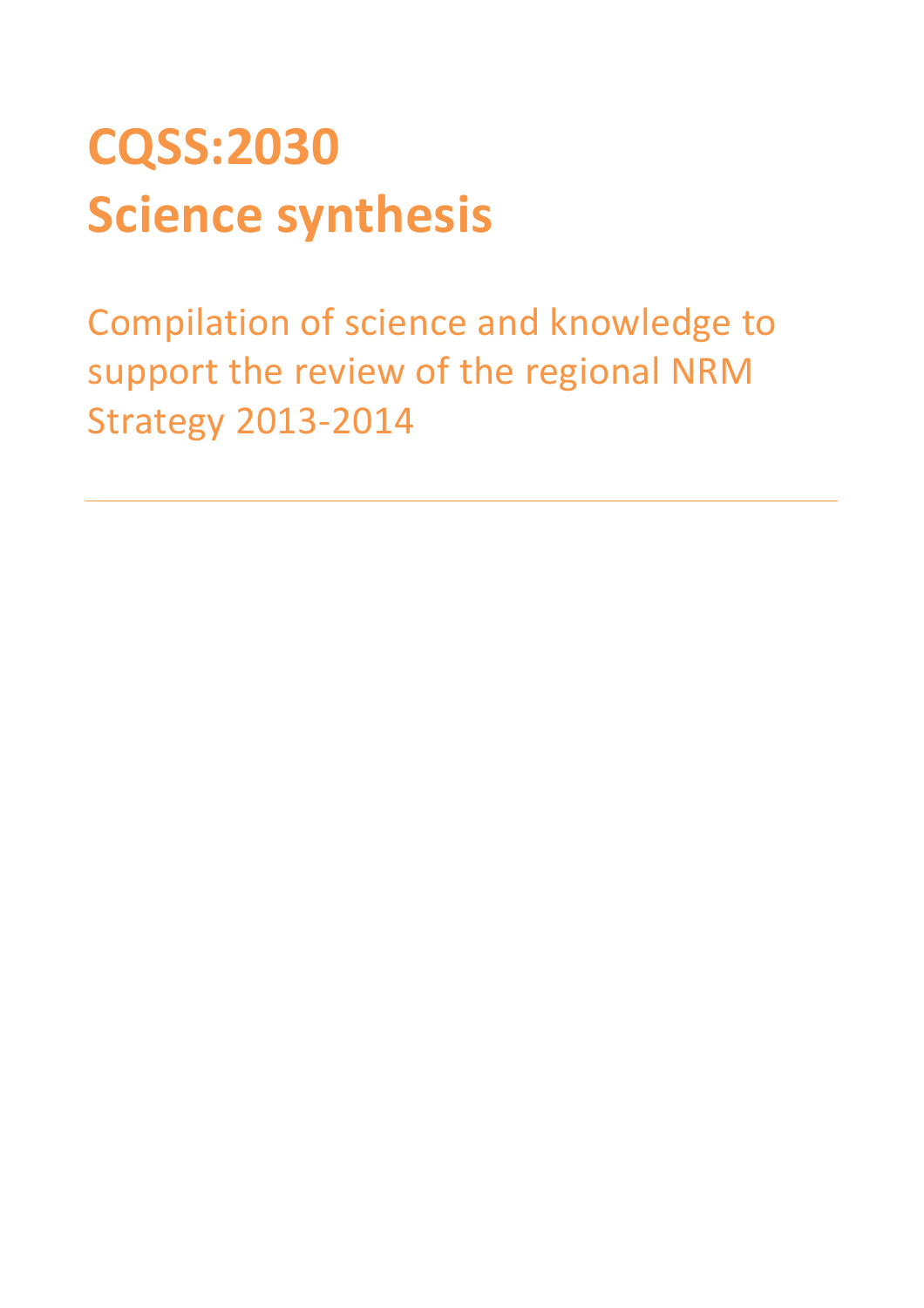# CQSS:2030 Science synthesis

Compilation of science and knowledge to support the review of the regional NRM Strategy 2013-2014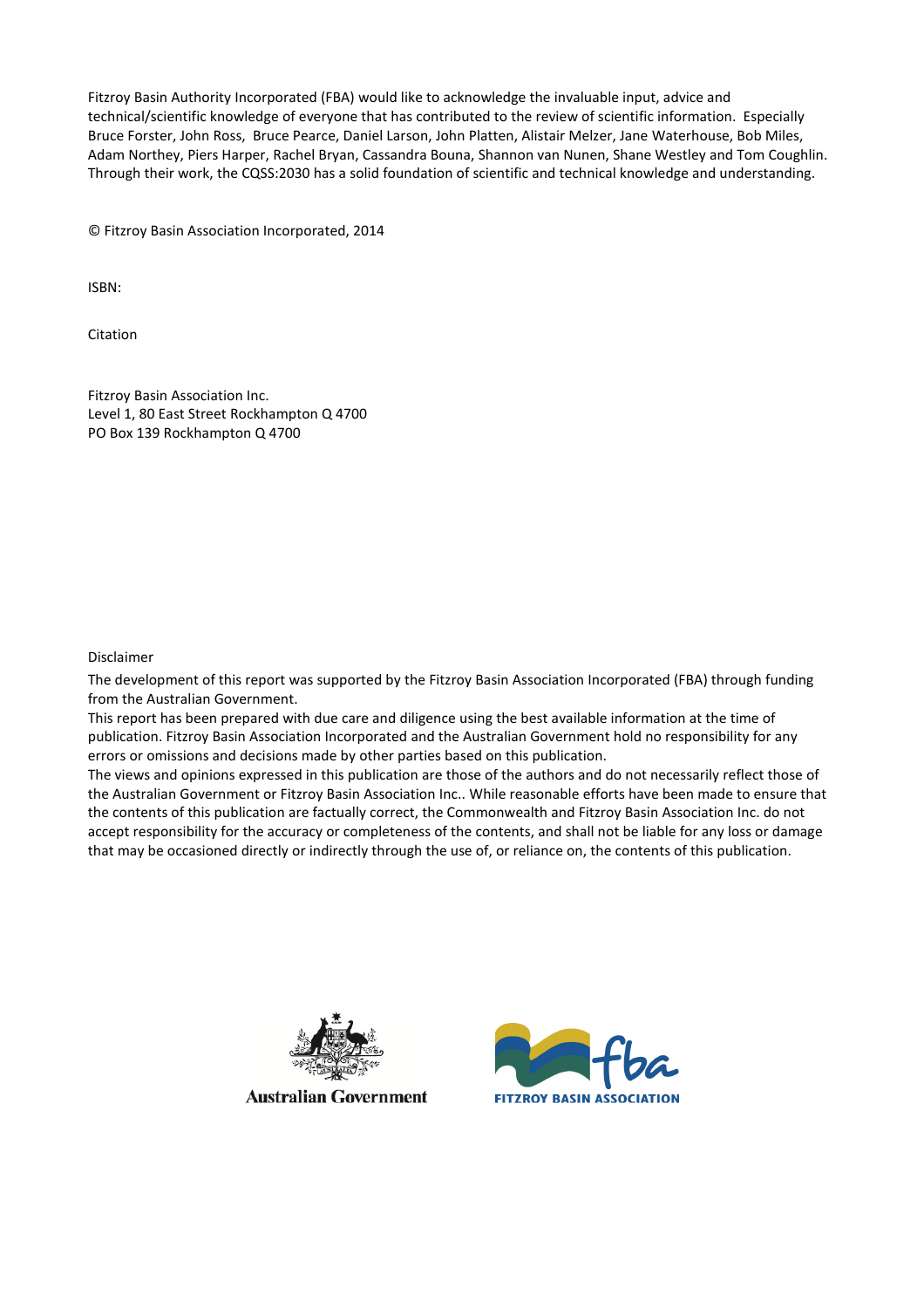Fitzroy Basin Authority Incorporated (FBA) would like to acknowledge the invaluable input, advice and technical/scientific knowledge of everyone that has contributed to the review of scientific information. Especially Bruce Forster, John Ross, Bruce Pearce, Daniel Larson, John Platten, Alistair Melzer, Jane Waterhouse, Bob Miles, Adam Northey, Piers Harper, Rachel Bryan, Cassandra Bouna, Shannon van Nunen, Shane Westley and Tom Coughlin. Through their work, the CQSS:2030 has a solid foundation of scientific and technical knowledge and understanding.

© Fitzroy Basin Association Incorporated, 2014

ISBN:

Citation

Fitzroy Basin Association Inc. Level 1, 80 East Street Rockhampton Q 4700 PO Box 139 Rockhampton Q 4700

#### Disclaimer

The development of this report was supported by the Fitzroy Basin Association Incorporated (FBA) through funding from the Australian Government.

This report has been prepared with due care and diligence using the best available information at the time of publication. Fitzroy Basin Association Incorporated and the Australian Government hold no responsibility for any errors or omissions and decisions made by other parties based on this publication.

The views and opinions expressed in this publication are those of the authors and do not necessarily reflect those of the Australian Government or Fitzroy Basin Association Inc.. While reasonable efforts have been made to ensure that the contents of this publication are factually correct, the Commonwealth and Fitzroy Basin Association Inc. do not accept responsibility for the accuracy or completeness of the contents, and shall not be liable for any loss or damage that may be occasioned directly or indirectly through the use of, or reliance on, the contents of this publication.



**Australian Government** 

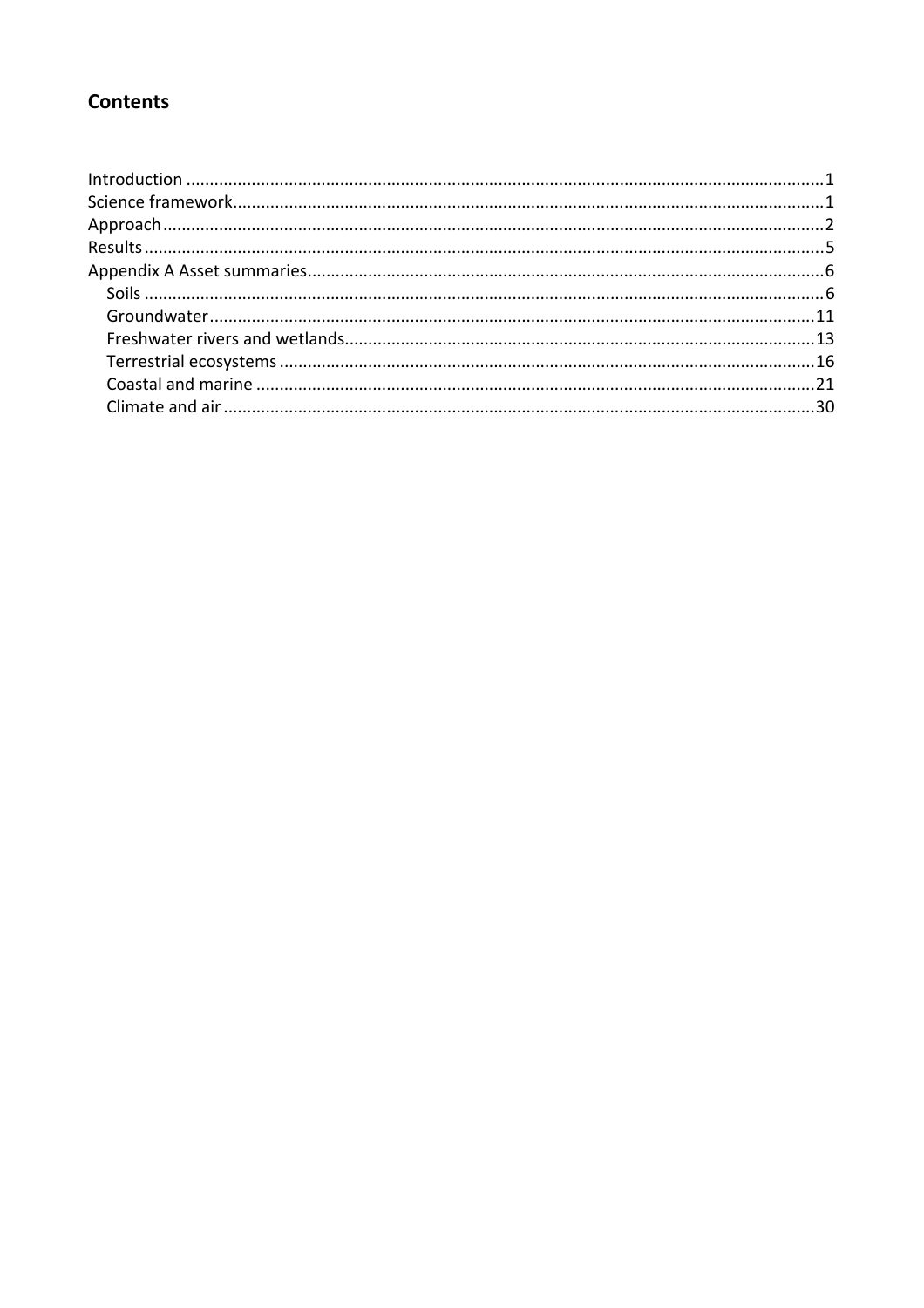# **Contents**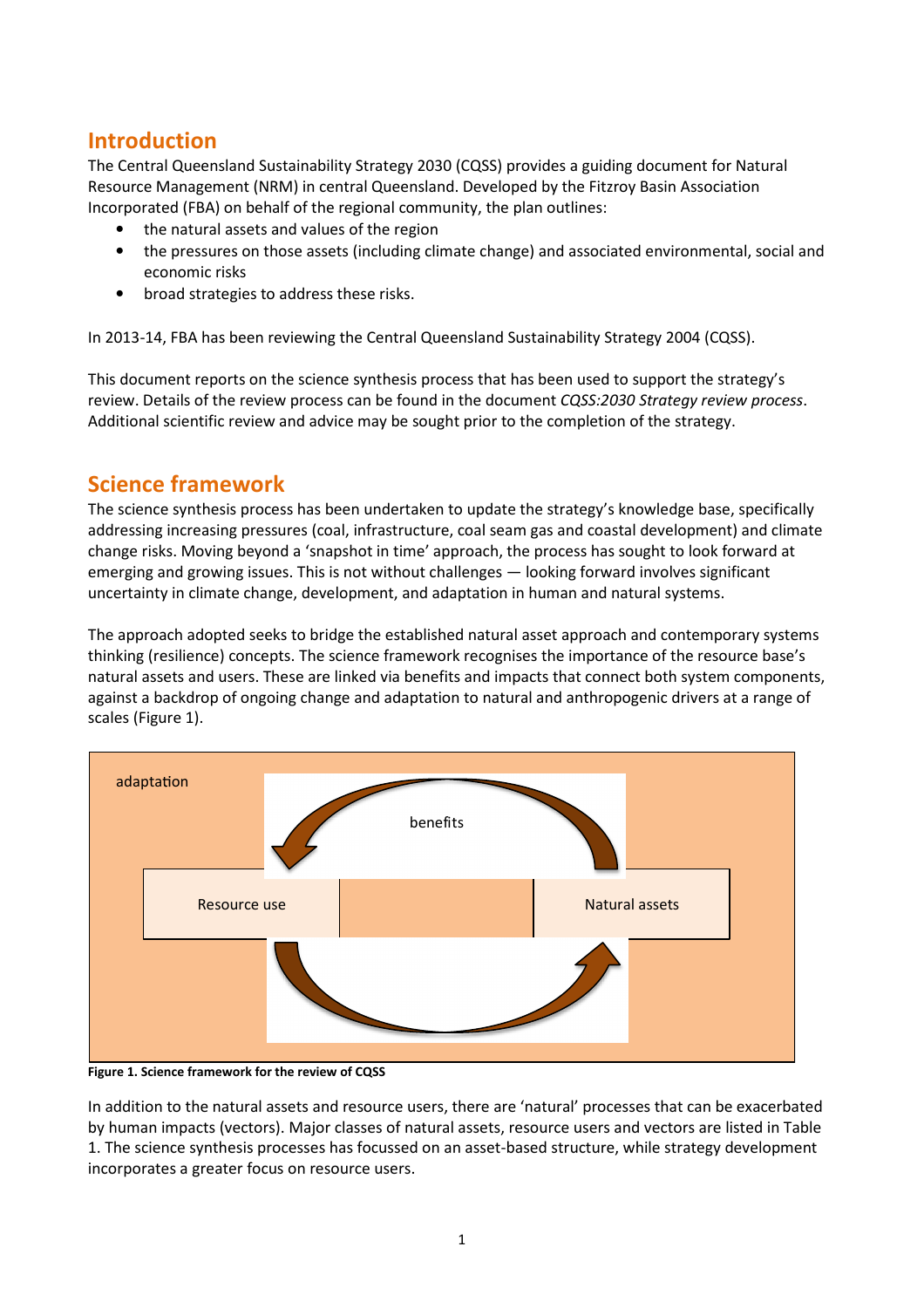# Introduction

The Central Queensland Sustainability Strategy 2030 (CQSS) provides a guiding document for Natural Resource Management (NRM) in central Queensland. Developed by the Fitzroy Basin Association Incorporated (FBA) on behalf of the regional community, the plan outlines:

- the natural assets and values of the region
- the pressures on those assets (including climate change) and associated environmental, social and economic risks
- broad strategies to address these risks.

In 2013-14, FBA has been reviewing the Central Queensland Sustainability Strategy 2004 (CQSS).

This document reports on the science synthesis process that has been used to support the strategy's review. Details of the review process can be found in the document CQSS:2030 Strategy review process. Additional scientific review and advice may be sought prior to the completion of the strategy.

# Science framework

The science synthesis process has been undertaken to update the strategy's knowledge base, specifically addressing increasing pressures (coal, infrastructure, coal seam gas and coastal development) and climate change risks. Moving beyond a 'snapshot in time' approach, the process has sought to look forward at emerging and growing issues. This is not without challenges — looking forward involves significant uncertainty in climate change, development, and adaptation in human and natural systems.

The approach adopted seeks to bridge the established natural asset approach and contemporary systems thinking (resilience) concepts. The science framework recognises the importance of the resource base's natural assets and users. These are linked via benefits and impacts that connect both system components, against a backdrop of ongoing change and adaptation to natural and anthropogenic drivers at a range of scales (Figure 1).



Figure 1. Science framework for the review of CQSS

In addition to the natural assets and resource users, there are 'natural' processes that can be exacerbated by human impacts (vectors). Major classes of natural assets, resource users and vectors are listed in Table 1. The science synthesis processes has focussed on an asset-based structure, while strategy development incorporates a greater focus on resource users.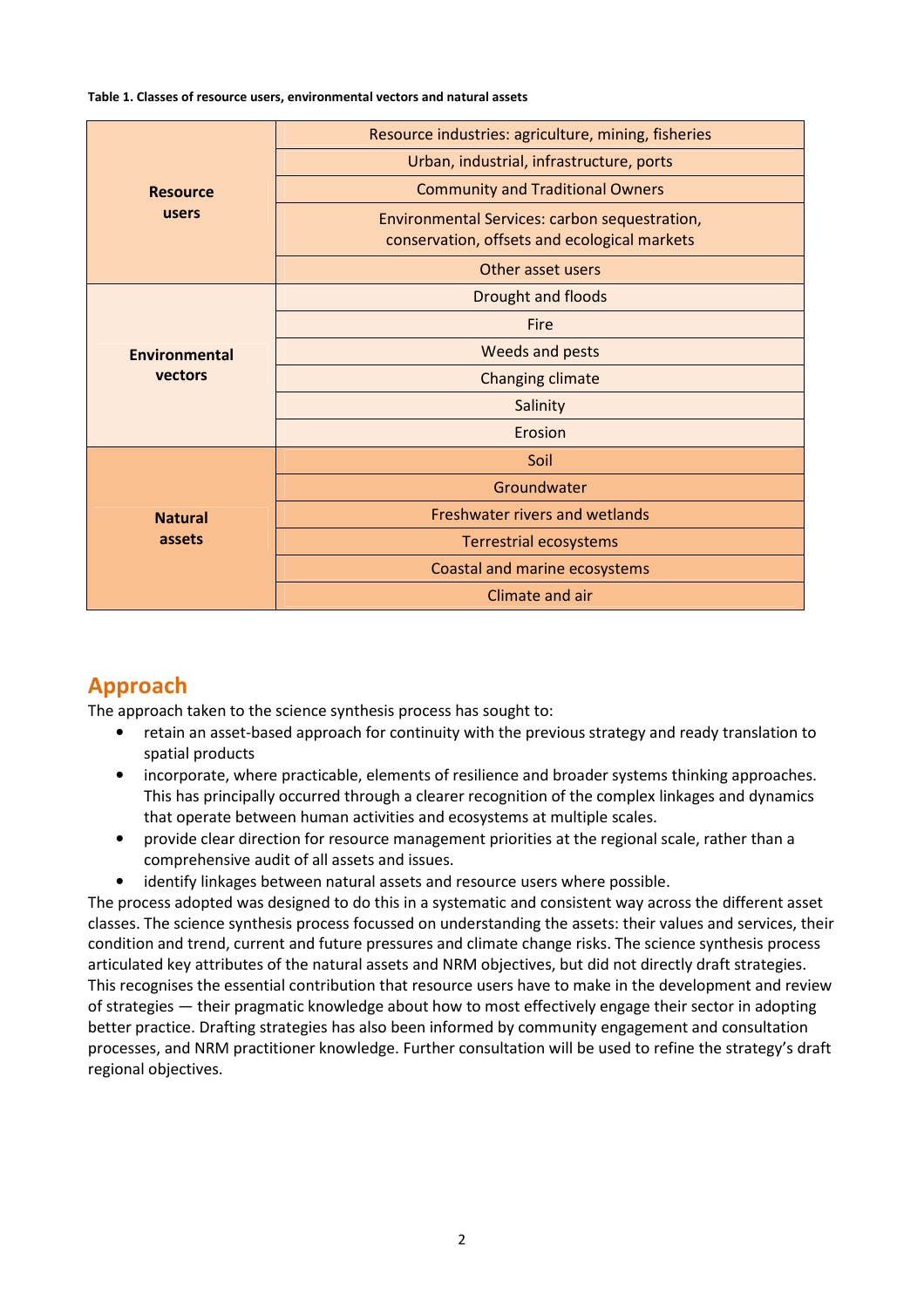Table 1. Classes of resource users, environmental vectors and natural assets

|                 | Resource industries: agriculture, mining, fisheries                                           |
|-----------------|-----------------------------------------------------------------------------------------------|
| <b>Resource</b> | Urban, industrial, infrastructure, ports                                                      |
|                 | <b>Community and Traditional Owners</b>                                                       |
| users           | Environmental Services: carbon sequestration,<br>conservation, offsets and ecological markets |
|                 | Other asset users                                                                             |
|                 | Drought and floods                                                                            |
|                 | Fire                                                                                          |
| Environmental   | Weeds and pests                                                                               |
| vectors         | Changing climate                                                                              |
|                 | Salinity                                                                                      |
|                 | Erosion                                                                                       |
|                 | Soil                                                                                          |
|                 | Groundwater                                                                                   |
| <b>Natural</b>  | Freshwater rivers and wetlands                                                                |
| assets          | Terrestrial ecosystems                                                                        |
|                 | Coastal and marine ecosystems                                                                 |
|                 | Climate and air                                                                               |

# Approach

The approach taken to the science synthesis process has sought to:

- retain an asset-based approach for continuity with the previous strategy and ready translation to spatial products
- incorporate, where practicable, elements of resilience and broader systems thinking approaches. This has principally occurred through a clearer recognition of the complex linkages and dynamics that operate between human activities and ecosystems at multiple scales.
- provide clear direction for resource management priorities at the regional scale, rather than a comprehensive audit of all assets and issues.
- identify linkages between natural assets and resource users where possible.

The process adopted was designed to do this in a systematic and consistent way across the different asset classes. The science synthesis process focussed on understanding the assets: their values and services, their condition and trend, current and future pressures and climate change risks. The science synthesis process articulated key attributes of the natural assets and NRM objectives, but did not directly draft strategies. This recognises the essential contribution that resource users have to make in the development and review of strategies — their pragmatic knowledge about how to most effectively engage their sector in adopting better practice. Drafting strategies has also been informed by community engagement and consultation processes, and NRM practitioner knowledge. Further consultation will be used to refine the strategy's draft regional objectives.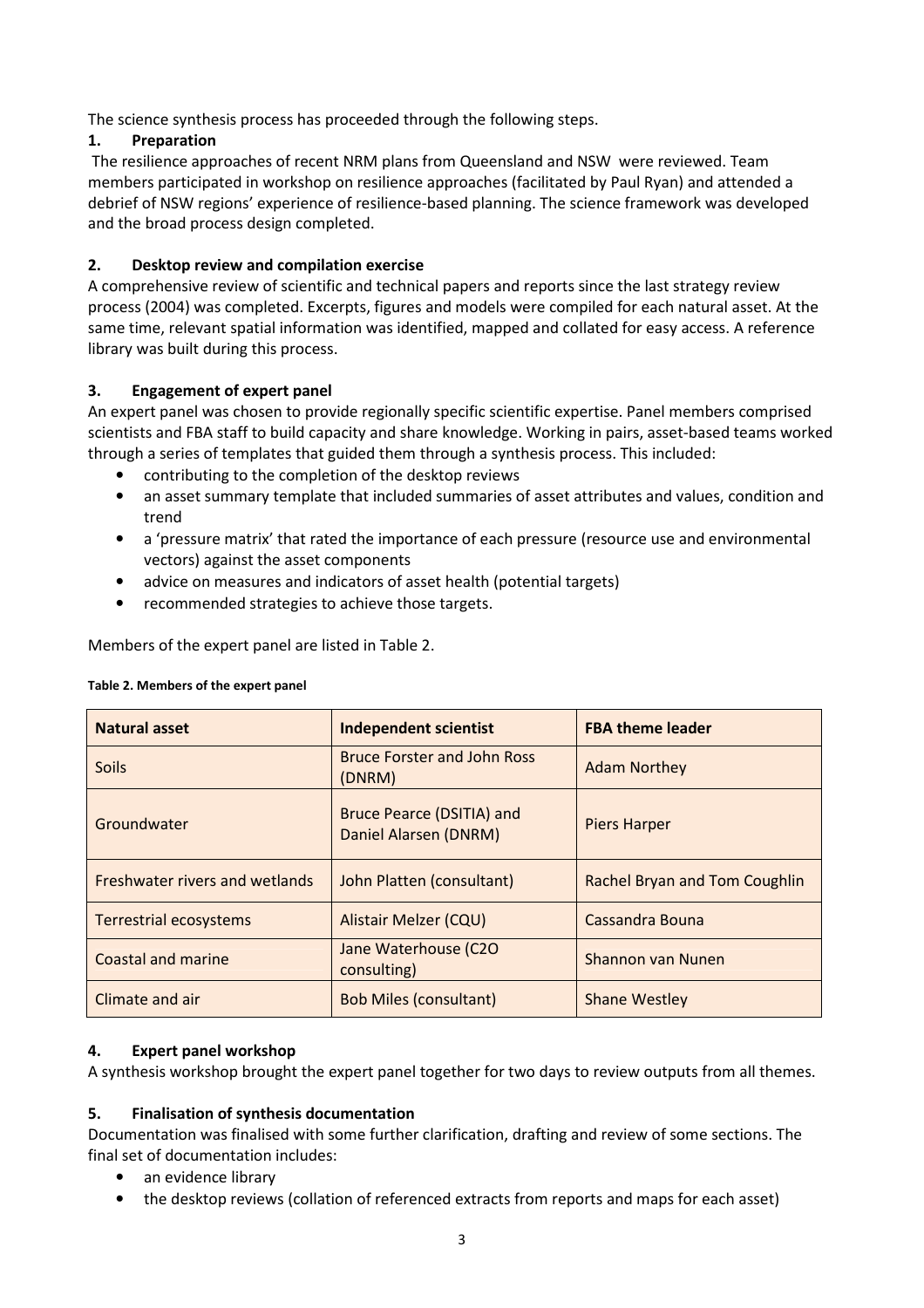The science synthesis process has proceeded through the following steps.

#### 1. Preparation

 The resilience approaches of recent NRM plans from Queensland and NSW were reviewed. Team members participated in workshop on resilience approaches (facilitated by Paul Ryan) and attended a debrief of NSW regions' experience of resilience-based planning. The science framework was developed and the broad process design completed.

#### 2. Desktop review and compilation exercise

A comprehensive review of scientific and technical papers and reports since the last strategy review process (2004) was completed. Excerpts, figures and models were compiled for each natural asset. At the same time, relevant spatial information was identified, mapped and collated for easy access. A reference library was built during this process.

#### 3. Engagement of expert panel

An expert panel was chosen to provide regionally specific scientific expertise. Panel members comprised scientists and FBA staff to build capacity and share knowledge. Working in pairs, asset-based teams worked through a series of templates that guided them through a synthesis process. This included:

- contributing to the completion of the desktop reviews
- an asset summary template that included summaries of asset attributes and values, condition and trend
- a 'pressure matrix' that rated the importance of each pressure (resource use and environmental vectors) against the asset components
- advice on measures and indicators of asset health (potential targets)
- recommended strategies to achieve those targets.

Members of the expert panel are listed in Table 2.

#### Table 2. Members of the expert panel

| <b>Natural asset</b>                  | <b>Independent scientist</b>                       | <b>FBA theme leader</b>              |
|---------------------------------------|----------------------------------------------------|--------------------------------------|
| <b>Soils</b>                          | <b>Bruce Forster and John Ross</b><br>(DNRM)       | <b>Adam Northey</b>                  |
| Groundwater                           | Bruce Pearce (DSITIA) and<br>Daniel Alarsen (DNRM) | <b>Piers Harper</b>                  |
| <b>Freshwater rivers and wetlands</b> | John Platten (consultant)                          | <b>Rachel Bryan and Tom Coughlin</b> |
| Terrestrial ecosystems                | Alistair Melzer (CQU)                              | Cassandra Bouna                      |
| Coastal and marine                    | Jane Waterhouse (C2O<br>consulting)                | Shannon van Nunen                    |
| Climate and air                       | <b>Bob Miles (consultant)</b>                      | <b>Shane Westley</b>                 |

#### 4. Expert panel workshop

A synthesis workshop brought the expert panel together for two days to review outputs from all themes.

#### 5. Finalisation of synthesis documentation

Documentation was finalised with some further clarification, drafting and review of some sections. The final set of documentation includes:

- an evidence library
- the desktop reviews (collation of referenced extracts from reports and maps for each asset)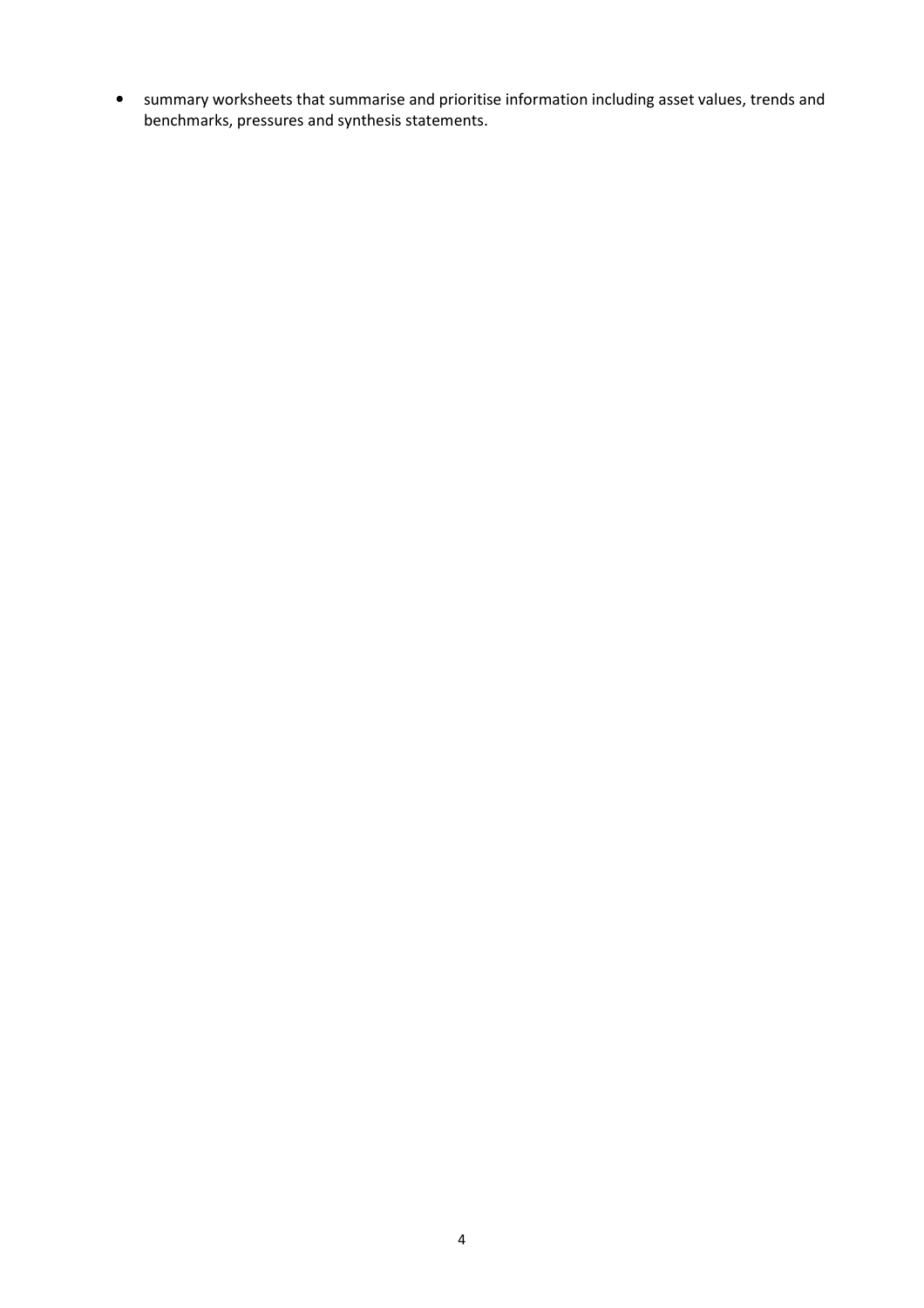• summary worksheets that summarise and prioritise information including asset values, trends and benchmarks, pressures and synthesis statements.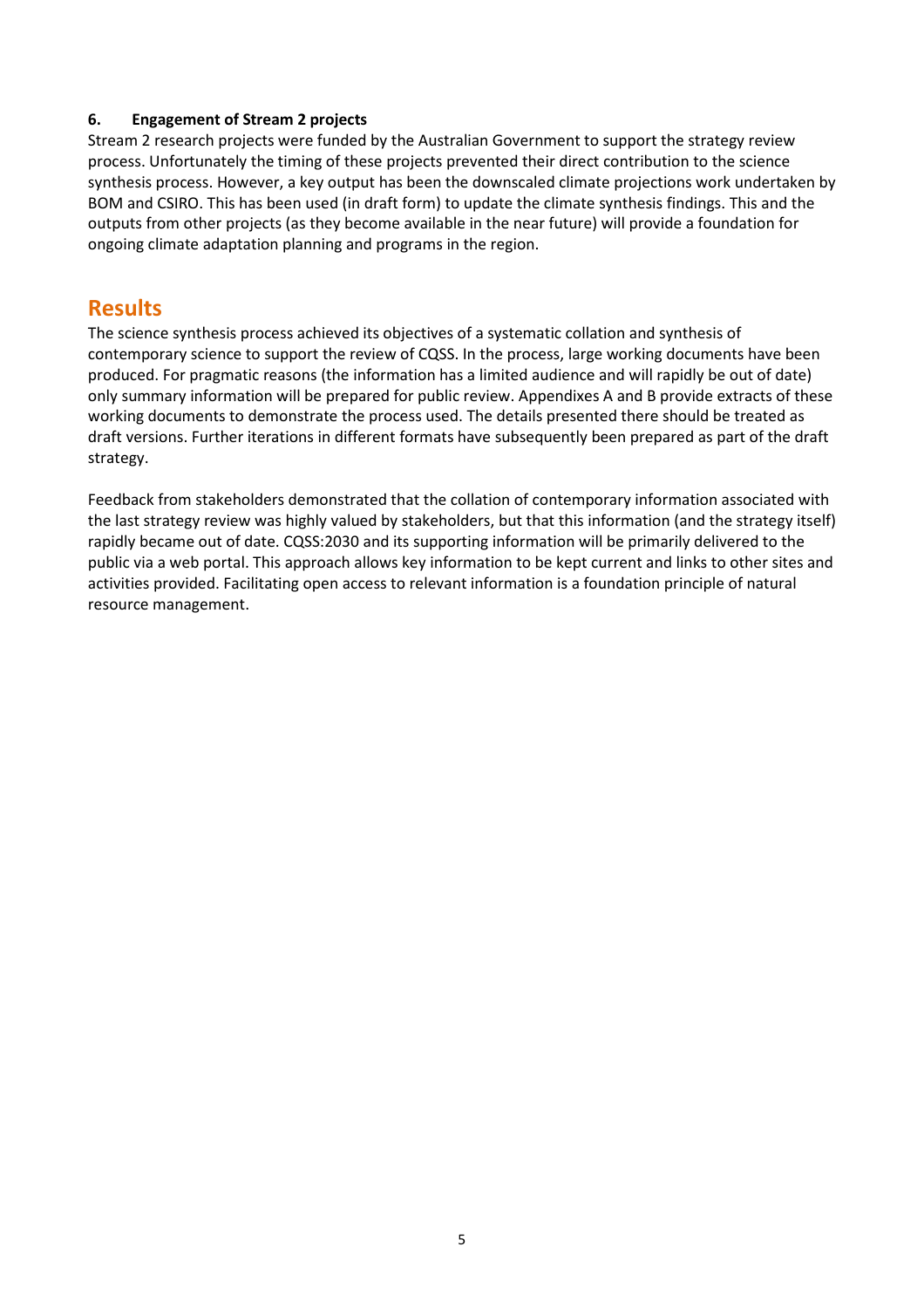#### 6. Engagement of Stream 2 projects

Stream 2 research projects were funded by the Australian Government to support the strategy review process. Unfortunately the timing of these projects prevented their direct contribution to the science synthesis process. However, a key output has been the downscaled climate projections work undertaken by BOM and CSIRO. This has been used (in draft form) to update the climate synthesis findings. This and the outputs from other projects (as they become available in the near future) will provide a foundation for ongoing climate adaptation planning and programs in the region.

## Results

The science synthesis process achieved its objectives of a systematic collation and synthesis of contemporary science to support the review of CQSS. In the process, large working documents have been produced. For pragmatic reasons (the information has a limited audience and will rapidly be out of date) only summary information will be prepared for public review. Appendixes A and B provide extracts of these working documents to demonstrate the process used. The details presented there should be treated as draft versions. Further iterations in different formats have subsequently been prepared as part of the draft strategy.

Feedback from stakeholders demonstrated that the collation of contemporary information associated with the last strategy review was highly valued by stakeholders, but that this information (and the strategy itself) rapidly became out of date. CQSS:2030 and its supporting information will be primarily delivered to the public via a web portal. This approach allows key information to be kept current and links to other sites and activities provided. Facilitating open access to relevant information is a foundation principle of natural resource management.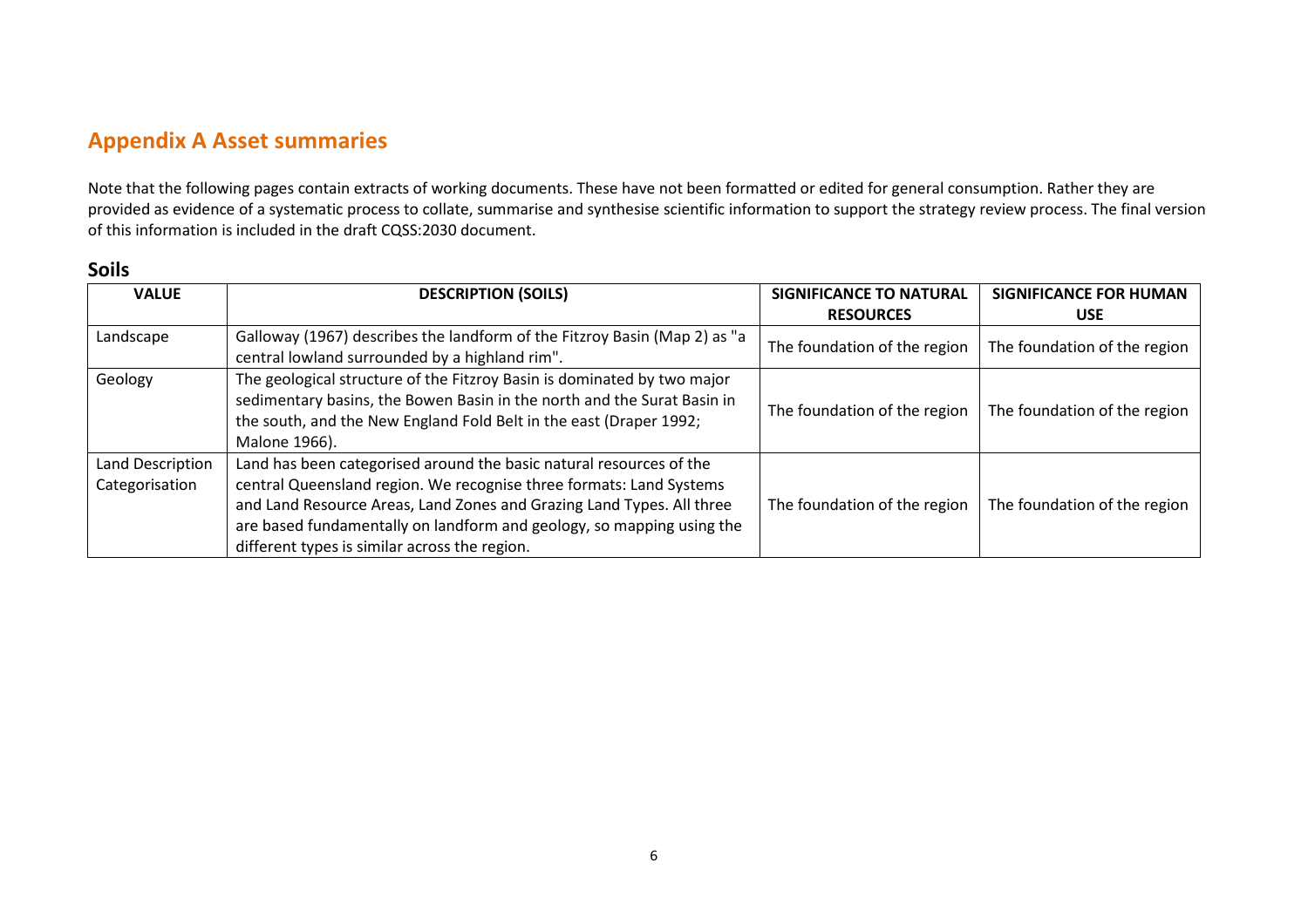# Appendix A Asset summaries

Note that the following pages contain extracts of working documents. These have not been formatted or edited for general consumption. Rather they are provided as evidence of a systematic process to collate, summarise and synthesise scientific information to support the strategy review process. The final version of this information is included in the draft CQSS:2030 document.

#### Soils

| <b>VALUE</b>                       | <b>DESCRIPTION (SOILS)</b>                                                                                                                                                                                                                                                                                                                    | <b>SIGNIFICANCE TO NATURAL</b><br><b>RESOURCES</b> | <b>SIGNIFICANCE FOR HUMAN</b><br><b>USE</b> |
|------------------------------------|-----------------------------------------------------------------------------------------------------------------------------------------------------------------------------------------------------------------------------------------------------------------------------------------------------------------------------------------------|----------------------------------------------------|---------------------------------------------|
| Landscape                          | Galloway (1967) describes the landform of the Fitzroy Basin (Map 2) as "a<br>central lowland surrounded by a highland rim".                                                                                                                                                                                                                   | The foundation of the region                       | The foundation of the region                |
| Geology                            | The geological structure of the Fitzroy Basin is dominated by two major<br>sedimentary basins, the Bowen Basin in the north and the Surat Basin in<br>the south, and the New England Fold Belt in the east (Draper 1992;<br>Malone 1966).                                                                                                     | The foundation of the region                       | The foundation of the region                |
| Land Description<br>Categorisation | Land has been categorised around the basic natural resources of the<br>central Queensland region. We recognise three formats: Land Systems<br>and Land Resource Areas, Land Zones and Grazing Land Types. All three<br>are based fundamentally on landform and geology, so mapping using the<br>different types is similar across the region. | The foundation of the region                       | The foundation of the region                |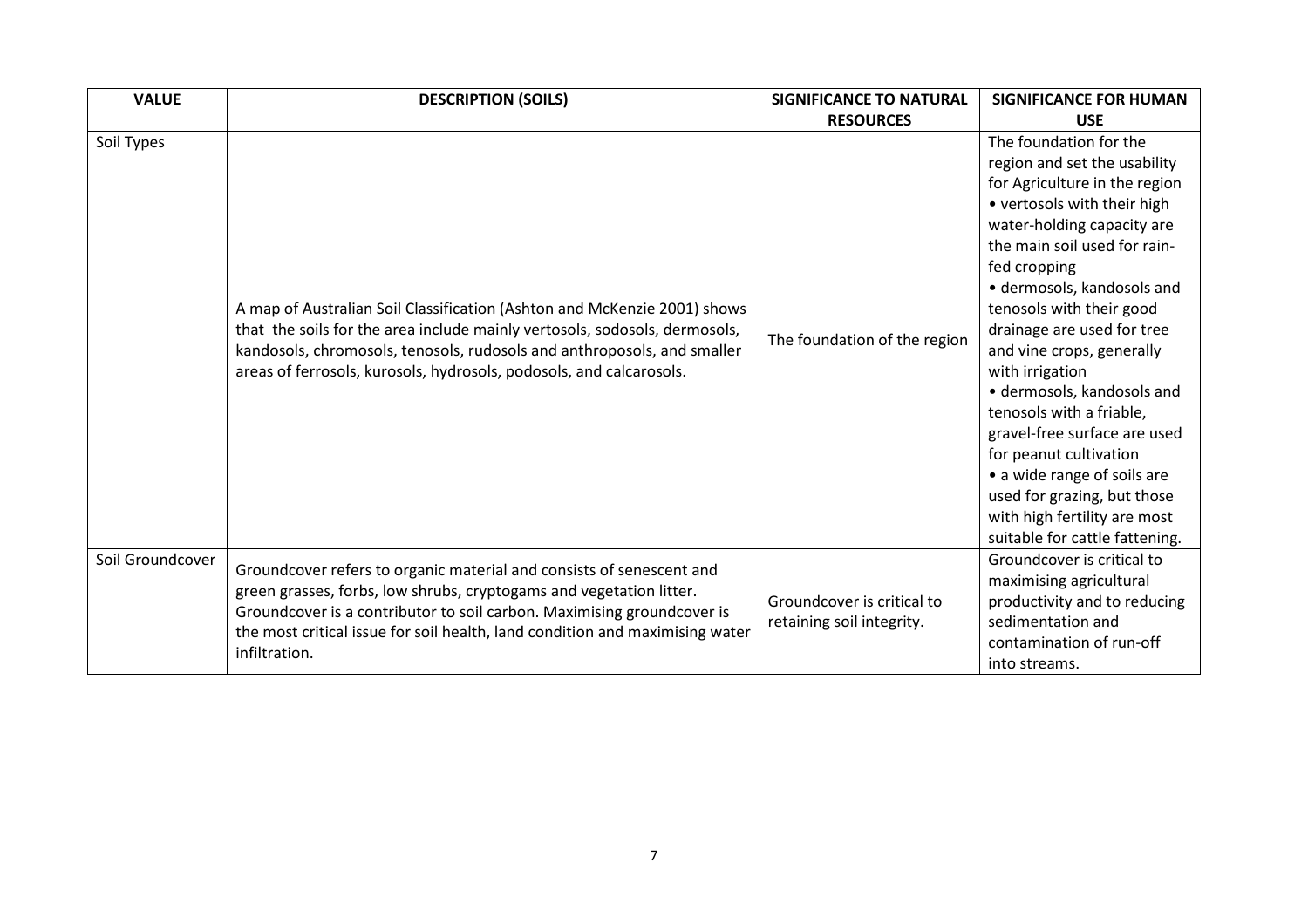| <b>VALUE</b>     | <b>DESCRIPTION (SOILS)</b>                                                                                                                                                                                                                                                                                             | <b>SIGNIFICANCE TO NATURAL</b>                          | <b>SIGNIFICANCE FOR HUMAN</b>                                                                                                                                                                                                                                                                                                                                                                                                                                                                                                                                                                    |
|------------------|------------------------------------------------------------------------------------------------------------------------------------------------------------------------------------------------------------------------------------------------------------------------------------------------------------------------|---------------------------------------------------------|--------------------------------------------------------------------------------------------------------------------------------------------------------------------------------------------------------------------------------------------------------------------------------------------------------------------------------------------------------------------------------------------------------------------------------------------------------------------------------------------------------------------------------------------------------------------------------------------------|
|                  |                                                                                                                                                                                                                                                                                                                        | <b>RESOURCES</b>                                        | <b>USE</b>                                                                                                                                                                                                                                                                                                                                                                                                                                                                                                                                                                                       |
| Soil Types       | A map of Australian Soil Classification (Ashton and McKenzie 2001) shows<br>that the soils for the area include mainly vertosols, sodosols, dermosols,<br>kandosols, chromosols, tenosols, rudosols and anthroposols, and smaller<br>areas of ferrosols, kurosols, hydrosols, podosols, and calcarosols.               | The foundation of the region                            | The foundation for the<br>region and set the usability<br>for Agriculture in the region<br>• vertosols with their high<br>water-holding capacity are<br>the main soil used for rain-<br>fed cropping<br>· dermosols, kandosols and<br>tenosols with their good<br>drainage are used for tree<br>and vine crops, generally<br>with irrigation<br>· dermosols, kandosols and<br>tenosols with a friable,<br>gravel-free surface are used<br>for peanut cultivation<br>• a wide range of soils are<br>used for grazing, but those<br>with high fertility are most<br>suitable for cattle fattening. |
| Soil Groundcover | Groundcover refers to organic material and consists of senescent and<br>green grasses, forbs, low shrubs, cryptogams and vegetation litter.<br>Groundcover is a contributor to soil carbon. Maximising groundcover is<br>the most critical issue for soil health, land condition and maximising water<br>infiltration. | Groundcover is critical to<br>retaining soil integrity. | Groundcover is critical to<br>maximising agricultural<br>productivity and to reducing<br>sedimentation and<br>contamination of run-off<br>into streams.                                                                                                                                                                                                                                                                                                                                                                                                                                          |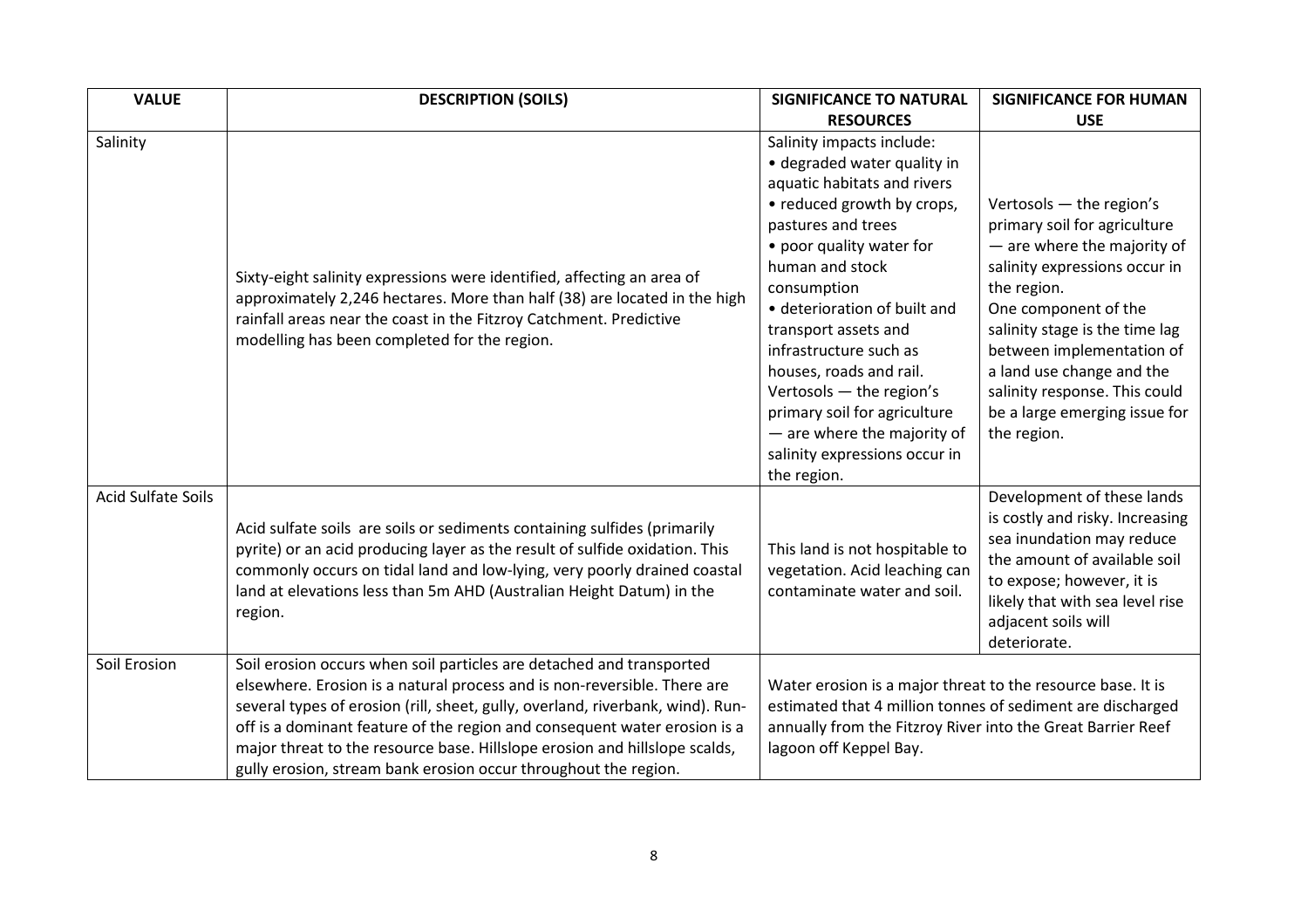| <b>VALUE</b>              | <b>DESCRIPTION (SOILS)</b>                                                                                                                                                                                                                                                                                                                                                                                                                                       | <b>SIGNIFICANCE TO NATURAL</b>                                                                                                                                                                                                                                                                                                                                                                                                                                    | <b>SIGNIFICANCE FOR HUMAN</b>                                                                                                                                                                                                                                                                                                                |
|---------------------------|------------------------------------------------------------------------------------------------------------------------------------------------------------------------------------------------------------------------------------------------------------------------------------------------------------------------------------------------------------------------------------------------------------------------------------------------------------------|-------------------------------------------------------------------------------------------------------------------------------------------------------------------------------------------------------------------------------------------------------------------------------------------------------------------------------------------------------------------------------------------------------------------------------------------------------------------|----------------------------------------------------------------------------------------------------------------------------------------------------------------------------------------------------------------------------------------------------------------------------------------------------------------------------------------------|
|                           |                                                                                                                                                                                                                                                                                                                                                                                                                                                                  | <b>RESOURCES</b>                                                                                                                                                                                                                                                                                                                                                                                                                                                  | <b>USE</b>                                                                                                                                                                                                                                                                                                                                   |
| Salinity                  | Sixty-eight salinity expressions were identified, affecting an area of<br>approximately 2,246 hectares. More than half (38) are located in the high<br>rainfall areas near the coast in the Fitzroy Catchment. Predictive<br>modelling has been completed for the region.                                                                                                                                                                                        | Salinity impacts include:<br>· degraded water quality in<br>aquatic habitats and rivers<br>• reduced growth by crops,<br>pastures and trees<br>• poor quality water for<br>human and stock<br>consumption<br>• deterioration of built and<br>transport assets and<br>infrastructure such as<br>houses, roads and rail.<br>Vertosols - the region's<br>primary soil for agriculture<br>- are where the majority of<br>salinity expressions occur in<br>the region. | Vertosols - the region's<br>primary soil for agriculture<br>- are where the majority of<br>salinity expressions occur in<br>the region.<br>One component of the<br>salinity stage is the time lag<br>between implementation of<br>a land use change and the<br>salinity response. This could<br>be a large emerging issue for<br>the region. |
| <b>Acid Sulfate Soils</b> | Acid sulfate soils are soils or sediments containing sulfides (primarily<br>pyrite) or an acid producing layer as the result of sulfide oxidation. This<br>commonly occurs on tidal land and low-lying, very poorly drained coastal<br>land at elevations less than 5m AHD (Australian Height Datum) in the<br>region.                                                                                                                                           | This land is not hospitable to<br>vegetation. Acid leaching can<br>contaminate water and soil.                                                                                                                                                                                                                                                                                                                                                                    | Development of these lands<br>is costly and risky. Increasing<br>sea inundation may reduce<br>the amount of available soil<br>to expose; however, it is<br>likely that with sea level rise<br>adjacent soils will<br>deteriorate.                                                                                                            |
| Soil Erosion              | Soil erosion occurs when soil particles are detached and transported<br>elsewhere. Erosion is a natural process and is non-reversible. There are<br>several types of erosion (rill, sheet, gully, overland, riverbank, wind). Run-<br>off is a dominant feature of the region and consequent water erosion is a<br>major threat to the resource base. Hillslope erosion and hillslope scalds,<br>gully erosion, stream bank erosion occur throughout the region. | Water erosion is a major threat to the resource base. It is<br>estimated that 4 million tonnes of sediment are discharged<br>annually from the Fitzroy River into the Great Barrier Reef<br>lagoon off Keppel Bay.                                                                                                                                                                                                                                                |                                                                                                                                                                                                                                                                                                                                              |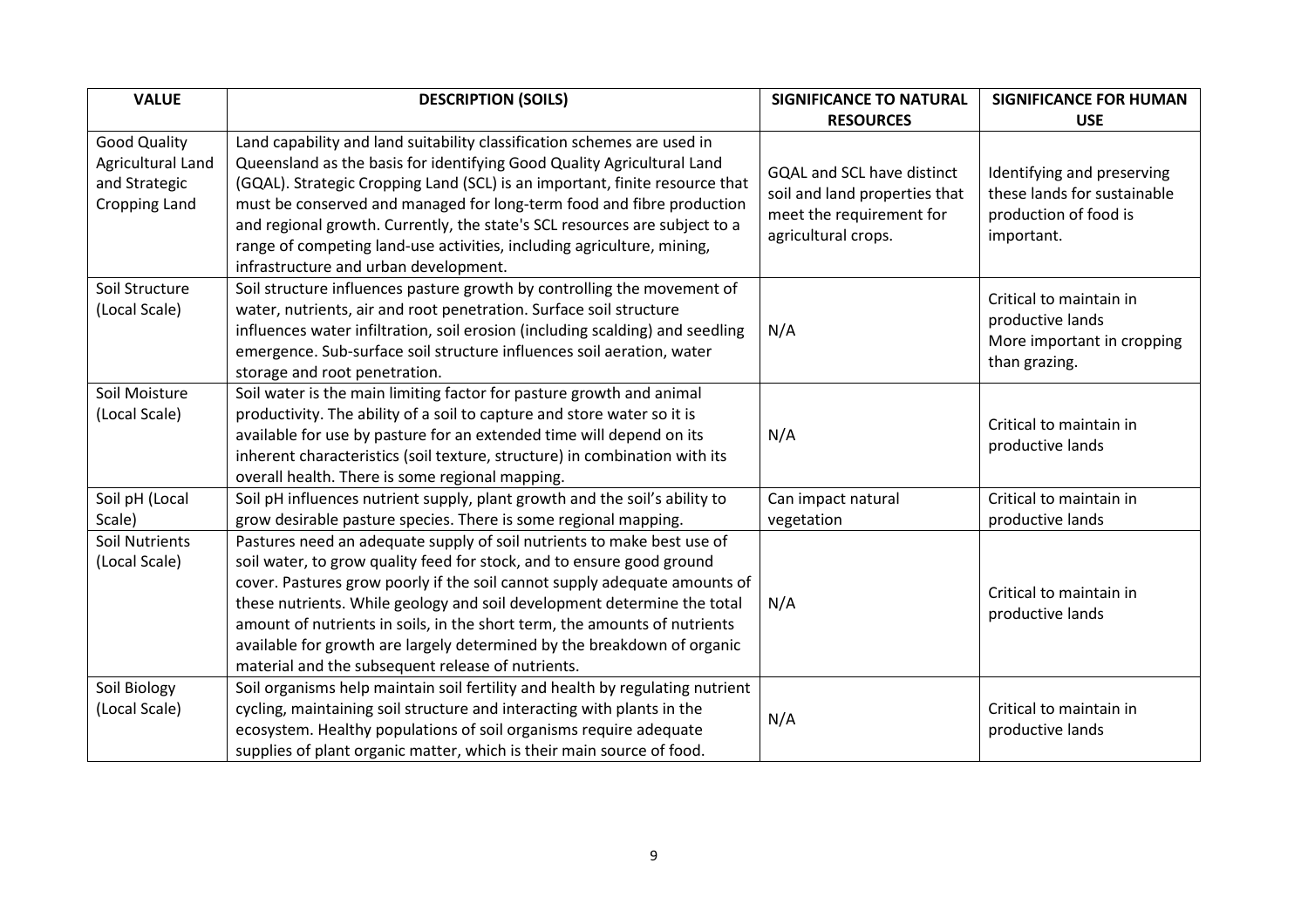| <b>VALUE</b>                                                               | <b>DESCRIPTION (SOILS)</b>                                                                                                                                                                                                                                                                                                                                                                                                                                                                                           | <b>SIGNIFICANCE TO NATURAL</b>                                                                                        | <b>SIGNIFICANCE FOR HUMAN</b>                                                                    |
|----------------------------------------------------------------------------|----------------------------------------------------------------------------------------------------------------------------------------------------------------------------------------------------------------------------------------------------------------------------------------------------------------------------------------------------------------------------------------------------------------------------------------------------------------------------------------------------------------------|-----------------------------------------------------------------------------------------------------------------------|--------------------------------------------------------------------------------------------------|
|                                                                            |                                                                                                                                                                                                                                                                                                                                                                                                                                                                                                                      | <b>RESOURCES</b>                                                                                                      | <b>USE</b>                                                                                       |
| <b>Good Quality</b><br>Agricultural Land<br>and Strategic<br>Cropping Land | Land capability and land suitability classification schemes are used in<br>Queensland as the basis for identifying Good Quality Agricultural Land<br>(GQAL). Strategic Cropping Land (SCL) is an important, finite resource that<br>must be conserved and managed for long-term food and fibre production<br>and regional growth. Currently, the state's SCL resources are subject to a<br>range of competing land-use activities, including agriculture, mining,<br>infrastructure and urban development.           | <b>GQAL and SCL have distinct</b><br>soil and land properties that<br>meet the requirement for<br>agricultural crops. | Identifying and preserving<br>these lands for sustainable<br>production of food is<br>important. |
| Soil Structure<br>(Local Scale)                                            | Soil structure influences pasture growth by controlling the movement of<br>water, nutrients, air and root penetration. Surface soil structure<br>influences water infiltration, soil erosion (including scalding) and seedling<br>emergence. Sub-surface soil structure influences soil aeration, water<br>storage and root penetration.                                                                                                                                                                             | N/A                                                                                                                   | Critical to maintain in<br>productive lands<br>More important in cropping<br>than grazing.       |
| Soil Moisture<br>(Local Scale)                                             | Soil water is the main limiting factor for pasture growth and animal<br>productivity. The ability of a soil to capture and store water so it is<br>available for use by pasture for an extended time will depend on its<br>inherent characteristics (soil texture, structure) in combination with its<br>overall health. There is some regional mapping.                                                                                                                                                             | N/A                                                                                                                   | Critical to maintain in<br>productive lands                                                      |
| Soil pH (Local<br>Scale)                                                   | Soil pH influences nutrient supply, plant growth and the soil's ability to<br>grow desirable pasture species. There is some regional mapping.                                                                                                                                                                                                                                                                                                                                                                        | Can impact natural<br>vegetation                                                                                      | Critical to maintain in<br>productive lands                                                      |
| <b>Soil Nutrients</b><br>(Local Scale)                                     | Pastures need an adequate supply of soil nutrients to make best use of<br>soil water, to grow quality feed for stock, and to ensure good ground<br>cover. Pastures grow poorly if the soil cannot supply adequate amounts of<br>these nutrients. While geology and soil development determine the total<br>amount of nutrients in soils, in the short term, the amounts of nutrients<br>available for growth are largely determined by the breakdown of organic<br>material and the subsequent release of nutrients. | N/A                                                                                                                   | Critical to maintain in<br>productive lands                                                      |
| Soil Biology<br>(Local Scale)                                              | Soil organisms help maintain soil fertility and health by regulating nutrient<br>cycling, maintaining soil structure and interacting with plants in the<br>ecosystem. Healthy populations of soil organisms require adequate<br>supplies of plant organic matter, which is their main source of food.                                                                                                                                                                                                                | N/A                                                                                                                   | Critical to maintain in<br>productive lands                                                      |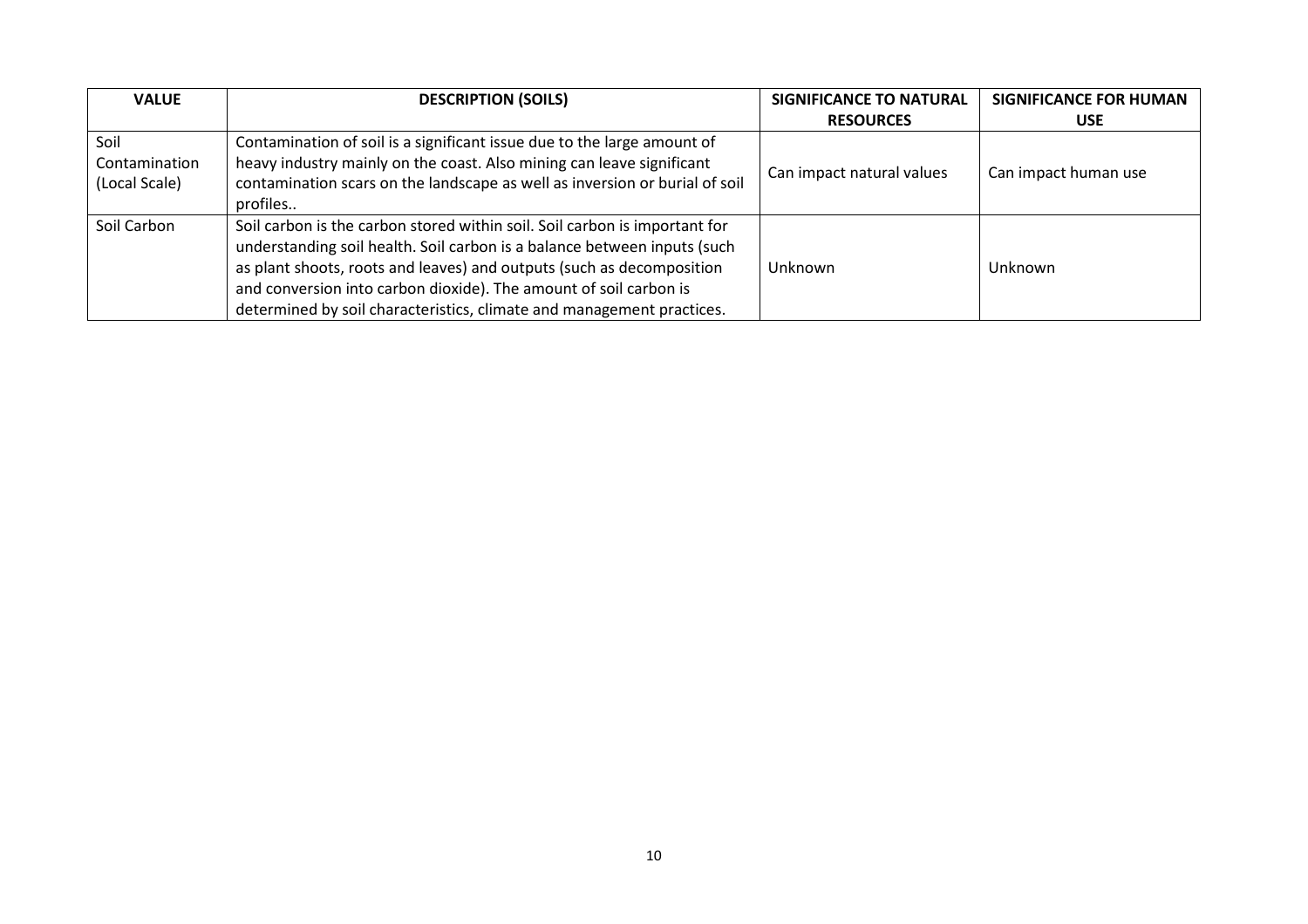| <b>VALUE</b>  | <b>DESCRIPTION (SOILS)</b>                                                  | <b>SIGNIFICANCE TO NATURAL</b> | <b>SIGNIFICANCE FOR HUMAN</b> |
|---------------|-----------------------------------------------------------------------------|--------------------------------|-------------------------------|
|               |                                                                             | <b>RESOURCES</b>               | <b>USE</b>                    |
| Soil          | Contamination of soil is a significant issue due to the large amount of     |                                |                               |
| Contamination | heavy industry mainly on the coast. Also mining can leave significant       | Can impact natural values      | Can impact human use          |
| (Local Scale) | contamination scars on the landscape as well as inversion or burial of soil |                                |                               |
|               | profiles                                                                    |                                |                               |
| Soil Carbon   | Soil carbon is the carbon stored within soil. Soil carbon is important for  |                                |                               |
|               | understanding soil health. Soil carbon is a balance between inputs (such    |                                |                               |
|               | as plant shoots, roots and leaves) and outputs (such as decomposition       | Unknown                        | Unknown                       |
|               | and conversion into carbon dioxide). The amount of soil carbon is           |                                |                               |
|               | determined by soil characteristics, climate and management practices.       |                                |                               |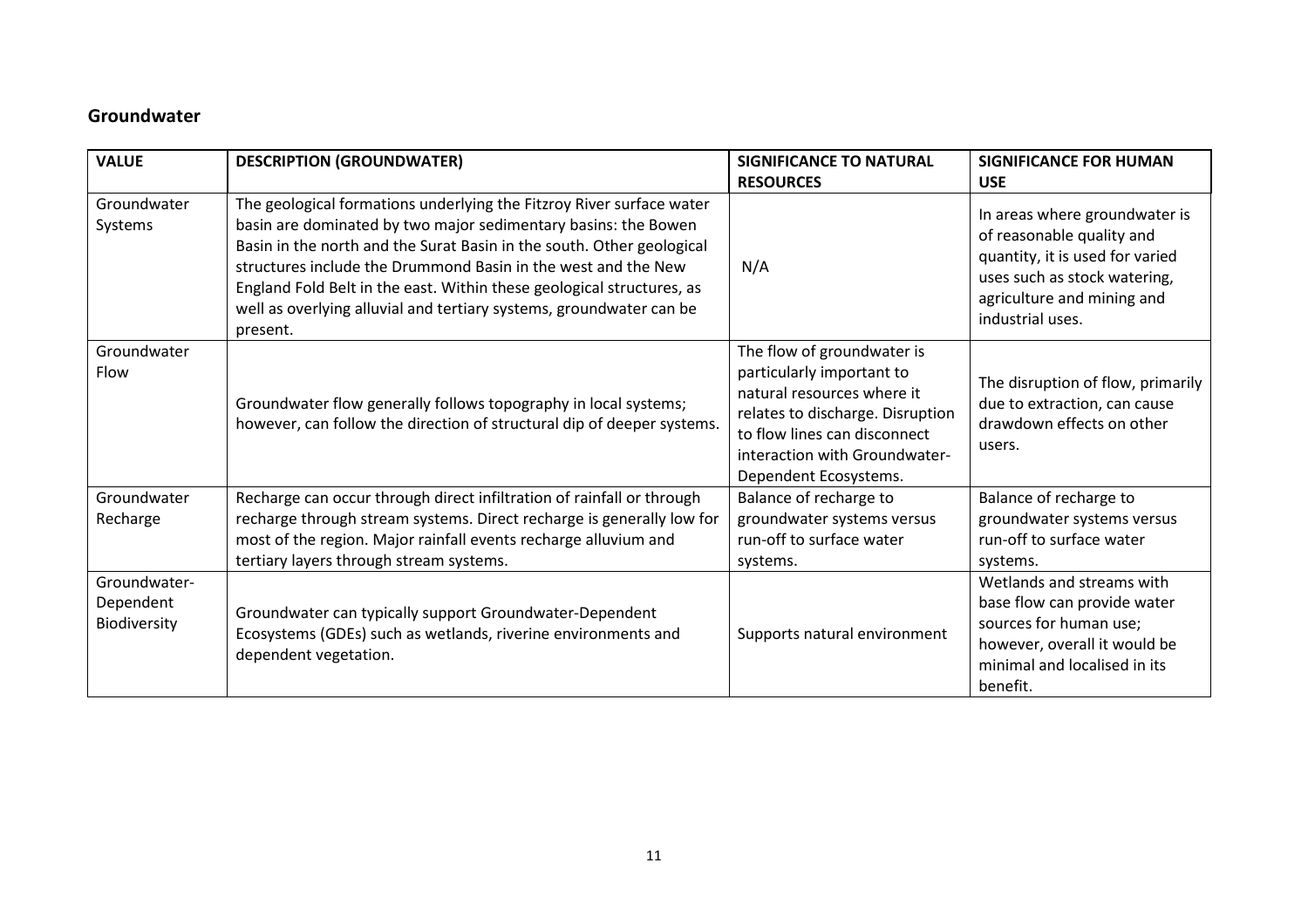## Groundwater

| <b>VALUE</b>                              | <b>DESCRIPTION (GROUNDWATER)</b>                                                                                                                                                                                                                                                                                                                                                                                                             | <b>SIGNIFICANCE TO NATURAL</b><br><b>RESOURCES</b>                                                                                                                                                                  | <b>SIGNIFICANCE FOR HUMAN</b><br><b>USE</b>                                                                                                                                     |
|-------------------------------------------|----------------------------------------------------------------------------------------------------------------------------------------------------------------------------------------------------------------------------------------------------------------------------------------------------------------------------------------------------------------------------------------------------------------------------------------------|---------------------------------------------------------------------------------------------------------------------------------------------------------------------------------------------------------------------|---------------------------------------------------------------------------------------------------------------------------------------------------------------------------------|
| Groundwater<br>Systems                    | The geological formations underlying the Fitzroy River surface water<br>basin are dominated by two major sedimentary basins: the Bowen<br>Basin in the north and the Surat Basin in the south. Other geological<br>structures include the Drummond Basin in the west and the New<br>England Fold Belt in the east. Within these geological structures, as<br>well as overlying alluvial and tertiary systems, groundwater can be<br>present. | N/A                                                                                                                                                                                                                 | In areas where groundwater is<br>of reasonable quality and<br>quantity, it is used for varied<br>uses such as stock watering,<br>agriculture and mining and<br>industrial uses. |
| Groundwater<br>Flow                       | Groundwater flow generally follows topography in local systems;<br>however, can follow the direction of structural dip of deeper systems.                                                                                                                                                                                                                                                                                                    | The flow of groundwater is<br>particularly important to<br>natural resources where it<br>relates to discharge. Disruption<br>to flow lines can disconnect<br>interaction with Groundwater-<br>Dependent Ecosystems. | The disruption of flow, primarily<br>due to extraction, can cause<br>drawdown effects on other<br>users.                                                                        |
| Groundwater<br>Recharge                   | Recharge can occur through direct infiltration of rainfall or through<br>recharge through stream systems. Direct recharge is generally low for<br>most of the region. Major rainfall events recharge alluvium and<br>tertiary layers through stream systems.                                                                                                                                                                                 | Balance of recharge to<br>groundwater systems versus<br>run-off to surface water<br>systems.                                                                                                                        | Balance of recharge to<br>groundwater systems versus<br>run-off to surface water<br>systems.                                                                                    |
| Groundwater-<br>Dependent<br>Biodiversity | Groundwater can typically support Groundwater-Dependent<br>Ecosystems (GDEs) such as wetlands, riverine environments and<br>dependent vegetation.                                                                                                                                                                                                                                                                                            | Supports natural environment                                                                                                                                                                                        | Wetlands and streams with<br>base flow can provide water<br>sources for human use;<br>however, overall it would be<br>minimal and localised in its<br>benefit.                  |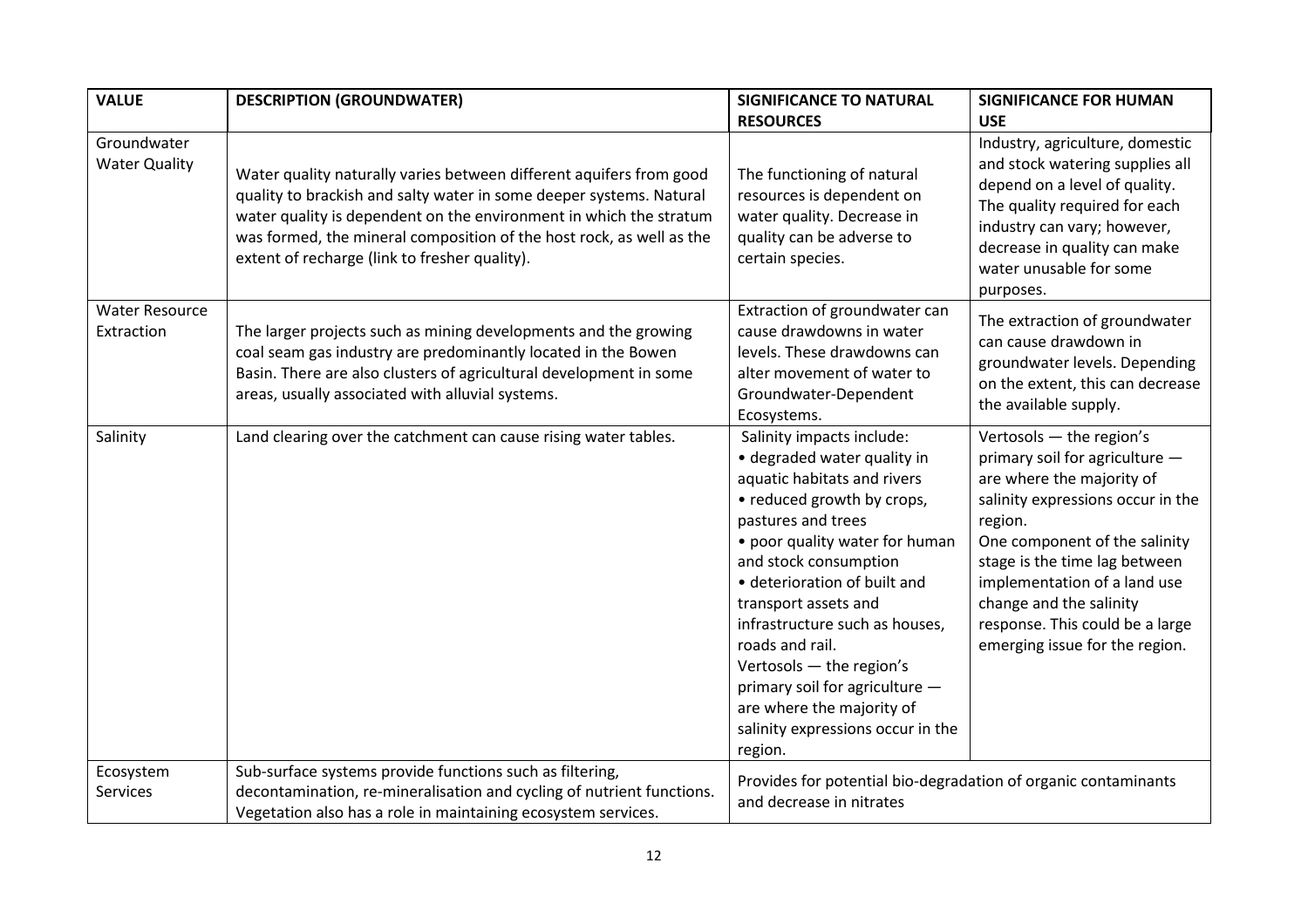| <b>VALUE</b>                        | <b>DESCRIPTION (GROUNDWATER)</b>                                                                                                                                                                                                                                                                                                          | <b>SIGNIFICANCE TO NATURAL</b>                                                                                                                                                                                                                                                                                                                                                                                                                                 | <b>SIGNIFICANCE FOR HUMAN</b>                                                                                                                                                                                                                                                                                                             |
|-------------------------------------|-------------------------------------------------------------------------------------------------------------------------------------------------------------------------------------------------------------------------------------------------------------------------------------------------------------------------------------------|----------------------------------------------------------------------------------------------------------------------------------------------------------------------------------------------------------------------------------------------------------------------------------------------------------------------------------------------------------------------------------------------------------------------------------------------------------------|-------------------------------------------------------------------------------------------------------------------------------------------------------------------------------------------------------------------------------------------------------------------------------------------------------------------------------------------|
|                                     |                                                                                                                                                                                                                                                                                                                                           | <b>RESOURCES</b>                                                                                                                                                                                                                                                                                                                                                                                                                                               | <b>USE</b>                                                                                                                                                                                                                                                                                                                                |
| Groundwater<br><b>Water Quality</b> | Water quality naturally varies between different aquifers from good<br>quality to brackish and salty water in some deeper systems. Natural<br>water quality is dependent on the environment in which the stratum<br>was formed, the mineral composition of the host rock, as well as the<br>extent of recharge (link to fresher quality). | The functioning of natural<br>resources is dependent on<br>water quality. Decrease in<br>quality can be adverse to<br>certain species.                                                                                                                                                                                                                                                                                                                         | Industry, agriculture, domestic<br>and stock watering supplies all<br>depend on a level of quality.<br>The quality required for each<br>industry can vary; however,<br>decrease in quality can make<br>water unusable for some<br>purposes.                                                                                               |
| <b>Water Resource</b><br>Extraction | The larger projects such as mining developments and the growing<br>coal seam gas industry are predominantly located in the Bowen<br>Basin. There are also clusters of agricultural development in some<br>areas, usually associated with alluvial systems.                                                                                | Extraction of groundwater can<br>cause drawdowns in water<br>levels. These drawdowns can<br>alter movement of water to<br>Groundwater-Dependent<br>Ecosystems.                                                                                                                                                                                                                                                                                                 | The extraction of groundwater<br>can cause drawdown in<br>groundwater levels. Depending<br>on the extent, this can decrease<br>the available supply.                                                                                                                                                                                      |
| Salinity                            | Land clearing over the catchment can cause rising water tables.                                                                                                                                                                                                                                                                           | Salinity impacts include:<br>· degraded water quality in<br>aquatic habitats and rivers<br>• reduced growth by crops,<br>pastures and trees<br>• poor quality water for human<br>and stock consumption<br>· deterioration of built and<br>transport assets and<br>infrastructure such as houses,<br>roads and rail.<br>Vertosols - the region's<br>primary soil for agriculture -<br>are where the majority of<br>salinity expressions occur in the<br>region. | Vertosols - the region's<br>primary soil for agriculture -<br>are where the majority of<br>salinity expressions occur in the<br>region.<br>One component of the salinity<br>stage is the time lag between<br>implementation of a land use<br>change and the salinity<br>response. This could be a large<br>emerging issue for the region. |
| Ecosystem<br><b>Services</b>        | Sub-surface systems provide functions such as filtering,<br>decontamination, re-mineralisation and cycling of nutrient functions.<br>Vegetation also has a role in maintaining ecosystem services.                                                                                                                                        | Provides for potential bio-degradation of organic contaminants<br>and decrease in nitrates                                                                                                                                                                                                                                                                                                                                                                     |                                                                                                                                                                                                                                                                                                                                           |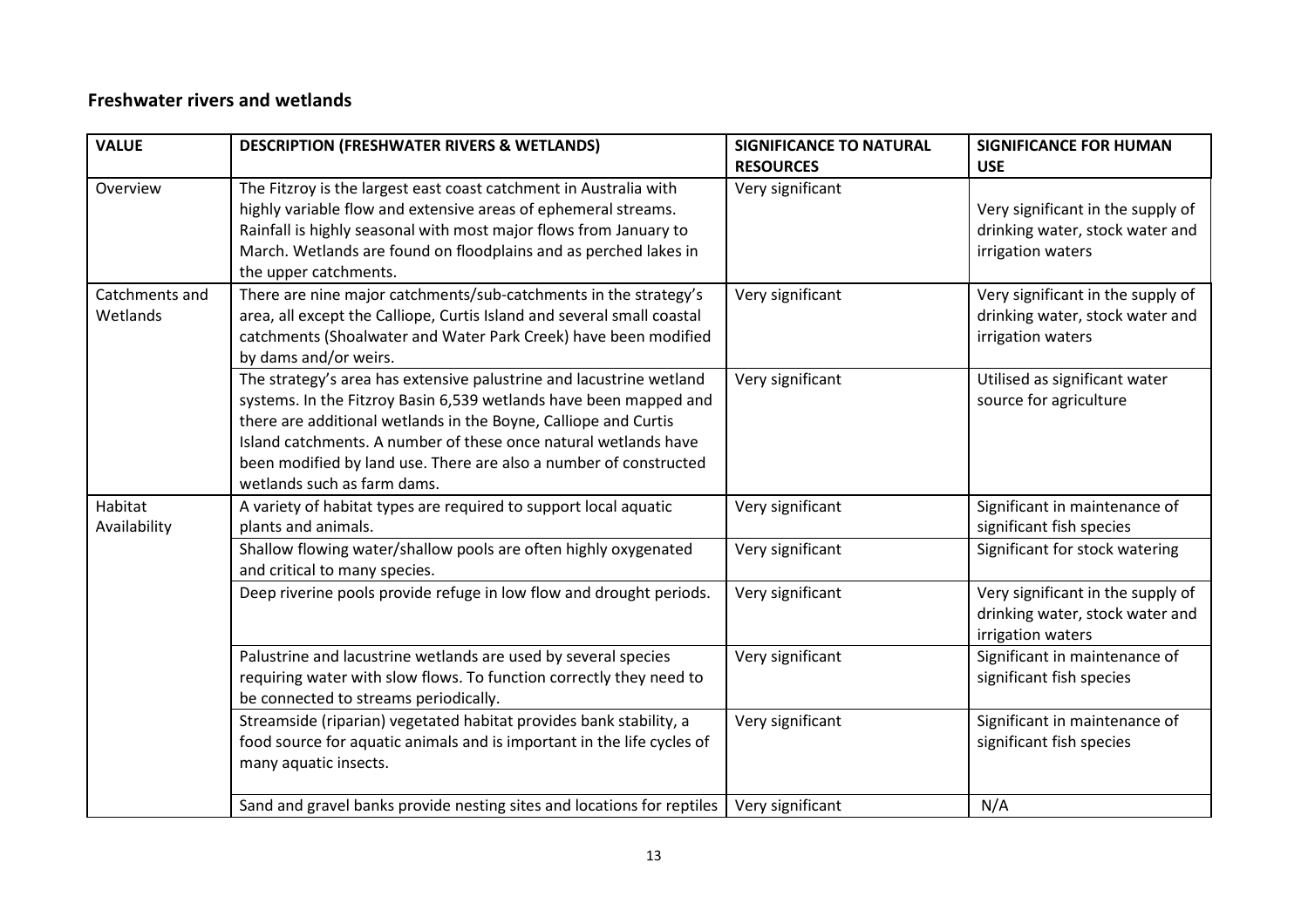### Freshwater rivers and wetlands

| <b>VALUE</b>               | <b>DESCRIPTION (FRESHWATER RIVERS &amp; WETLANDS)</b>                                                                                                                                                                                                                                                                                                                              | <b>SIGNIFICANCE TO NATURAL</b><br><b>RESOURCES</b> | <b>SIGNIFICANCE FOR HUMAN</b><br><b>USE</b>                                               |
|----------------------------|------------------------------------------------------------------------------------------------------------------------------------------------------------------------------------------------------------------------------------------------------------------------------------------------------------------------------------------------------------------------------------|----------------------------------------------------|-------------------------------------------------------------------------------------------|
| Overview                   | The Fitzroy is the largest east coast catchment in Australia with<br>highly variable flow and extensive areas of ephemeral streams.<br>Rainfall is highly seasonal with most major flows from January to<br>March. Wetlands are found on floodplains and as perched lakes in<br>the upper catchments.                                                                              | Very significant                                   | Very significant in the supply of<br>drinking water, stock water and<br>irrigation waters |
| Catchments and<br>Wetlands | There are nine major catchments/sub-catchments in the strategy's<br>area, all except the Calliope, Curtis Island and several small coastal<br>catchments (Shoalwater and Water Park Creek) have been modified<br>by dams and/or weirs.                                                                                                                                             | Very significant                                   | Very significant in the supply of<br>drinking water, stock water and<br>irrigation waters |
|                            | The strategy's area has extensive palustrine and lacustrine wetland<br>systems. In the Fitzroy Basin 6,539 wetlands have been mapped and<br>there are additional wetlands in the Boyne, Calliope and Curtis<br>Island catchments. A number of these once natural wetlands have<br>been modified by land use. There are also a number of constructed<br>wetlands such as farm dams. | Very significant                                   | Utilised as significant water<br>source for agriculture                                   |
| Habitat<br>Availability    | A variety of habitat types are required to support local aquatic<br>plants and animals.                                                                                                                                                                                                                                                                                            | Very significant                                   | Significant in maintenance of<br>significant fish species                                 |
|                            | Shallow flowing water/shallow pools are often highly oxygenated<br>and critical to many species.                                                                                                                                                                                                                                                                                   | Very significant                                   | Significant for stock watering                                                            |
|                            | Deep riverine pools provide refuge in low flow and drought periods.                                                                                                                                                                                                                                                                                                                | Very significant                                   | Very significant in the supply of<br>drinking water, stock water and<br>irrigation waters |
|                            | Palustrine and lacustrine wetlands are used by several species<br>requiring water with slow flows. To function correctly they need to<br>be connected to streams periodically.                                                                                                                                                                                                     | Very significant                                   | Significant in maintenance of<br>significant fish species                                 |
|                            | Streamside (riparian) vegetated habitat provides bank stability, a<br>food source for aquatic animals and is important in the life cycles of<br>many aquatic insects.                                                                                                                                                                                                              | Very significant                                   | Significant in maintenance of<br>significant fish species                                 |
|                            | Sand and gravel banks provide nesting sites and locations for reptiles                                                                                                                                                                                                                                                                                                             | Very significant                                   | N/A                                                                                       |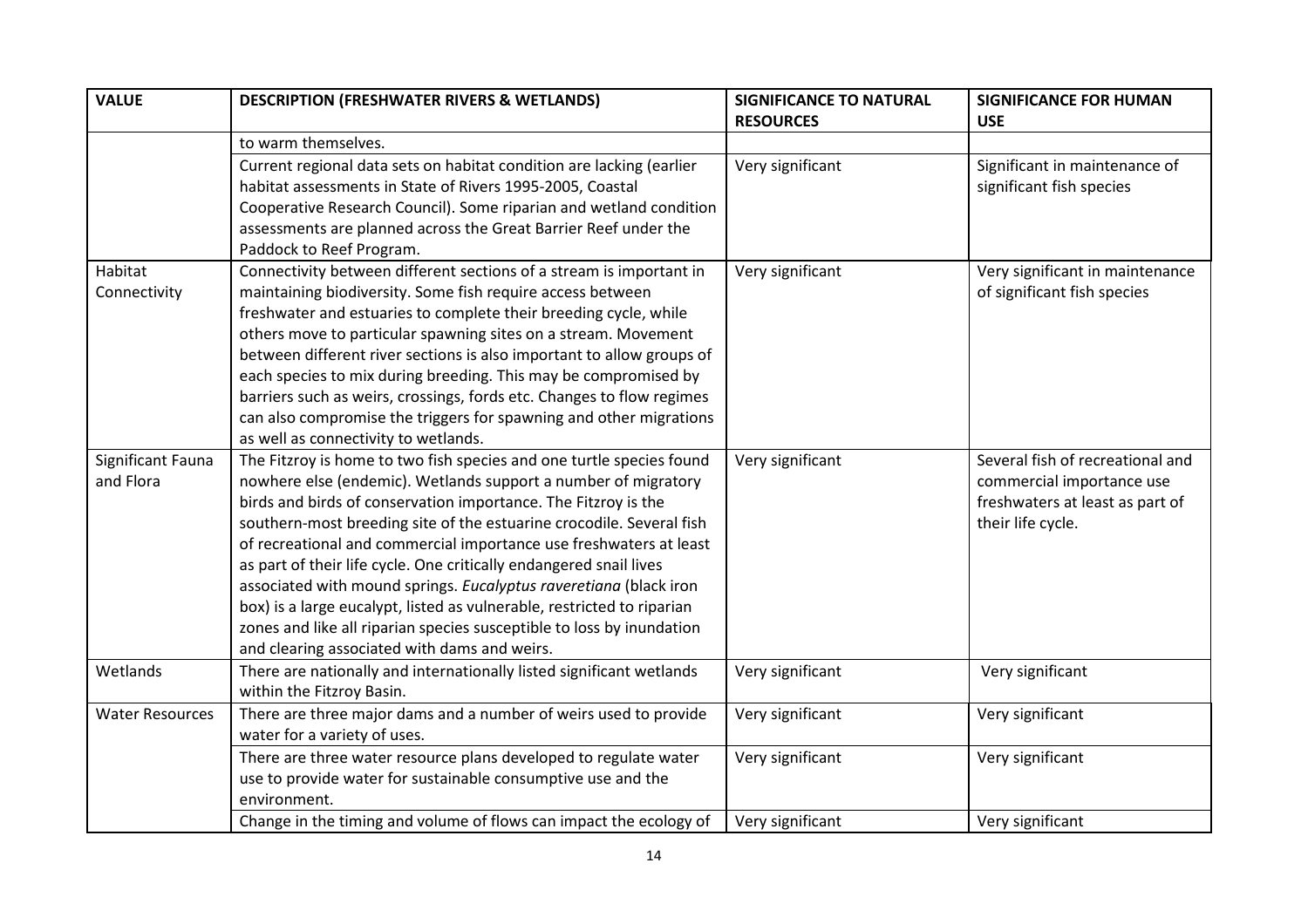| <b>VALUE</b>                   | <b>DESCRIPTION (FRESHWATER RIVERS &amp; WETLANDS)</b>                                                                                                                                                                                                                                                                                                                                                                                                                                                                                                                                                                                                                                                | <b>SIGNIFICANCE TO NATURAL</b><br><b>RESOURCES</b> | <b>SIGNIFICANCE FOR HUMAN</b><br><b>USE</b>                                                                           |
|--------------------------------|------------------------------------------------------------------------------------------------------------------------------------------------------------------------------------------------------------------------------------------------------------------------------------------------------------------------------------------------------------------------------------------------------------------------------------------------------------------------------------------------------------------------------------------------------------------------------------------------------------------------------------------------------------------------------------------------------|----------------------------------------------------|-----------------------------------------------------------------------------------------------------------------------|
|                                | to warm themselves.                                                                                                                                                                                                                                                                                                                                                                                                                                                                                                                                                                                                                                                                                  |                                                    |                                                                                                                       |
|                                | Current regional data sets on habitat condition are lacking (earlier<br>habitat assessments in State of Rivers 1995-2005, Coastal<br>Cooperative Research Council). Some riparian and wetland condition<br>assessments are planned across the Great Barrier Reef under the<br>Paddock to Reef Program.                                                                                                                                                                                                                                                                                                                                                                                               | Very significant                                   | Significant in maintenance of<br>significant fish species                                                             |
| Habitat<br>Connectivity        | Connectivity between different sections of a stream is important in<br>maintaining biodiversity. Some fish require access between<br>freshwater and estuaries to complete their breeding cycle, while<br>others move to particular spawning sites on a stream. Movement<br>between different river sections is also important to allow groups of<br>each species to mix during breeding. This may be compromised by<br>barriers such as weirs, crossings, fords etc. Changes to flow regimes<br>can also compromise the triggers for spawning and other migrations<br>as well as connectivity to wetlands.                                                                                           | Very significant                                   | Very significant in maintenance<br>of significant fish species                                                        |
| Significant Fauna<br>and Flora | The Fitzroy is home to two fish species and one turtle species found<br>nowhere else (endemic). Wetlands support a number of migratory<br>birds and birds of conservation importance. The Fitzroy is the<br>southern-most breeding site of the estuarine crocodile. Several fish<br>of recreational and commercial importance use freshwaters at least<br>as part of their life cycle. One critically endangered snail lives<br>associated with mound springs. Eucalyptus raveretiana (black iron<br>box) is a large eucalypt, listed as vulnerable, restricted to riparian<br>zones and like all riparian species susceptible to loss by inundation<br>and clearing associated with dams and weirs. | Very significant                                   | Several fish of recreational and<br>commercial importance use<br>freshwaters at least as part of<br>their life cycle. |
| Wetlands                       | There are nationally and internationally listed significant wetlands<br>within the Fitzroy Basin.                                                                                                                                                                                                                                                                                                                                                                                                                                                                                                                                                                                                    | Very significant                                   | Very significant                                                                                                      |
| <b>Water Resources</b>         | There are three major dams and a number of weirs used to provide<br>water for a variety of uses.                                                                                                                                                                                                                                                                                                                                                                                                                                                                                                                                                                                                     | Very significant                                   | Very significant                                                                                                      |
|                                | There are three water resource plans developed to regulate water<br>use to provide water for sustainable consumptive use and the<br>environment.                                                                                                                                                                                                                                                                                                                                                                                                                                                                                                                                                     | Very significant                                   | Very significant                                                                                                      |
|                                | Change in the timing and volume of flows can impact the ecology of                                                                                                                                                                                                                                                                                                                                                                                                                                                                                                                                                                                                                                   | Very significant                                   | Very significant                                                                                                      |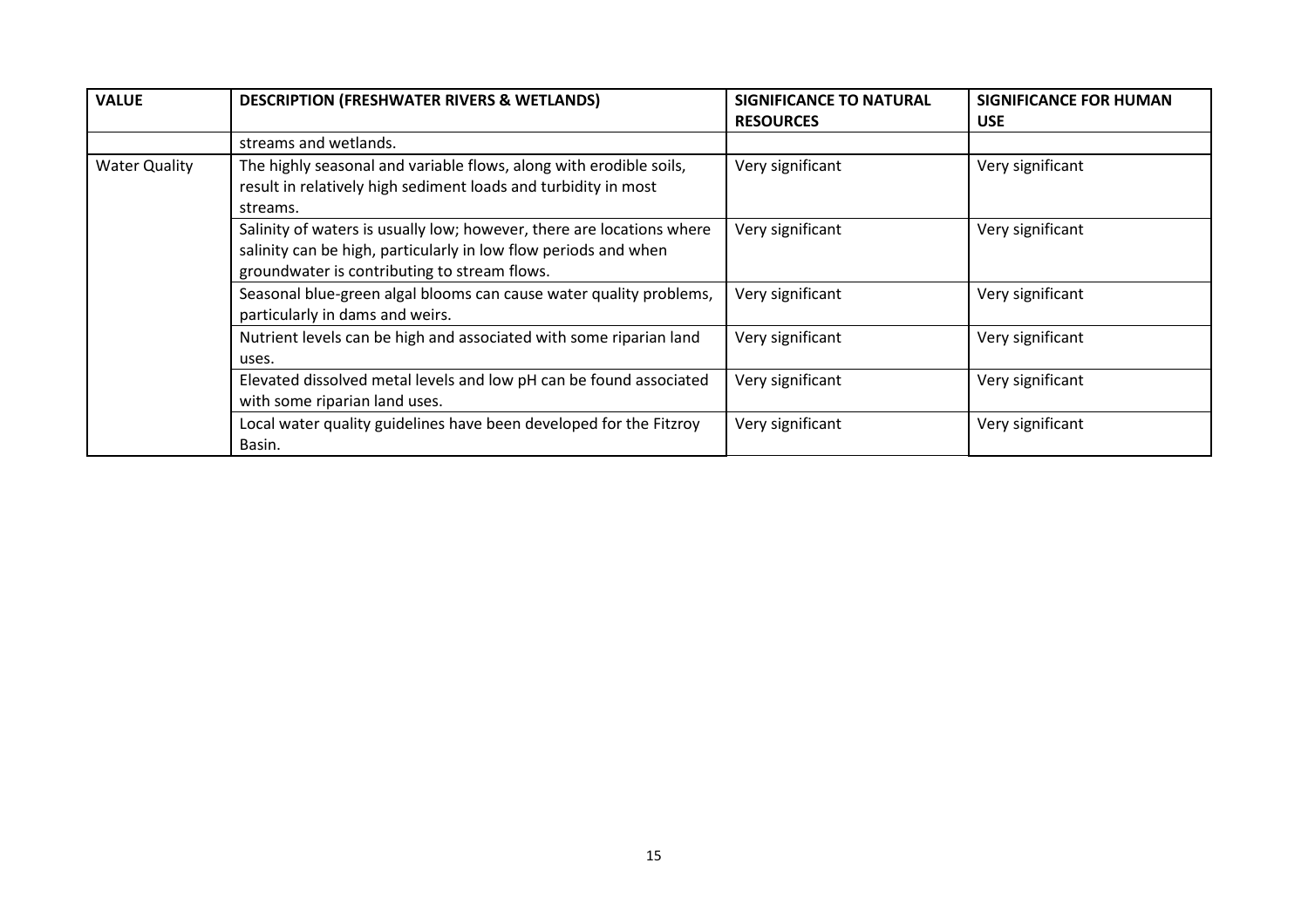| <b>VALUE</b>         | <b>DESCRIPTION (FRESHWATER RIVERS &amp; WETLANDS)</b>                                                                                                                                    | <b>SIGNIFICANCE TO NATURAL</b><br><b>RESOURCES</b> | <b>SIGNIFICANCE FOR HUMAN</b><br><b>USE</b> |
|----------------------|------------------------------------------------------------------------------------------------------------------------------------------------------------------------------------------|----------------------------------------------------|---------------------------------------------|
|                      | streams and wetlands.                                                                                                                                                                    |                                                    |                                             |
| <b>Water Quality</b> | The highly seasonal and variable flows, along with erodible soils,<br>result in relatively high sediment loads and turbidity in most<br>streams.                                         | Very significant                                   | Very significant                            |
|                      | Salinity of waters is usually low; however, there are locations where<br>salinity can be high, particularly in low flow periods and when<br>groundwater is contributing to stream flows. | Very significant                                   | Very significant                            |
|                      | Seasonal blue-green algal blooms can cause water quality problems,<br>particularly in dams and weirs.                                                                                    | Very significant                                   | Very significant                            |
|                      | Nutrient levels can be high and associated with some riparian land<br>uses.                                                                                                              | Very significant                                   | Very significant                            |
|                      | Elevated dissolved metal levels and low pH can be found associated<br>with some riparian land uses.                                                                                      | Very significant                                   | Very significant                            |
|                      | Local water quality guidelines have been developed for the Fitzroy<br>Basin.                                                                                                             | Very significant                                   | Very significant                            |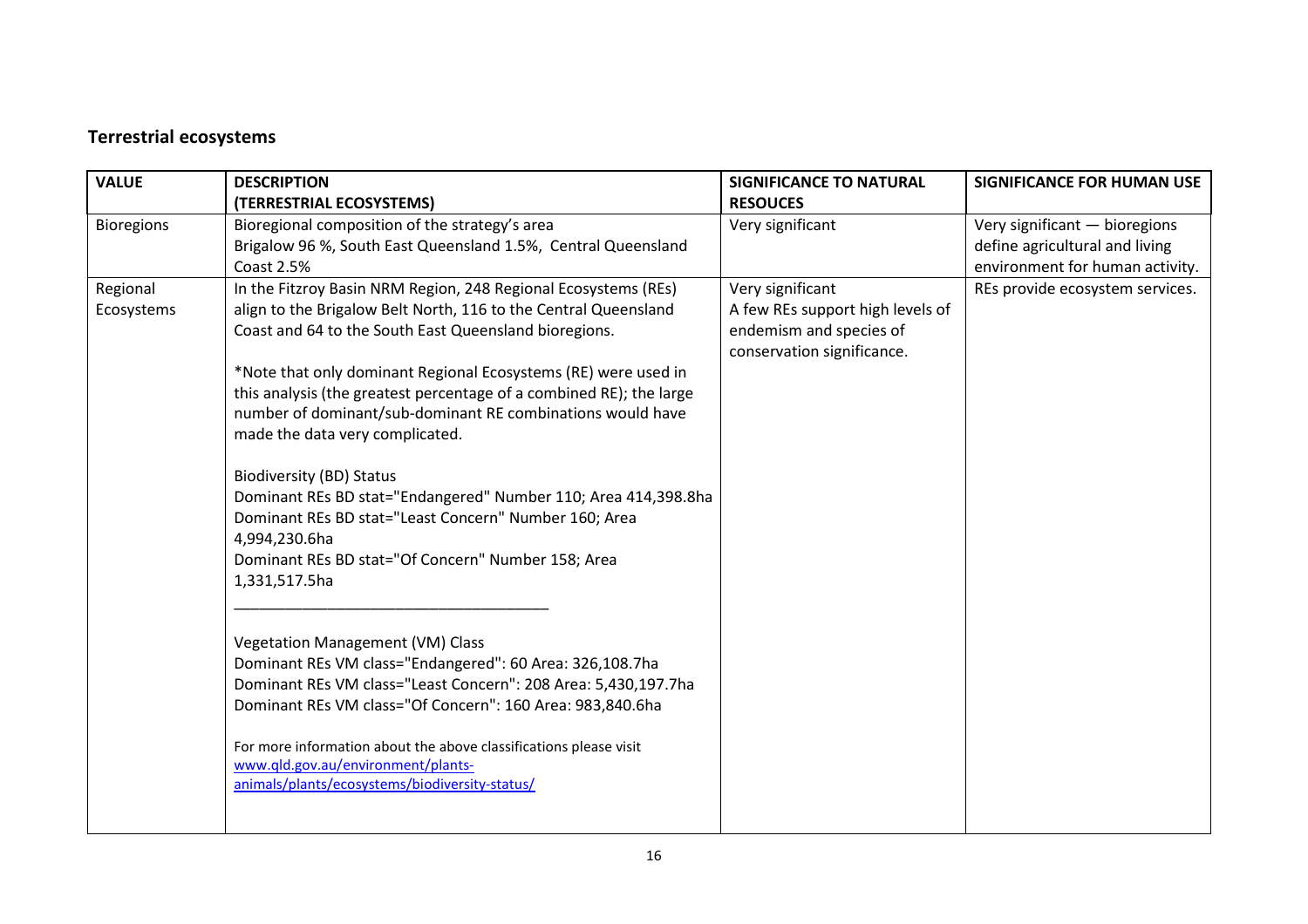## Terrestrial ecosystems

| <b>VALUE</b>      | <b>DESCRIPTION</b>                                                                                                                                                                                                                                 | <b>SIGNIFICANCE TO NATURAL</b>                                                            | <b>SIGNIFICANCE FOR HUMAN USE</b>                                                                  |
|-------------------|----------------------------------------------------------------------------------------------------------------------------------------------------------------------------------------------------------------------------------------------------|-------------------------------------------------------------------------------------------|----------------------------------------------------------------------------------------------------|
|                   | (TERRESTRIAL ECOSYSTEMS)                                                                                                                                                                                                                           | <b>RESOUCES</b>                                                                           |                                                                                                    |
| <b>Bioregions</b> | Bioregional composition of the strategy's area<br>Brigalow 96 %, South East Queensland 1.5%, Central Queensland<br><b>Coast 2.5%</b>                                                                                                               | Very significant                                                                          | Very significant - bioregions<br>define agricultural and living<br>environment for human activity. |
| Regional          | In the Fitzroy Basin NRM Region, 248 Regional Ecosystems (REs)                                                                                                                                                                                     | Very significant                                                                          | REs provide ecosystem services.                                                                    |
| Ecosystems        | align to the Brigalow Belt North, 116 to the Central Queensland<br>Coast and 64 to the South East Queensland bioregions.                                                                                                                           | A few REs support high levels of<br>endemism and species of<br>conservation significance. |                                                                                                    |
|                   | *Note that only dominant Regional Ecosystems (RE) were used in<br>this analysis (the greatest percentage of a combined RE); the large<br>number of dominant/sub-dominant RE combinations would have<br>made the data very complicated.             |                                                                                           |                                                                                                    |
|                   | <b>Biodiversity (BD) Status</b><br>Dominant REs BD stat="Endangered" Number 110; Area 414,398.8ha<br>Dominant REs BD stat="Least Concern" Number 160; Area<br>4,994,230.6ha<br>Dominant REs BD stat="Of Concern" Number 158; Area<br>1,331,517.5ha |                                                                                           |                                                                                                    |
|                   | Vegetation Management (VM) Class<br>Dominant REs VM class="Endangered": 60 Area: 326,108.7ha<br>Dominant REs VM class="Least Concern": 208 Area: 5,430,197.7ha<br>Dominant REs VM class="Of Concern": 160 Area: 983,840.6ha                        |                                                                                           |                                                                                                    |
|                   | For more information about the above classifications please visit<br>www.qld.gov.au/environment/plants-<br>animals/plants/ecosystems/biodiversity-status/                                                                                          |                                                                                           |                                                                                                    |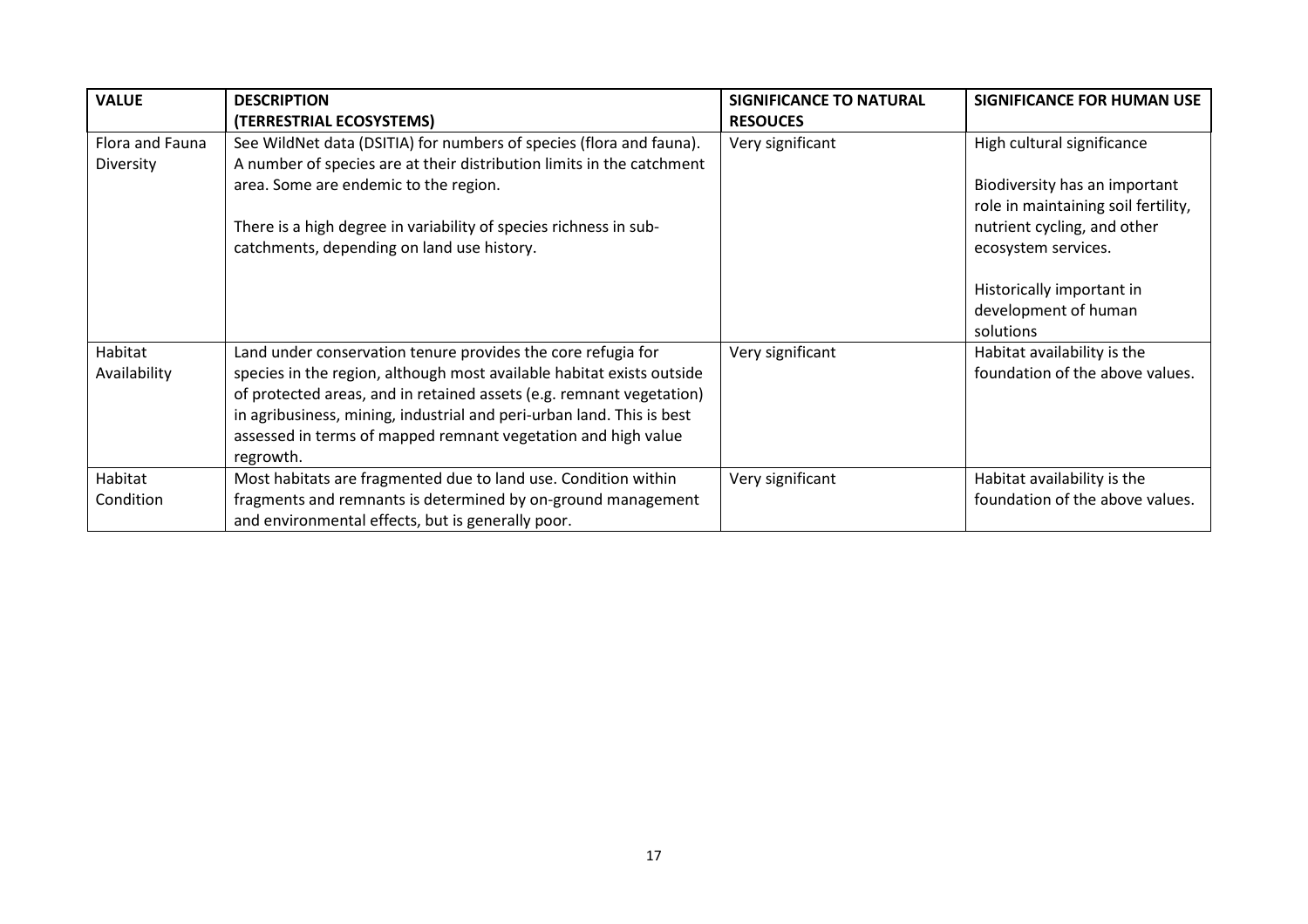| <b>VALUE</b>                 | <b>DESCRIPTION</b><br>(TERRESTRIAL ECOSYSTEMS)                                                                                                                                                                                                                                                                                                                       | <b>SIGNIFICANCE TO NATURAL</b><br><b>RESOUCES</b> | SIGNIFICANCE FOR HUMAN USE                                                                                                                                                                                    |
|------------------------------|----------------------------------------------------------------------------------------------------------------------------------------------------------------------------------------------------------------------------------------------------------------------------------------------------------------------------------------------------------------------|---------------------------------------------------|---------------------------------------------------------------------------------------------------------------------------------------------------------------------------------------------------------------|
| Flora and Fauna<br>Diversity | See WildNet data (DSITIA) for numbers of species (flora and fauna).<br>A number of species are at their distribution limits in the catchment<br>area. Some are endemic to the region.<br>There is a high degree in variability of species richness in sub-<br>catchments, depending on land use history.                                                             | Very significant                                  | High cultural significance<br>Biodiversity has an important<br>role in maintaining soil fertility,<br>nutrient cycling, and other<br>ecosystem services.<br>Historically important in<br>development of human |
|                              |                                                                                                                                                                                                                                                                                                                                                                      |                                                   | solutions                                                                                                                                                                                                     |
| Habitat<br>Availability      | Land under conservation tenure provides the core refugia for<br>species in the region, although most available habitat exists outside<br>of protected areas, and in retained assets (e.g. remnant vegetation)<br>in agribusiness, mining, industrial and peri-urban land. This is best<br>assessed in terms of mapped remnant vegetation and high value<br>regrowth. | Very significant                                  | Habitat availability is the<br>foundation of the above values.                                                                                                                                                |
| Habitat<br>Condition         | Most habitats are fragmented due to land use. Condition within<br>fragments and remnants is determined by on-ground management<br>and environmental effects, but is generally poor.                                                                                                                                                                                  | Very significant                                  | Habitat availability is the<br>foundation of the above values.                                                                                                                                                |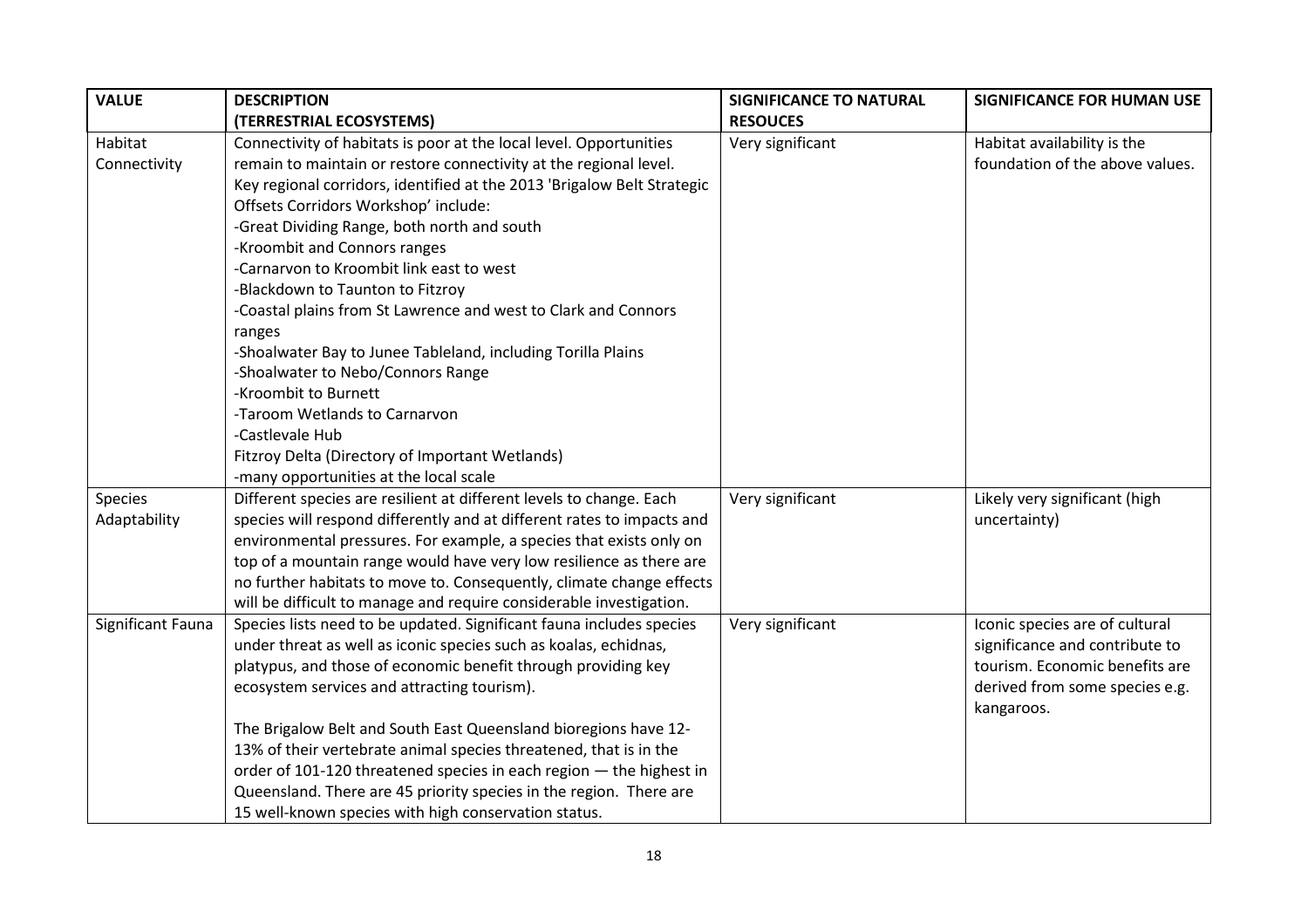| <b>VALUE</b>      | <b>DESCRIPTION</b>                                                      | <b>SIGNIFICANCE TO NATURAL</b> | <b>SIGNIFICANCE FOR HUMAN USE</b> |
|-------------------|-------------------------------------------------------------------------|--------------------------------|-----------------------------------|
|                   | (TERRESTRIAL ECOSYSTEMS)                                                | <b>RESOUCES</b>                |                                   |
| Habitat           | Connectivity of habitats is poor at the local level. Opportunities      | Very significant               | Habitat availability is the       |
| Connectivity      | remain to maintain or restore connectivity at the regional level.       |                                | foundation of the above values.   |
|                   | Key regional corridors, identified at the 2013 'Brigalow Belt Strategic |                                |                                   |
|                   | Offsets Corridors Workshop' include:                                    |                                |                                   |
|                   | -Great Dividing Range, both north and south                             |                                |                                   |
|                   | -Kroombit and Connors ranges                                            |                                |                                   |
|                   | -Carnarvon to Kroombit link east to west                                |                                |                                   |
|                   | -Blackdown to Taunton to Fitzroy                                        |                                |                                   |
|                   | -Coastal plains from St Lawrence and west to Clark and Connors          |                                |                                   |
|                   | ranges                                                                  |                                |                                   |
|                   | -Shoalwater Bay to Junee Tableland, including Torilla Plains            |                                |                                   |
|                   | -Shoalwater to Nebo/Connors Range                                       |                                |                                   |
|                   | -Kroombit to Burnett                                                    |                                |                                   |
|                   | -Taroom Wetlands to Carnarvon                                           |                                |                                   |
|                   | -Castlevale Hub                                                         |                                |                                   |
|                   | Fitzroy Delta (Directory of Important Wetlands)                         |                                |                                   |
|                   | -many opportunities at the local scale                                  |                                |                                   |
| Species           | Different species are resilient at different levels to change. Each     | Very significant               | Likely very significant (high     |
| Adaptability      | species will respond differently and at different rates to impacts and  |                                | uncertainty)                      |
|                   | environmental pressures. For example, a species that exists only on     |                                |                                   |
|                   | top of a mountain range would have very low resilience as there are     |                                |                                   |
|                   | no further habitats to move to. Consequently, climate change effects    |                                |                                   |
|                   | will be difficult to manage and require considerable investigation.     |                                |                                   |
| Significant Fauna | Species lists need to be updated. Significant fauna includes species    | Very significant               | Iconic species are of cultural    |
|                   | under threat as well as iconic species such as koalas, echidnas,        |                                | significance and contribute to    |
|                   | platypus, and those of economic benefit through providing key           |                                | tourism. Economic benefits are    |
|                   | ecosystem services and attracting tourism).                             |                                | derived from some species e.g.    |
|                   |                                                                         |                                | kangaroos.                        |
|                   | The Brigalow Belt and South East Queensland bioregions have 12-         |                                |                                   |
|                   | 13% of their vertebrate animal species threatened, that is in the       |                                |                                   |
|                   | order of 101-120 threatened species in each region - the highest in     |                                |                                   |
|                   | Queensland. There are 45 priority species in the region. There are      |                                |                                   |
|                   | 15 well-known species with high conservation status.                    |                                |                                   |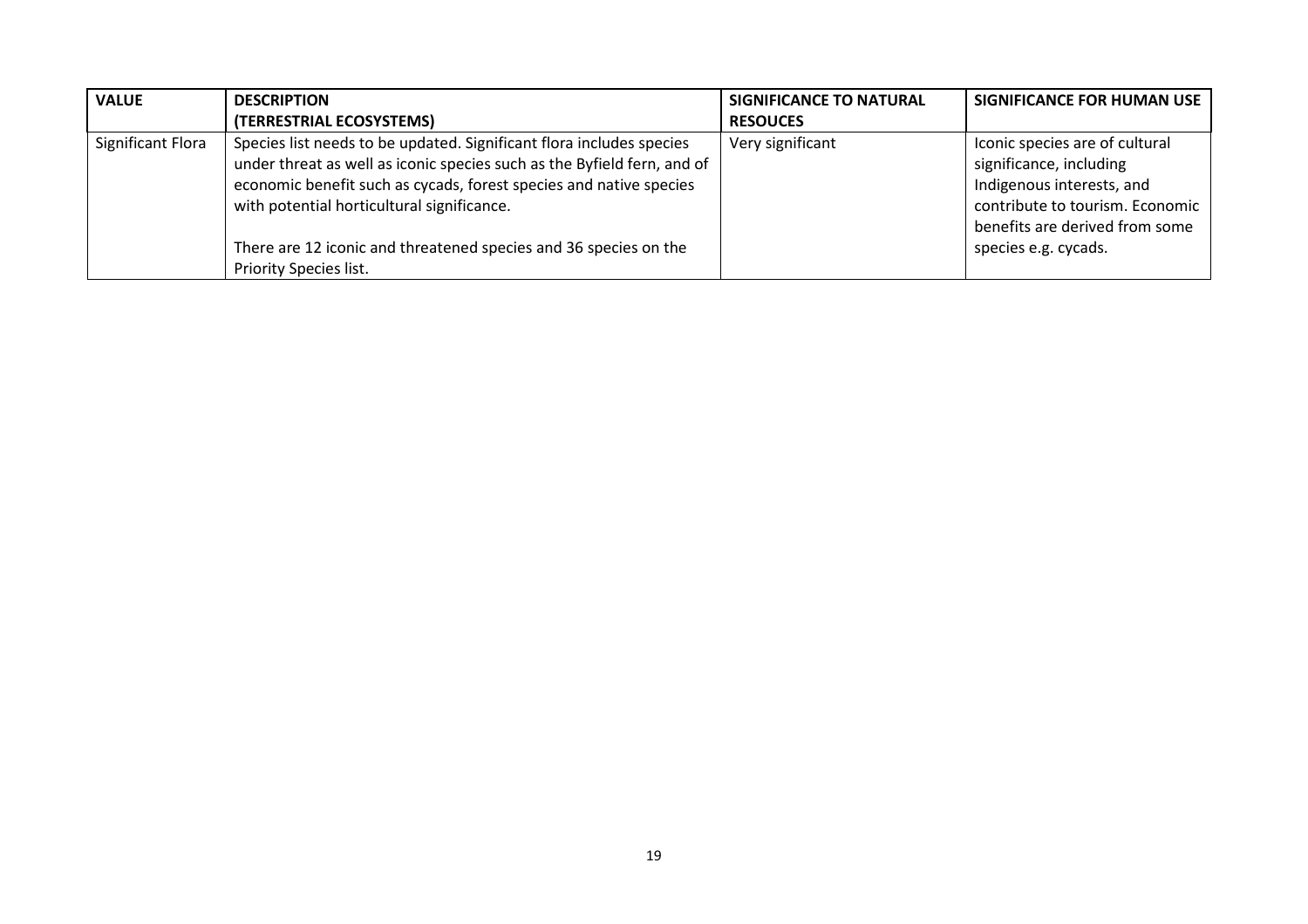| <b>VALUE</b>      | <b>DESCRIPTION</b>                                                                                                                                                                                                                                                  | SIGNIFICANCE TO NATURAL | SIGNIFICANCE FOR HUMAN USE                                                                                                                                  |
|-------------------|---------------------------------------------------------------------------------------------------------------------------------------------------------------------------------------------------------------------------------------------------------------------|-------------------------|-------------------------------------------------------------------------------------------------------------------------------------------------------------|
|                   | (TERRESTRIAL ECOSYSTEMS)                                                                                                                                                                                                                                            | <b>RESOUCES</b>         |                                                                                                                                                             |
| Significant Flora | Species list needs to be updated. Significant flora includes species<br>under threat as well as iconic species such as the Byfield fern, and of<br>economic benefit such as cycads, forest species and native species<br>with potential horticultural significance. | Very significant        | Iconic species are of cultural<br>significance, including<br>Indigenous interests, and<br>contribute to tourism. Economic<br>benefits are derived from some |
|                   | There are 12 iconic and threatened species and 36 species on the<br>Priority Species list.                                                                                                                                                                          |                         | species e.g. cycads.                                                                                                                                        |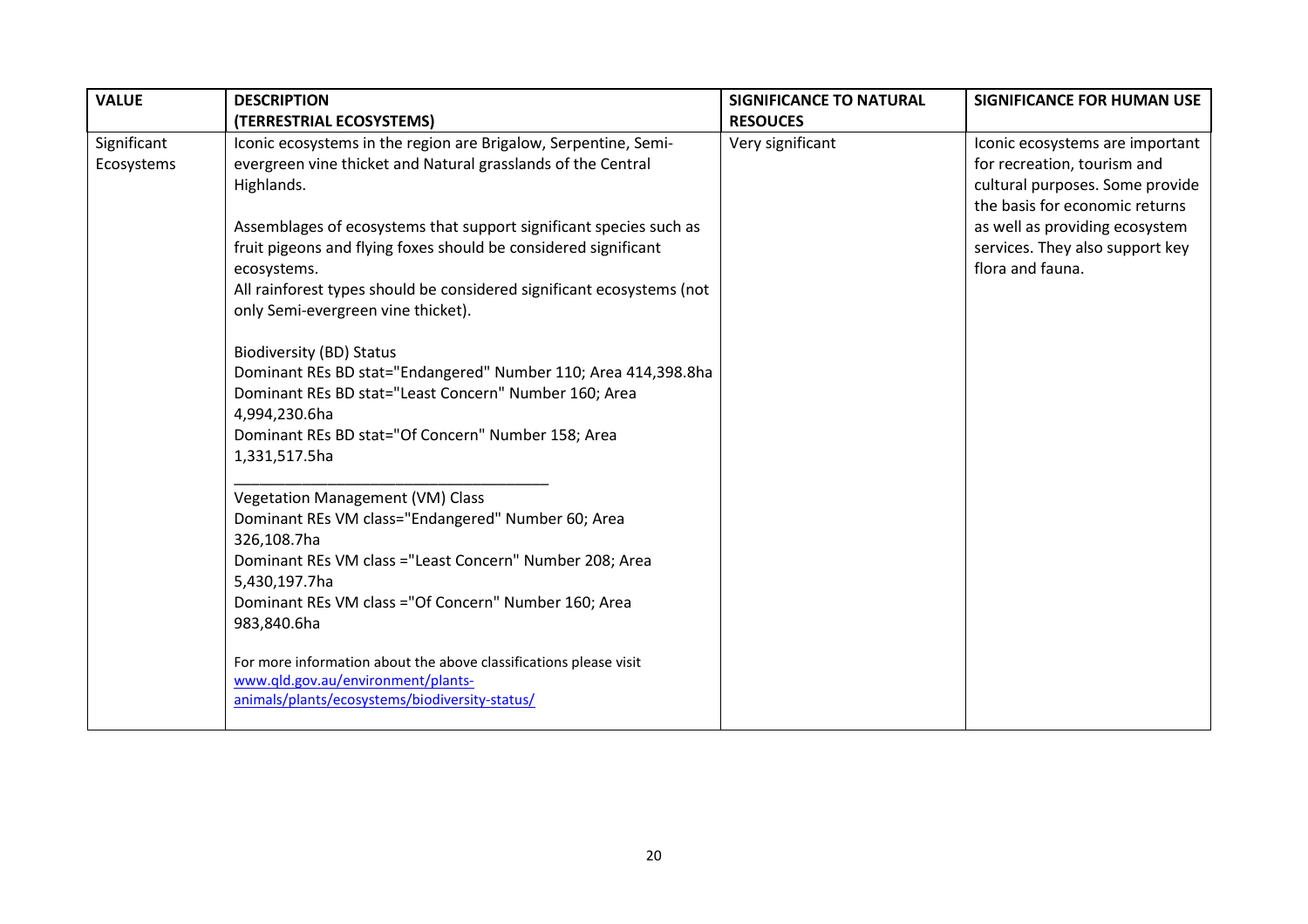| <b>VALUE</b>              | <b>DESCRIPTION</b>                                                                                                                                                                                                                                                                                                                                                                                                                                      | <b>SIGNIFICANCE TO NATURAL</b> | <b>SIGNIFICANCE FOR HUMAN USE</b>                                                                                                                                                                                            |
|---------------------------|---------------------------------------------------------------------------------------------------------------------------------------------------------------------------------------------------------------------------------------------------------------------------------------------------------------------------------------------------------------------------------------------------------------------------------------------------------|--------------------------------|------------------------------------------------------------------------------------------------------------------------------------------------------------------------------------------------------------------------------|
|                           | (TERRESTRIAL ECOSYSTEMS)                                                                                                                                                                                                                                                                                                                                                                                                                                | <b>RESOUCES</b>                |                                                                                                                                                                                                                              |
| Significant<br>Ecosystems | Iconic ecosystems in the region are Brigalow, Serpentine, Semi-<br>evergreen vine thicket and Natural grasslands of the Central<br>Highlands.<br>Assemblages of ecosystems that support significant species such as<br>fruit pigeons and flying foxes should be considered significant<br>ecosystems.<br>All rainforest types should be considered significant ecosystems (not<br>only Semi-evergreen vine thicket).<br><b>Biodiversity (BD) Status</b> | Very significant               | Iconic ecosystems are important<br>for recreation, tourism and<br>cultural purposes. Some provide<br>the basis for economic returns<br>as well as providing ecosystem<br>services. They also support key<br>flora and fauna. |
|                           | Dominant REs BD stat="Endangered" Number 110; Area 414,398.8ha<br>Dominant REs BD stat="Least Concern" Number 160; Area<br>4,994,230.6ha<br>Dominant REs BD stat="Of Concern" Number 158; Area<br>1,331,517.5ha                                                                                                                                                                                                                                         |                                |                                                                                                                                                                                                                              |
|                           | <b>Vegetation Management (VM) Class</b><br>Dominant REs VM class="Endangered" Number 60; Area<br>326,108.7ha<br>Dominant REs VM class ="Least Concern" Number 208; Area<br>5,430,197.7ha<br>Dominant REs VM class = "Of Concern" Number 160; Area<br>983,840.6ha                                                                                                                                                                                        |                                |                                                                                                                                                                                                                              |
|                           | For more information about the above classifications please visit<br>www.qld.gov.au/environment/plants-<br>animals/plants/ecosystems/biodiversity-status/                                                                                                                                                                                                                                                                                               |                                |                                                                                                                                                                                                                              |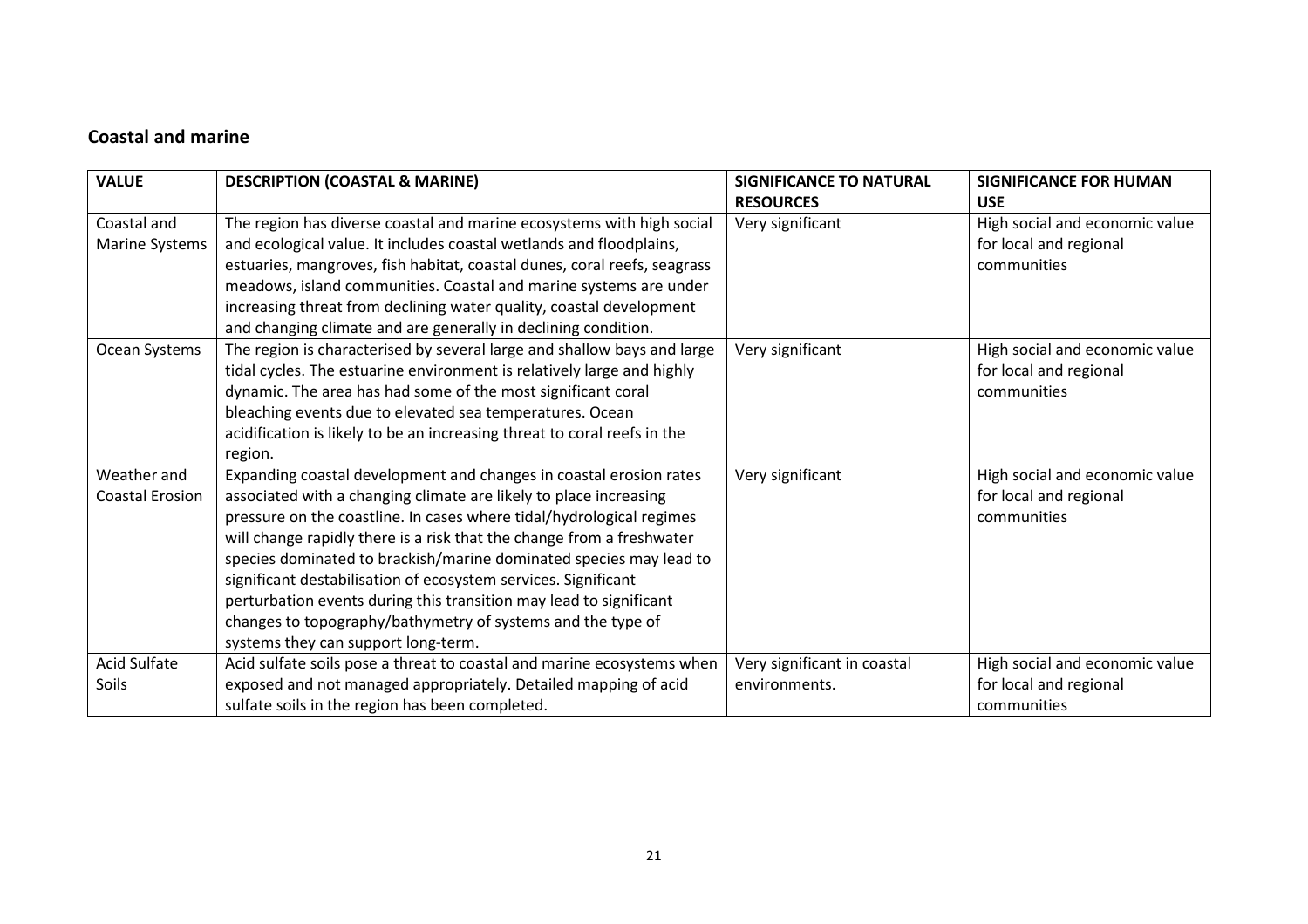## Coastal and marine

| <b>VALUE</b>           | <b>DESCRIPTION (COASTAL &amp; MARINE)</b>                                | <b>SIGNIFICANCE TO NATURAL</b> | <b>SIGNIFICANCE FOR HUMAN</b>  |
|------------------------|--------------------------------------------------------------------------|--------------------------------|--------------------------------|
|                        |                                                                          | <b>RESOURCES</b>               | <b>USE</b>                     |
| Coastal and            | The region has diverse coastal and marine ecosystems with high social    | Very significant               | High social and economic value |
| <b>Marine Systems</b>  | and ecological value. It includes coastal wetlands and floodplains,      |                                | for local and regional         |
|                        | estuaries, mangroves, fish habitat, coastal dunes, coral reefs, seagrass |                                | communities                    |
|                        | meadows, island communities. Coastal and marine systems are under        |                                |                                |
|                        | increasing threat from declining water quality, coastal development      |                                |                                |
|                        | and changing climate and are generally in declining condition.           |                                |                                |
| Ocean Systems          | The region is characterised by several large and shallow bays and large  | Very significant               | High social and economic value |
|                        | tidal cycles. The estuarine environment is relatively large and highly   |                                | for local and regional         |
|                        | dynamic. The area has had some of the most significant coral             |                                | communities                    |
|                        | bleaching events due to elevated sea temperatures. Ocean                 |                                |                                |
|                        | acidification is likely to be an increasing threat to coral reefs in the |                                |                                |
|                        | region.                                                                  |                                |                                |
| Weather and            | Expanding coastal development and changes in coastal erosion rates       | Very significant               | High social and economic value |
| <b>Coastal Erosion</b> | associated with a changing climate are likely to place increasing        |                                | for local and regional         |
|                        | pressure on the coastline. In cases where tidal/hydrological regimes     |                                | communities                    |
|                        | will change rapidly there is a risk that the change from a freshwater    |                                |                                |
|                        | species dominated to brackish/marine dominated species may lead to       |                                |                                |
|                        | significant destabilisation of ecosystem services. Significant           |                                |                                |
|                        | perturbation events during this transition may lead to significant       |                                |                                |
|                        | changes to topography/bathymetry of systems and the type of              |                                |                                |
|                        | systems they can support long-term.                                      |                                |                                |
| Acid Sulfate           | Acid sulfate soils pose a threat to coastal and marine ecosystems when   | Very significant in coastal    | High social and economic value |
| Soils                  | exposed and not managed appropriately. Detailed mapping of acid          | environments.                  | for local and regional         |
|                        | sulfate soils in the region has been completed.                          |                                | communities                    |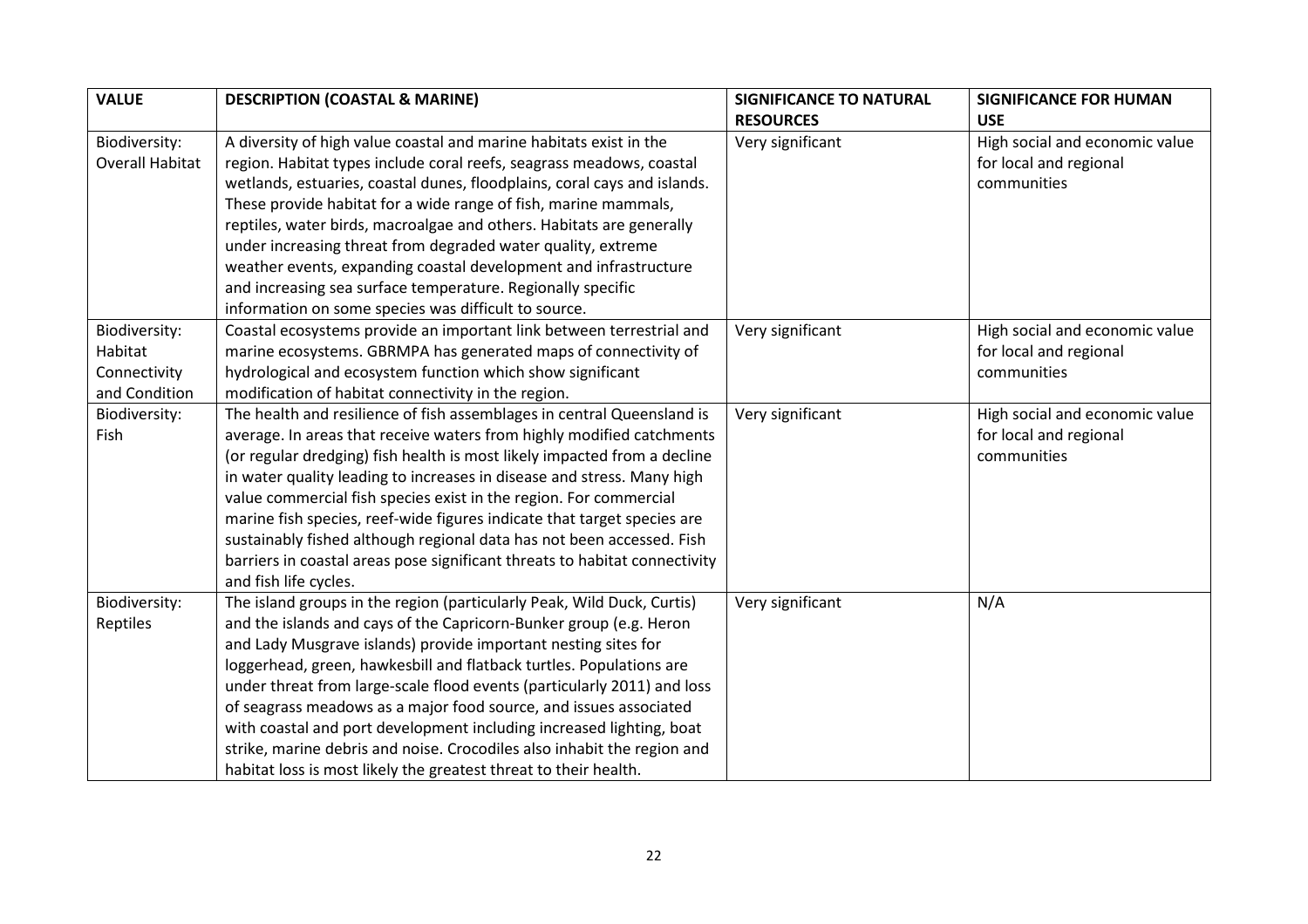| <b>VALUE</b>           | <b>DESCRIPTION (COASTAL &amp; MARINE)</b>                                  | <b>SIGNIFICANCE TO NATURAL</b> | <b>SIGNIFICANCE FOR HUMAN</b>  |
|------------------------|----------------------------------------------------------------------------|--------------------------------|--------------------------------|
|                        |                                                                            | <b>RESOURCES</b>               | <b>USE</b>                     |
| Biodiversity:          | A diversity of high value coastal and marine habitats exist in the         | Very significant               | High social and economic value |
| <b>Overall Habitat</b> | region. Habitat types include coral reefs, seagrass meadows, coastal       |                                | for local and regional         |
|                        | wetlands, estuaries, coastal dunes, floodplains, coral cays and islands.   |                                | communities                    |
|                        | These provide habitat for a wide range of fish, marine mammals,            |                                |                                |
|                        | reptiles, water birds, macroalgae and others. Habitats are generally       |                                |                                |
|                        | under increasing threat from degraded water quality, extreme               |                                |                                |
|                        | weather events, expanding coastal development and infrastructure           |                                |                                |
|                        | and increasing sea surface temperature. Regionally specific                |                                |                                |
|                        | information on some species was difficult to source.                       |                                |                                |
| Biodiversity:          | Coastal ecosystems provide an important link between terrestrial and       | Very significant               | High social and economic value |
| Habitat                | marine ecosystems. GBRMPA has generated maps of connectivity of            |                                | for local and regional         |
| Connectivity           | hydrological and ecosystem function which show significant                 |                                | communities                    |
| and Condition          | modification of habitat connectivity in the region.                        |                                |                                |
| Biodiversity:          | The health and resilience of fish assemblages in central Queensland is     | Very significant               | High social and economic value |
| Fish                   | average. In areas that receive waters from highly modified catchments      |                                | for local and regional         |
|                        | (or regular dredging) fish health is most likely impacted from a decline   |                                | communities                    |
|                        | in water quality leading to increases in disease and stress. Many high     |                                |                                |
|                        | value commercial fish species exist in the region. For commercial          |                                |                                |
|                        | marine fish species, reef-wide figures indicate that target species are    |                                |                                |
|                        | sustainably fished although regional data has not been accessed. Fish      |                                |                                |
|                        | barriers in coastal areas pose significant threats to habitat connectivity |                                |                                |
|                        | and fish life cycles.                                                      |                                |                                |
| Biodiversity:          | The island groups in the region (particularly Peak, Wild Duck, Curtis)     | Very significant               | N/A                            |
| Reptiles               | and the islands and cays of the Capricorn-Bunker group (e.g. Heron         |                                |                                |
|                        | and Lady Musgrave islands) provide important nesting sites for             |                                |                                |
|                        | loggerhead, green, hawkesbill and flatback turtles. Populations are        |                                |                                |
|                        | under threat from large-scale flood events (particularly 2011) and loss    |                                |                                |
|                        | of seagrass meadows as a major food source, and issues associated          |                                |                                |
|                        | with coastal and port development including increased lighting, boat       |                                |                                |
|                        | strike, marine debris and noise. Crocodiles also inhabit the region and    |                                |                                |
|                        | habitat loss is most likely the greatest threat to their health.           |                                |                                |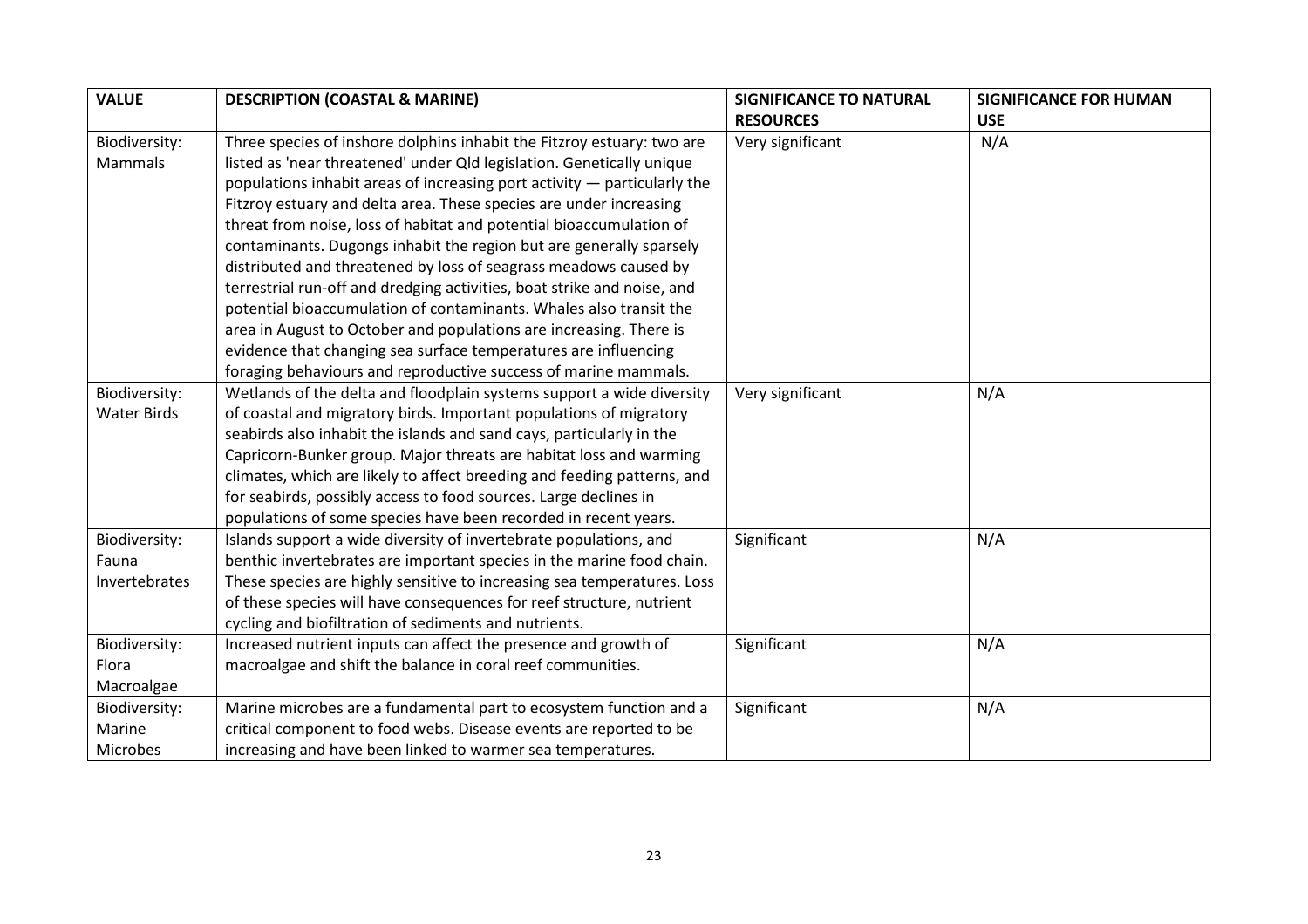| <b>VALUE</b>       | <b>DESCRIPTION (COASTAL &amp; MARINE)</b>                                | <b>SIGNIFICANCE TO NATURAL</b> | <b>SIGNIFICANCE FOR HUMAN</b> |
|--------------------|--------------------------------------------------------------------------|--------------------------------|-------------------------------|
|                    |                                                                          | <b>RESOURCES</b>               | <b>USE</b>                    |
| Biodiversity:      | Three species of inshore dolphins inhabit the Fitzroy estuary: two are   | Very significant               | N/A                           |
| Mammals            | listed as 'near threatened' under Qld legislation. Genetically unique    |                                |                               |
|                    | populations inhabit areas of increasing port activity - particularly the |                                |                               |
|                    | Fitzroy estuary and delta area. These species are under increasing       |                                |                               |
|                    | threat from noise, loss of habitat and potential bioaccumulation of      |                                |                               |
|                    | contaminants. Dugongs inhabit the region but are generally sparsely      |                                |                               |
|                    | distributed and threatened by loss of seagrass meadows caused by         |                                |                               |
|                    | terrestrial run-off and dredging activities, boat strike and noise, and  |                                |                               |
|                    | potential bioaccumulation of contaminants. Whales also transit the       |                                |                               |
|                    | area in August to October and populations are increasing. There is       |                                |                               |
|                    | evidence that changing sea surface temperatures are influencing          |                                |                               |
|                    | foraging behaviours and reproductive success of marine mammals.          |                                |                               |
| Biodiversity:      | Wetlands of the delta and floodplain systems support a wide diversity    | Very significant               | N/A                           |
| <b>Water Birds</b> | of coastal and migratory birds. Important populations of migratory       |                                |                               |
|                    | seabirds also inhabit the islands and sand cays, particularly in the     |                                |                               |
|                    | Capricorn-Bunker group. Major threats are habitat loss and warming       |                                |                               |
|                    | climates, which are likely to affect breeding and feeding patterns, and  |                                |                               |
|                    | for seabirds, possibly access to food sources. Large declines in         |                                |                               |
|                    | populations of some species have been recorded in recent years.          |                                |                               |
| Biodiversity:      | Islands support a wide diversity of invertebrate populations, and        | Significant                    | N/A                           |
| Fauna              | benthic invertebrates are important species in the marine food chain.    |                                |                               |
| Invertebrates      | These species are highly sensitive to increasing sea temperatures. Loss  |                                |                               |
|                    | of these species will have consequences for reef structure, nutrient     |                                |                               |
|                    | cycling and biofiltration of sediments and nutrients.                    |                                |                               |
| Biodiversity:      | Increased nutrient inputs can affect the presence and growth of          | Significant                    | N/A                           |
| Flora              | macroalgae and shift the balance in coral reef communities.              |                                |                               |
| Macroalgae         |                                                                          |                                |                               |
| Biodiversity:      | Marine microbes are a fundamental part to ecosystem function and a       | Significant                    | N/A                           |
| Marine             | critical component to food webs. Disease events are reported to be       |                                |                               |
| Microbes           | increasing and have been linked to warmer sea temperatures.              |                                |                               |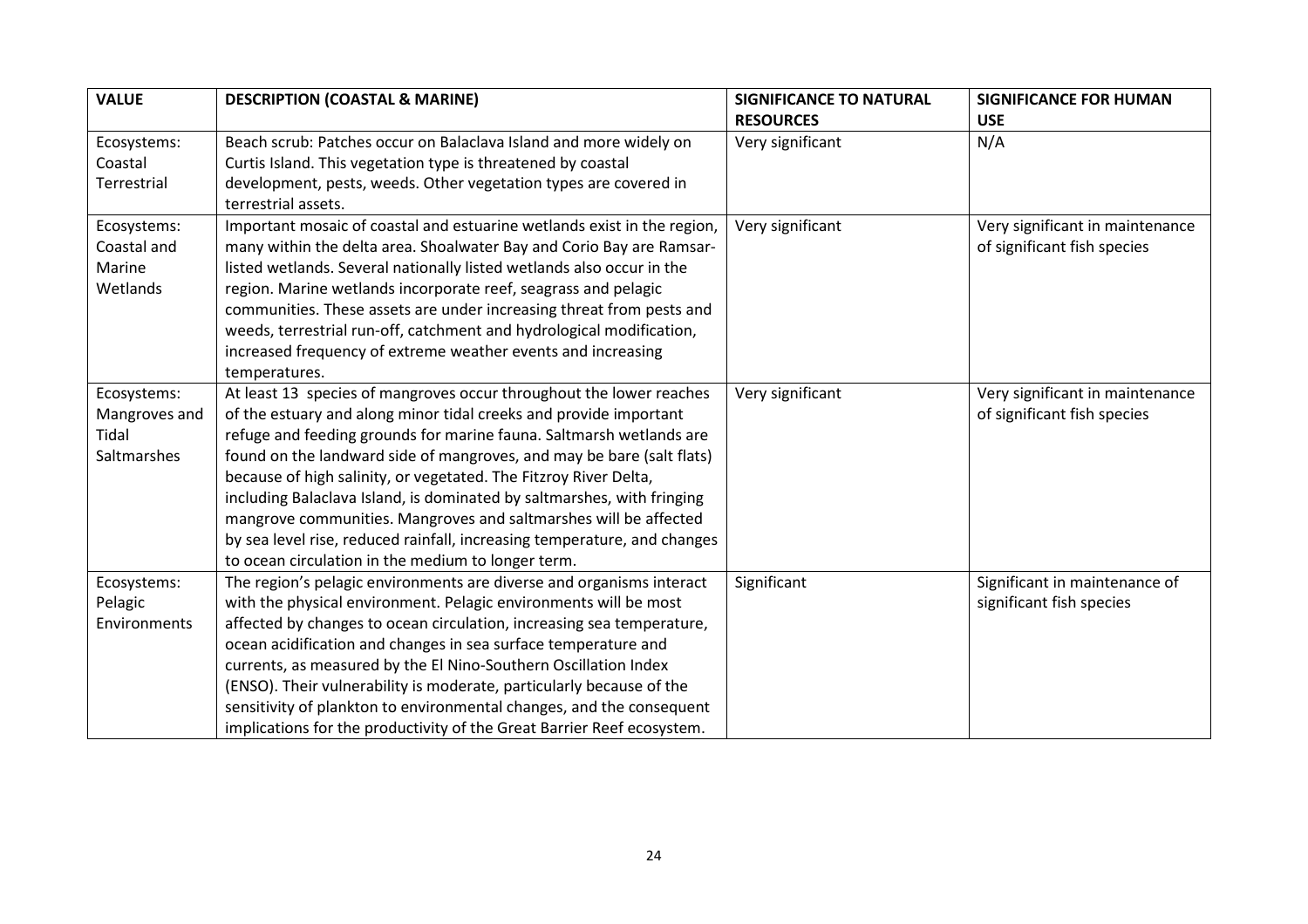| <b>VALUE</b>  | <b>DESCRIPTION (COASTAL &amp; MARINE)</b>                                | <b>SIGNIFICANCE TO NATURAL</b> | <b>SIGNIFICANCE FOR HUMAN</b>   |
|---------------|--------------------------------------------------------------------------|--------------------------------|---------------------------------|
|               |                                                                          | <b>RESOURCES</b>               | <b>USE</b>                      |
| Ecosystems:   | Beach scrub: Patches occur on Balaclava Island and more widely on        | Very significant               | N/A                             |
| Coastal       | Curtis Island. This vegetation type is threatened by coastal             |                                |                                 |
| Terrestrial   | development, pests, weeds. Other vegetation types are covered in         |                                |                                 |
|               | terrestrial assets.                                                      |                                |                                 |
| Ecosystems:   | Important mosaic of coastal and estuarine wetlands exist in the region,  | Very significant               | Very significant in maintenance |
| Coastal and   | many within the delta area. Shoalwater Bay and Corio Bay are Ramsar-     |                                | of significant fish species     |
| Marine        | listed wetlands. Several nationally listed wetlands also occur in the    |                                |                                 |
| Wetlands      | region. Marine wetlands incorporate reef, seagrass and pelagic           |                                |                                 |
|               | communities. These assets are under increasing threat from pests and     |                                |                                 |
|               | weeds, terrestrial run-off, catchment and hydrological modification,     |                                |                                 |
|               | increased frequency of extreme weather events and increasing             |                                |                                 |
|               | temperatures.                                                            |                                |                                 |
| Ecosystems:   | At least 13 species of mangroves occur throughout the lower reaches      | Very significant               | Very significant in maintenance |
| Mangroves and | of the estuary and along minor tidal creeks and provide important        |                                | of significant fish species     |
| Tidal         | refuge and feeding grounds for marine fauna. Saltmarsh wetlands are      |                                |                                 |
| Saltmarshes   | found on the landward side of mangroves, and may be bare (salt flats)    |                                |                                 |
|               | because of high salinity, or vegetated. The Fitzroy River Delta,         |                                |                                 |
|               | including Balaclava Island, is dominated by saltmarshes, with fringing   |                                |                                 |
|               | mangrove communities. Mangroves and saltmarshes will be affected         |                                |                                 |
|               | by sea level rise, reduced rainfall, increasing temperature, and changes |                                |                                 |
|               | to ocean circulation in the medium to longer term.                       |                                |                                 |
| Ecosystems:   | The region's pelagic environments are diverse and organisms interact     | Significant                    | Significant in maintenance of   |
| Pelagic       | with the physical environment. Pelagic environments will be most         |                                | significant fish species        |
| Environments  | affected by changes to ocean circulation, increasing sea temperature,    |                                |                                 |
|               | ocean acidification and changes in sea surface temperature and           |                                |                                 |
|               | currents, as measured by the El Nino-Southern Oscillation Index          |                                |                                 |
|               | (ENSO). Their vulnerability is moderate, particularly because of the     |                                |                                 |
|               | sensitivity of plankton to environmental changes, and the consequent     |                                |                                 |
|               | implications for the productivity of the Great Barrier Reef ecosystem.   |                                |                                 |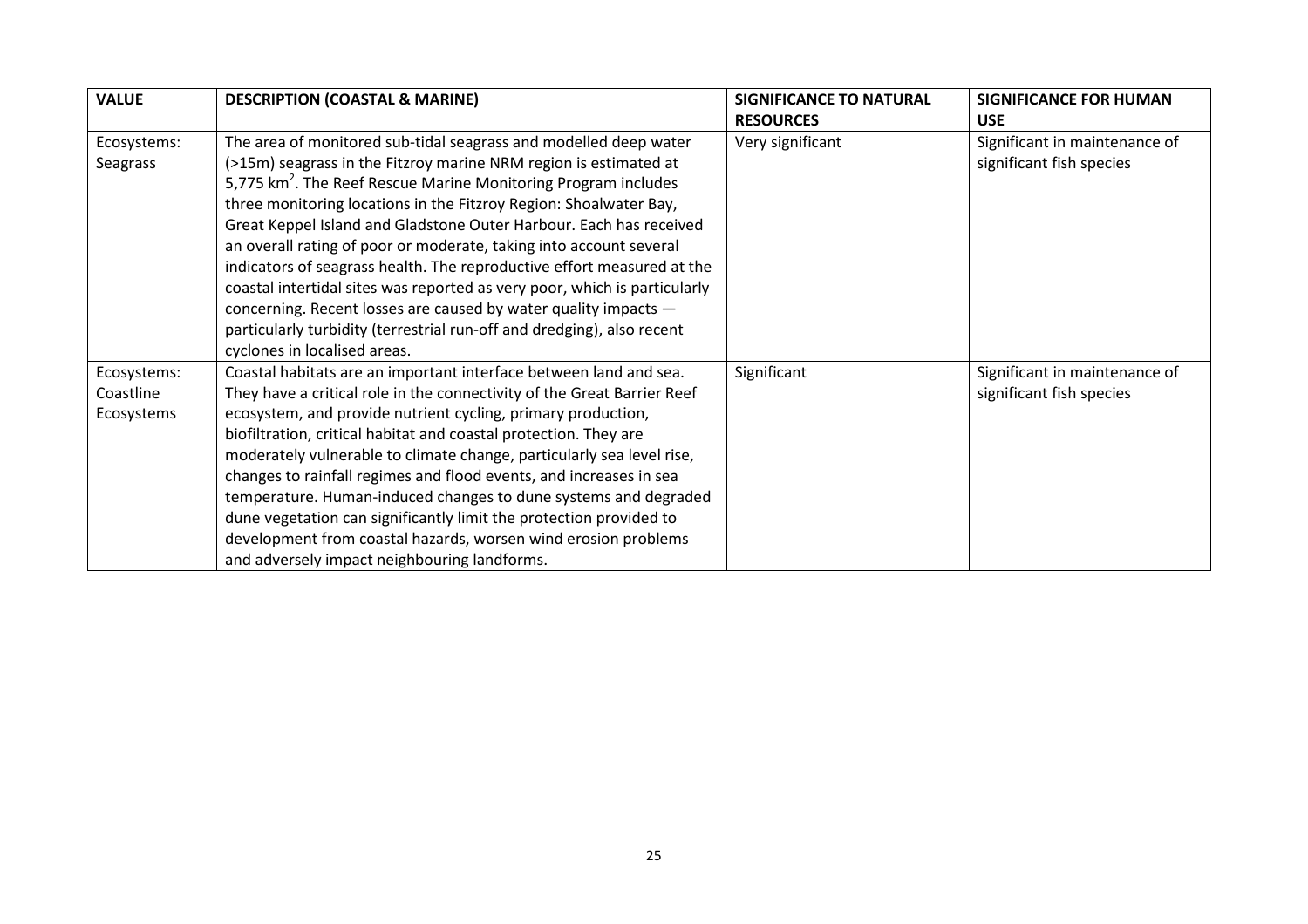| <b>VALUE</b> | <b>DESCRIPTION (COASTAL &amp; MARINE)</b>                                  | <b>SIGNIFICANCE TO NATURAL</b> | <b>SIGNIFICANCE FOR HUMAN</b> |
|--------------|----------------------------------------------------------------------------|--------------------------------|-------------------------------|
|              |                                                                            | <b>RESOURCES</b>               | <b>USE</b>                    |
| Ecosystems:  | The area of monitored sub-tidal seagrass and modelled deep water           | Very significant               | Significant in maintenance of |
| Seagrass     | (>15m) seagrass in the Fitzroy marine NRM region is estimated at           |                                | significant fish species      |
|              | 5,775 km <sup>2</sup> . The Reef Rescue Marine Monitoring Program includes |                                |                               |
|              | three monitoring locations in the Fitzroy Region: Shoalwater Bay,          |                                |                               |
|              | Great Keppel Island and Gladstone Outer Harbour. Each has received         |                                |                               |
|              | an overall rating of poor or moderate, taking into account several         |                                |                               |
|              | indicators of seagrass health. The reproductive effort measured at the     |                                |                               |
|              | coastal intertidal sites was reported as very poor, which is particularly  |                                |                               |
|              | concerning. Recent losses are caused by water quality impacts -            |                                |                               |
|              | particularly turbidity (terrestrial run-off and dredging), also recent     |                                |                               |
|              | cyclones in localised areas.                                               |                                |                               |
| Ecosystems:  | Coastal habitats are an important interface between land and sea.          | Significant                    | Significant in maintenance of |
| Coastline    | They have a critical role in the connectivity of the Great Barrier Reef    |                                | significant fish species      |
| Ecosystems   | ecosystem, and provide nutrient cycling, primary production,               |                                |                               |
|              | biofiltration, critical habitat and coastal protection. They are           |                                |                               |
|              | moderately vulnerable to climate change, particularly sea level rise,      |                                |                               |
|              | changes to rainfall regimes and flood events, and increases in sea         |                                |                               |
|              | temperature. Human-induced changes to dune systems and degraded            |                                |                               |
|              | dune vegetation can significantly limit the protection provided to         |                                |                               |
|              | development from coastal hazards, worsen wind erosion problems             |                                |                               |
|              | and adversely impact neighbouring landforms.                               |                                |                               |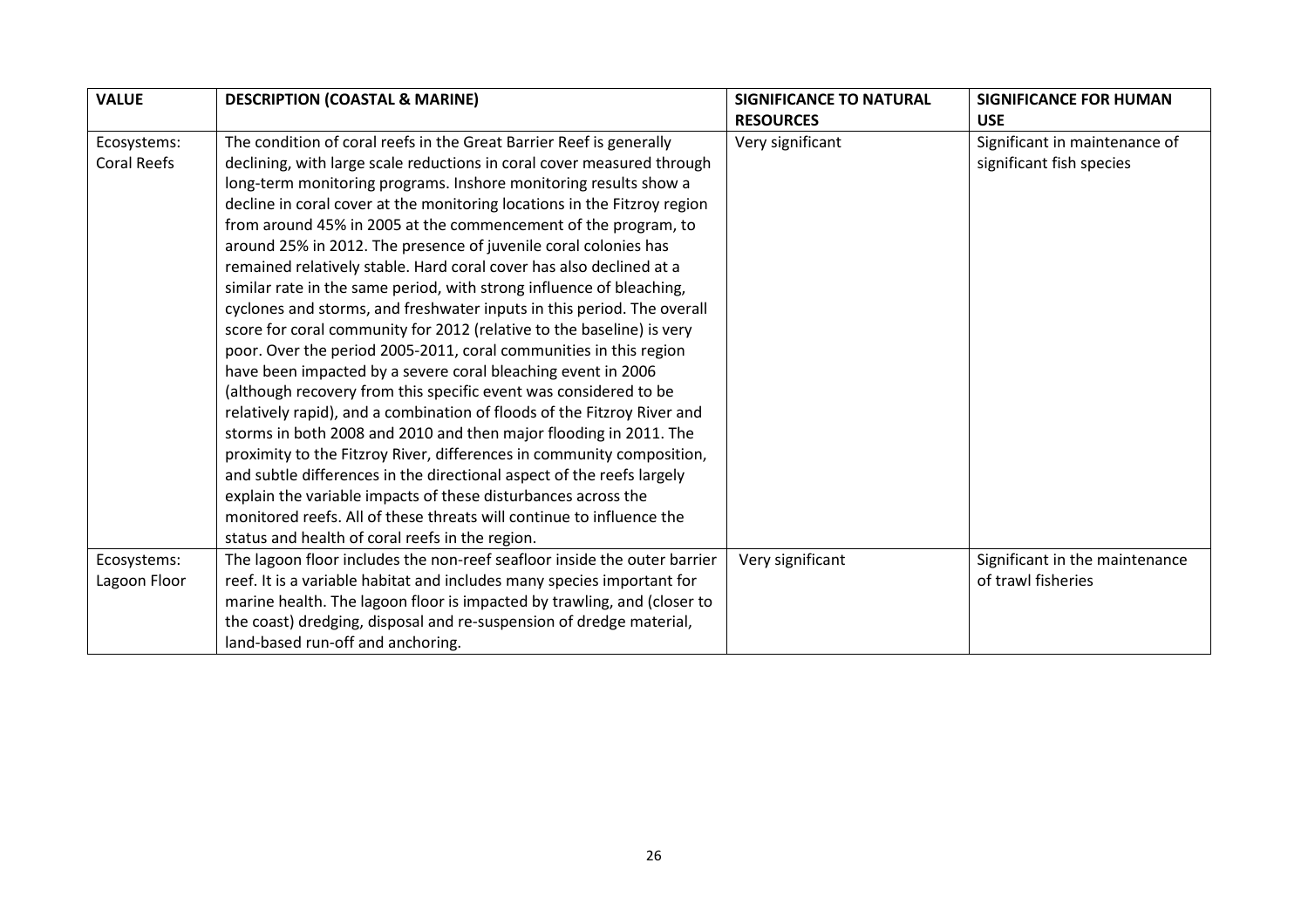| <b>VALUE</b>       | <b>DESCRIPTION (COASTAL &amp; MARINE)</b>                                | <b>SIGNIFICANCE TO NATURAL</b> | <b>SIGNIFICANCE FOR HUMAN</b>  |
|--------------------|--------------------------------------------------------------------------|--------------------------------|--------------------------------|
|                    |                                                                          | <b>RESOURCES</b>               | <b>USE</b>                     |
| Ecosystems:        | The condition of coral reefs in the Great Barrier Reef is generally      | Very significant               | Significant in maintenance of  |
| <b>Coral Reefs</b> | declining, with large scale reductions in coral cover measured through   |                                | significant fish species       |
|                    | long-term monitoring programs. Inshore monitoring results show a         |                                |                                |
|                    | decline in coral cover at the monitoring locations in the Fitzroy region |                                |                                |
|                    | from around 45% in 2005 at the commencement of the program, to           |                                |                                |
|                    | around 25% in 2012. The presence of juvenile coral colonies has          |                                |                                |
|                    | remained relatively stable. Hard coral cover has also declined at a      |                                |                                |
|                    | similar rate in the same period, with strong influence of bleaching,     |                                |                                |
|                    | cyclones and storms, and freshwater inputs in this period. The overall   |                                |                                |
|                    | score for coral community for 2012 (relative to the baseline) is very    |                                |                                |
|                    | poor. Over the period 2005-2011, coral communities in this region        |                                |                                |
|                    | have been impacted by a severe coral bleaching event in 2006             |                                |                                |
|                    | (although recovery from this specific event was considered to be         |                                |                                |
|                    | relatively rapid), and a combination of floods of the Fitzroy River and  |                                |                                |
|                    | storms in both 2008 and 2010 and then major flooding in 2011. The        |                                |                                |
|                    | proximity to the Fitzroy River, differences in community composition,    |                                |                                |
|                    | and subtle differences in the directional aspect of the reefs largely    |                                |                                |
|                    | explain the variable impacts of these disturbances across the            |                                |                                |
|                    | monitored reefs. All of these threats will continue to influence the     |                                |                                |
|                    | status and health of coral reefs in the region.                          |                                |                                |
| Ecosystems:        | The lagoon floor includes the non-reef seafloor inside the outer barrier | Very significant               | Significant in the maintenance |
| Lagoon Floor       | reef. It is a variable habitat and includes many species important for   |                                | of trawl fisheries             |
|                    | marine health. The lagoon floor is impacted by trawling, and (closer to  |                                |                                |
|                    | the coast) dredging, disposal and re-suspension of dredge material,      |                                |                                |
|                    | land-based run-off and anchoring.                                        |                                |                                |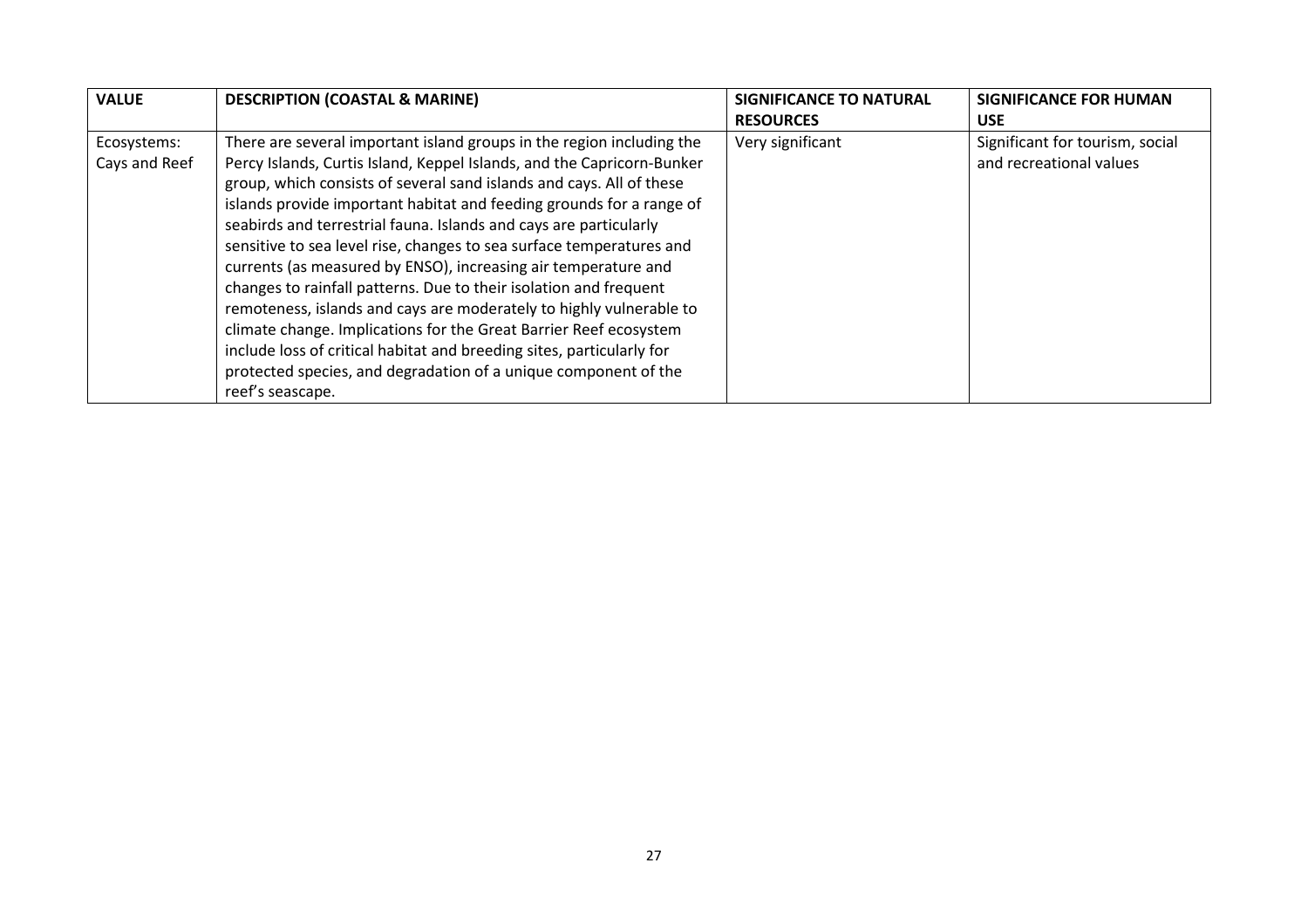| <b>VALUE</b>                 | <b>DESCRIPTION (COASTAL &amp; MARINE)</b>                                                                                                                                                                                                                                                                                                                                                                                                                                                                                                                                                                                                                                                                                                                                                                                                                                                       | <b>SIGNIFICANCE TO NATURAL</b> | <b>SIGNIFICANCE FOR HUMAN</b>                              |
|------------------------------|-------------------------------------------------------------------------------------------------------------------------------------------------------------------------------------------------------------------------------------------------------------------------------------------------------------------------------------------------------------------------------------------------------------------------------------------------------------------------------------------------------------------------------------------------------------------------------------------------------------------------------------------------------------------------------------------------------------------------------------------------------------------------------------------------------------------------------------------------------------------------------------------------|--------------------------------|------------------------------------------------------------|
|                              |                                                                                                                                                                                                                                                                                                                                                                                                                                                                                                                                                                                                                                                                                                                                                                                                                                                                                                 | <b>RESOURCES</b>               | <b>USE</b>                                                 |
| Ecosystems:<br>Cays and Reef | There are several important island groups in the region including the<br>Percy Islands, Curtis Island, Keppel Islands, and the Capricorn-Bunker<br>group, which consists of several sand islands and cays. All of these<br>islands provide important habitat and feeding grounds for a range of<br>seabirds and terrestrial fauna. Islands and cays are particularly<br>sensitive to sea level rise, changes to sea surface temperatures and<br>currents (as measured by ENSO), increasing air temperature and<br>changes to rainfall patterns. Due to their isolation and frequent<br>remoteness, islands and cays are moderately to highly vulnerable to<br>climate change. Implications for the Great Barrier Reef ecosystem<br>include loss of critical habitat and breeding sites, particularly for<br>protected species, and degradation of a unique component of the<br>reef's seascape. | Very significant               | Significant for tourism, social<br>and recreational values |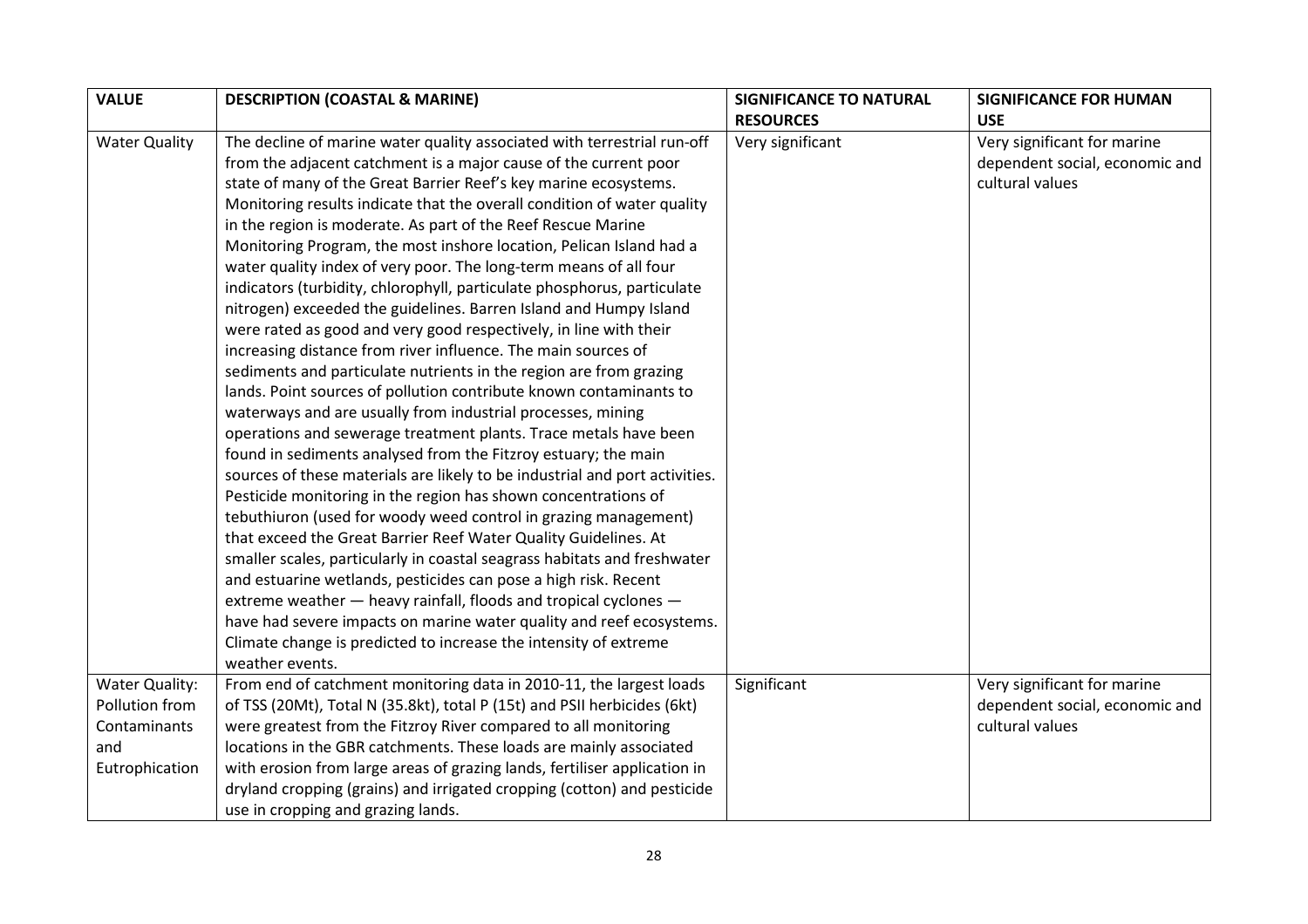| <b>VALUE</b>         | <b>DESCRIPTION (COASTAL &amp; MARINE)</b>                                   | <b>SIGNIFICANCE TO NATURAL</b> | <b>SIGNIFICANCE FOR HUMAN</b>  |
|----------------------|-----------------------------------------------------------------------------|--------------------------------|--------------------------------|
|                      |                                                                             | <b>RESOURCES</b>               | <b>USE</b>                     |
| <b>Water Quality</b> | The decline of marine water quality associated with terrestrial run-off     | Very significant               | Very significant for marine    |
|                      | from the adjacent catchment is a major cause of the current poor            |                                | dependent social, economic and |
|                      | state of many of the Great Barrier Reef's key marine ecosystems.            |                                | cultural values                |
|                      | Monitoring results indicate that the overall condition of water quality     |                                |                                |
|                      | in the region is moderate. As part of the Reef Rescue Marine                |                                |                                |
|                      | Monitoring Program, the most inshore location, Pelican Island had a         |                                |                                |
|                      | water quality index of very poor. The long-term means of all four           |                                |                                |
|                      | indicators (turbidity, chlorophyll, particulate phosphorus, particulate     |                                |                                |
|                      | nitrogen) exceeded the guidelines. Barren Island and Humpy Island           |                                |                                |
|                      | were rated as good and very good respectively, in line with their           |                                |                                |
|                      | increasing distance from river influence. The main sources of               |                                |                                |
|                      | sediments and particulate nutrients in the region are from grazing          |                                |                                |
|                      | lands. Point sources of pollution contribute known contaminants to          |                                |                                |
|                      | waterways and are usually from industrial processes, mining                 |                                |                                |
|                      | operations and sewerage treatment plants. Trace metals have been            |                                |                                |
|                      | found in sediments analysed from the Fitzroy estuary; the main              |                                |                                |
|                      | sources of these materials are likely to be industrial and port activities. |                                |                                |
|                      | Pesticide monitoring in the region has shown concentrations of              |                                |                                |
|                      | tebuthiuron (used for woody weed control in grazing management)             |                                |                                |
|                      | that exceed the Great Barrier Reef Water Quality Guidelines. At             |                                |                                |
|                      | smaller scales, particularly in coastal seagrass habitats and freshwater    |                                |                                |
|                      | and estuarine wetlands, pesticides can pose a high risk. Recent             |                                |                                |
|                      | extreme weather - heavy rainfall, floods and tropical cyclones -            |                                |                                |
|                      | have had severe impacts on marine water quality and reef ecosystems.        |                                |                                |
|                      | Climate change is predicted to increase the intensity of extreme            |                                |                                |
|                      | weather events.                                                             |                                |                                |
| Water Quality:       | From end of catchment monitoring data in 2010-11, the largest loads         | Significant                    | Very significant for marine    |
| Pollution from       | of TSS (20Mt), Total N (35.8kt), total P (15t) and PSII herbicides (6kt)    |                                | dependent social, economic and |
| Contaminants         | were greatest from the Fitzroy River compared to all monitoring             |                                | cultural values                |
| and                  | locations in the GBR catchments. These loads are mainly associated          |                                |                                |
| Eutrophication       | with erosion from large areas of grazing lands, fertiliser application in   |                                |                                |
|                      | dryland cropping (grains) and irrigated cropping (cotton) and pesticide     |                                |                                |
|                      | use in cropping and grazing lands.                                          |                                |                                |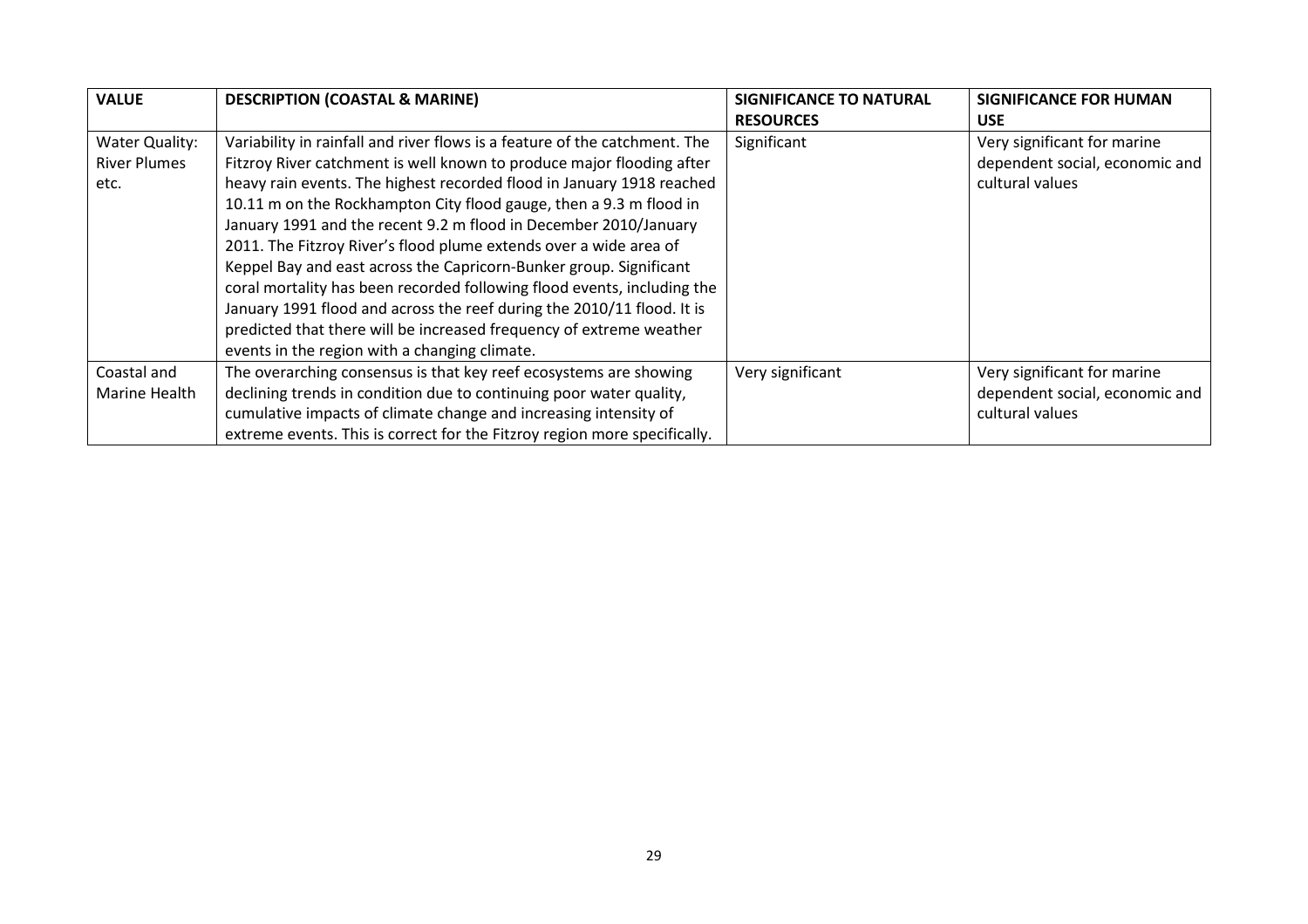| <b>VALUE</b>        | <b>DESCRIPTION (COASTAL &amp; MARINE)</b>                                  | SIGNIFICANCE TO NATURAL | <b>SIGNIFICANCE FOR HUMAN</b>  |
|---------------------|----------------------------------------------------------------------------|-------------------------|--------------------------------|
|                     |                                                                            | <b>RESOURCES</b>        | <b>USE</b>                     |
| Water Quality:      | Variability in rainfall and river flows is a feature of the catchment. The | Significant             | Very significant for marine    |
| <b>River Plumes</b> | Fitzroy River catchment is well known to produce major flooding after      |                         | dependent social, economic and |
| etc.                | heavy rain events. The highest recorded flood in January 1918 reached      |                         | cultural values                |
|                     | 10.11 m on the Rockhampton City flood gauge, then a 9.3 m flood in         |                         |                                |
|                     | January 1991 and the recent 9.2 m flood in December 2010/January           |                         |                                |
|                     | 2011. The Fitzroy River's flood plume extends over a wide area of          |                         |                                |
|                     | Keppel Bay and east across the Capricorn-Bunker group. Significant         |                         |                                |
|                     | coral mortality has been recorded following flood events, including the    |                         |                                |
|                     | January 1991 flood and across the reef during the 2010/11 flood. It is     |                         |                                |
|                     | predicted that there will be increased frequency of extreme weather        |                         |                                |
|                     | events in the region with a changing climate.                              |                         |                                |
| Coastal and         | The overarching consensus is that key reef ecosystems are showing          | Very significant        | Very significant for marine    |
| Marine Health       | declining trends in condition due to continuing poor water quality,        |                         | dependent social, economic and |
|                     | cumulative impacts of climate change and increasing intensity of           |                         | cultural values                |
|                     | extreme events. This is correct for the Fitzroy region more specifically.  |                         |                                |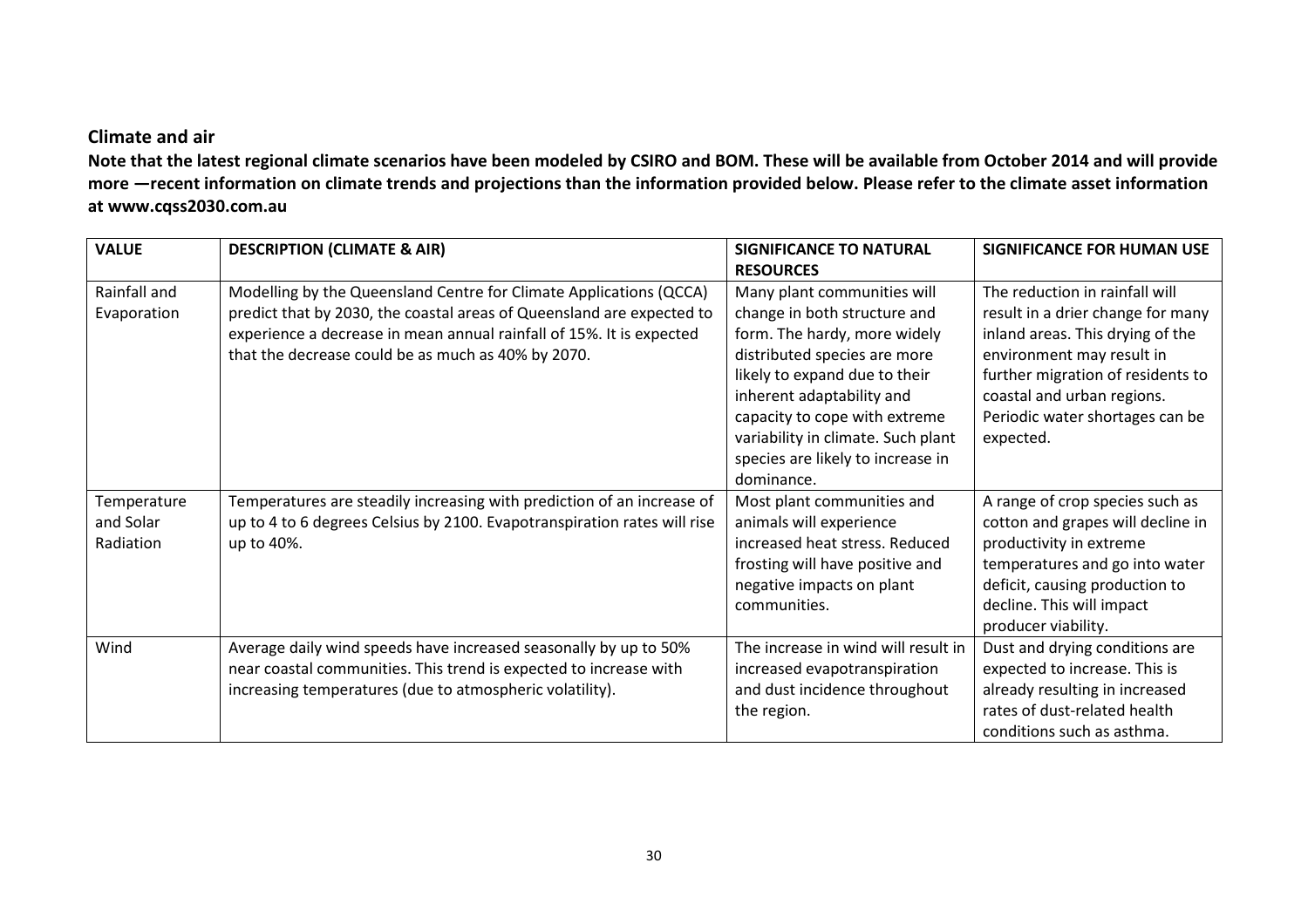#### Climate and air

 Note that the latest regional climate scenarios have been modeled by CSIRO and BOM. These will be available from October 2014 and will provide more —recent information on climate trends and projections than the information provided below. Please refer to the climate asset information at www.cqss2030.com.au

| <b>VALUE</b> | <b>DESCRIPTION (CLIMATE &amp; AIR)</b>                                   | <b>SIGNIFICANCE TO NATURAL</b>      | <b>SIGNIFICANCE FOR HUMAN USE</b> |
|--------------|--------------------------------------------------------------------------|-------------------------------------|-----------------------------------|
|              |                                                                          | <b>RESOURCES</b>                    |                                   |
| Rainfall and | Modelling by the Queensland Centre for Climate Applications (QCCA)       | Many plant communities will         | The reduction in rainfall will    |
| Evaporation  | predict that by 2030, the coastal areas of Queensland are expected to    | change in both structure and        | result in a drier change for many |
|              | experience a decrease in mean annual rainfall of 15%. It is expected     | form. The hardy, more widely        | inland areas. This drying of the  |
|              | that the decrease could be as much as 40% by 2070.                       | distributed species are more        | environment may result in         |
|              |                                                                          | likely to expand due to their       | further migration of residents to |
|              |                                                                          | inherent adaptability and           | coastal and urban regions.        |
|              |                                                                          | capacity to cope with extreme       | Periodic water shortages can be   |
|              |                                                                          | variability in climate. Such plant  | expected.                         |
|              |                                                                          | species are likely to increase in   |                                   |
|              |                                                                          | dominance.                          |                                   |
| Temperature  | Temperatures are steadily increasing with prediction of an increase of   | Most plant communities and          | A range of crop species such as   |
| and Solar    | up to 4 to 6 degrees Celsius by 2100. Evapotranspiration rates will rise | animals will experience             | cotton and grapes will decline in |
| Radiation    | up to 40%.                                                               | increased heat stress. Reduced      | productivity in extreme           |
|              |                                                                          | frosting will have positive and     | temperatures and go into water    |
|              |                                                                          | negative impacts on plant           | deficit, causing production to    |
|              |                                                                          | communities.                        | decline. This will impact         |
|              |                                                                          |                                     | producer viability.               |
| Wind         | Average daily wind speeds have increased seasonally by up to 50%         | The increase in wind will result in | Dust and drying conditions are    |
|              | near coastal communities. This trend is expected to increase with        | increased evapotranspiration        | expected to increase. This is     |
|              | increasing temperatures (due to atmospheric volatility).                 | and dust incidence throughout       | already resulting in increased    |
|              |                                                                          | the region.                         | rates of dust-related health      |
|              |                                                                          |                                     | conditions such as asthma.        |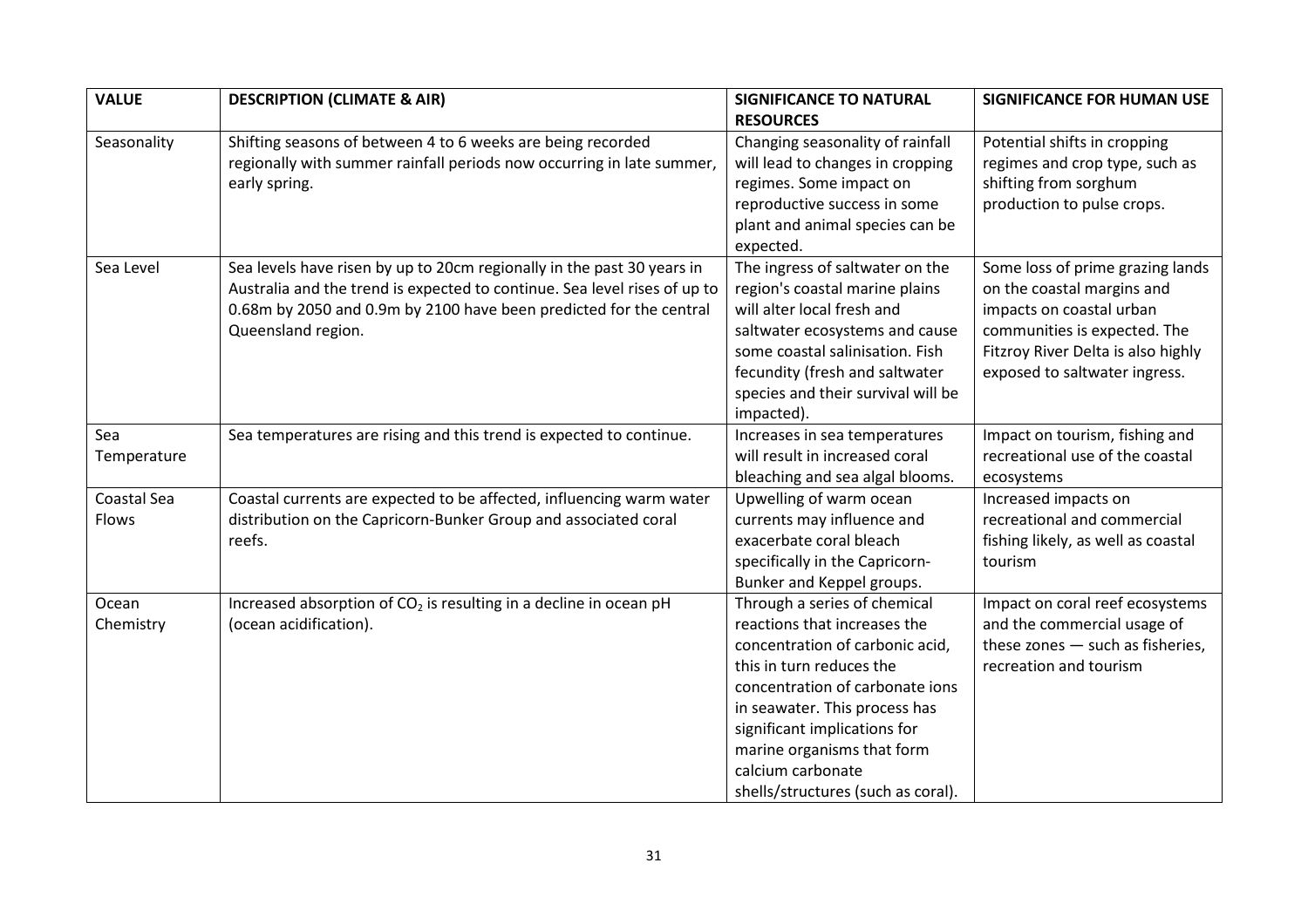| <b>VALUE</b>         | <b>DESCRIPTION (CLIMATE &amp; AIR)</b>                                                                                                                                                                                                          | <b>SIGNIFICANCE TO NATURAL</b>                                                                                                                                                                                                                                                                                           | <b>SIGNIFICANCE FOR HUMAN USE</b>                                                                                                                                                                 |
|----------------------|-------------------------------------------------------------------------------------------------------------------------------------------------------------------------------------------------------------------------------------------------|--------------------------------------------------------------------------------------------------------------------------------------------------------------------------------------------------------------------------------------------------------------------------------------------------------------------------|---------------------------------------------------------------------------------------------------------------------------------------------------------------------------------------------------|
|                      |                                                                                                                                                                                                                                                 | <b>RESOURCES</b>                                                                                                                                                                                                                                                                                                         |                                                                                                                                                                                                   |
| Seasonality          | Shifting seasons of between 4 to 6 weeks are being recorded<br>regionally with summer rainfall periods now occurring in late summer,<br>early spring.                                                                                           | Changing seasonality of rainfall<br>will lead to changes in cropping<br>regimes. Some impact on<br>reproductive success in some<br>plant and animal species can be<br>expected.                                                                                                                                          | Potential shifts in cropping<br>regimes and crop type, such as<br>shifting from sorghum<br>production to pulse crops.                                                                             |
| Sea Level            | Sea levels have risen by up to 20cm regionally in the past 30 years in<br>Australia and the trend is expected to continue. Sea level rises of up to<br>0.68m by 2050 and 0.9m by 2100 have been predicted for the central<br>Queensland region. | The ingress of saltwater on the<br>region's coastal marine plains<br>will alter local fresh and<br>saltwater ecosystems and cause<br>some coastal salinisation. Fish<br>fecundity (fresh and saltwater<br>species and their survival will be<br>impacted).                                                               | Some loss of prime grazing lands<br>on the coastal margins and<br>impacts on coastal urban<br>communities is expected. The<br>Fitzroy River Delta is also highly<br>exposed to saltwater ingress. |
| Sea<br>Temperature   | Sea temperatures are rising and this trend is expected to continue.                                                                                                                                                                             | Increases in sea temperatures<br>will result in increased coral<br>bleaching and sea algal blooms.                                                                                                                                                                                                                       | Impact on tourism, fishing and<br>recreational use of the coastal<br>ecosystems                                                                                                                   |
| Coastal Sea<br>Flows | Coastal currents are expected to be affected, influencing warm water<br>distribution on the Capricorn-Bunker Group and associated coral<br>reefs.                                                                                               | Upwelling of warm ocean<br>currents may influence and<br>exacerbate coral bleach<br>specifically in the Capricorn-<br>Bunker and Keppel groups.                                                                                                                                                                          | Increased impacts on<br>recreational and commercial<br>fishing likely, as well as coastal<br>tourism                                                                                              |
| Ocean<br>Chemistry   | Increased absorption of $CO2$ is resulting in a decline in ocean pH<br>(ocean acidification).                                                                                                                                                   | Through a series of chemical<br>reactions that increases the<br>concentration of carbonic acid,<br>this in turn reduces the<br>concentration of carbonate ions<br>in seawater. This process has<br>significant implications for<br>marine organisms that form<br>calcium carbonate<br>shells/structures (such as coral). | Impact on coral reef ecosystems<br>and the commercial usage of<br>these zones $-$ such as fisheries,<br>recreation and tourism                                                                    |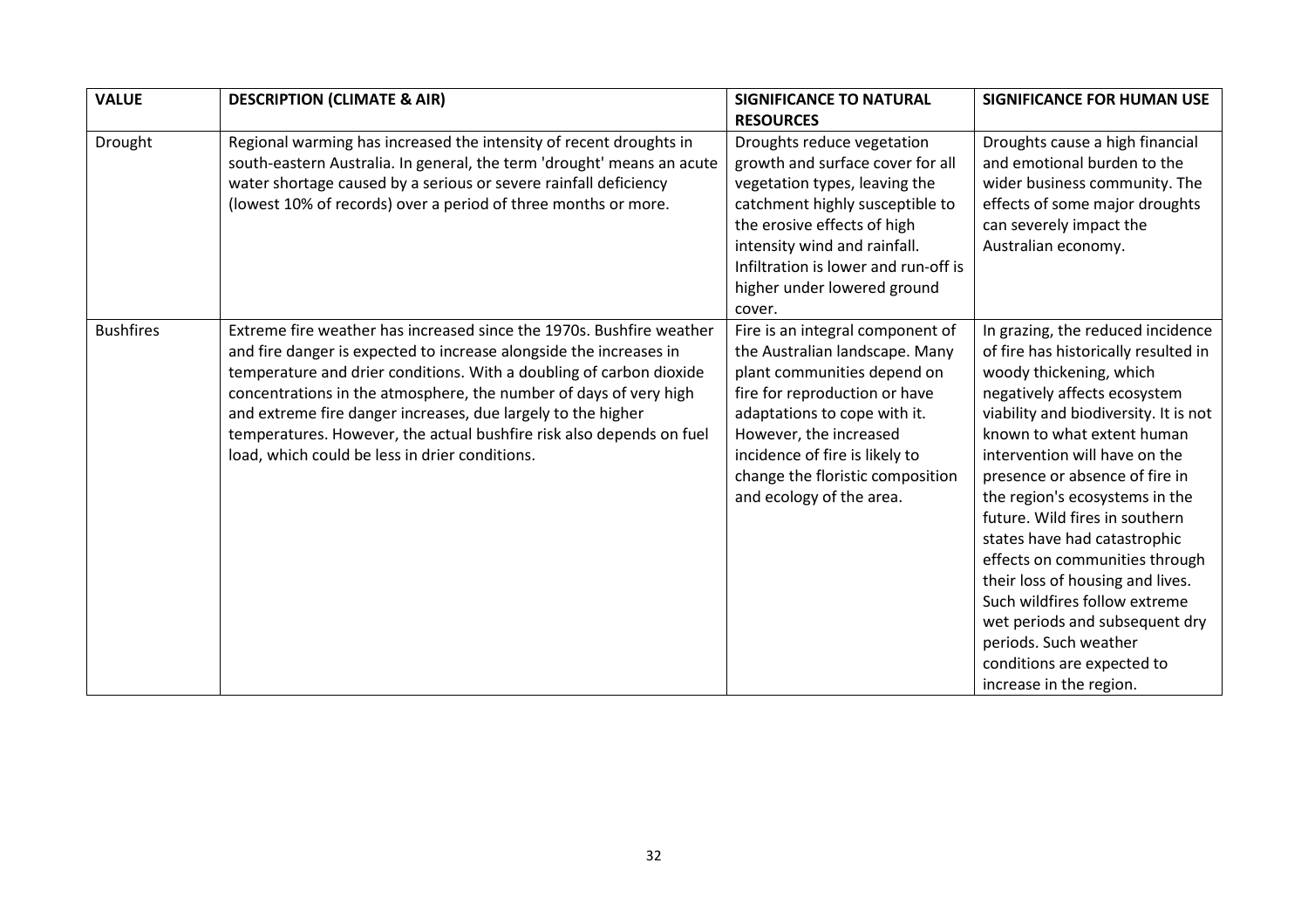| <b>VALUE</b>     | <b>DESCRIPTION (CLIMATE &amp; AIR)</b>                                                                                                                                                                                                                                                                                                                                                                                                                                           | <b>SIGNIFICANCE TO NATURAL</b>                                                                                                                                                                                                                                                                 | <b>SIGNIFICANCE FOR HUMAN USE</b>                                                                                                                                                                                                                                                                                                                                                                                                                                                                                                                                                                             |
|------------------|----------------------------------------------------------------------------------------------------------------------------------------------------------------------------------------------------------------------------------------------------------------------------------------------------------------------------------------------------------------------------------------------------------------------------------------------------------------------------------|------------------------------------------------------------------------------------------------------------------------------------------------------------------------------------------------------------------------------------------------------------------------------------------------|---------------------------------------------------------------------------------------------------------------------------------------------------------------------------------------------------------------------------------------------------------------------------------------------------------------------------------------------------------------------------------------------------------------------------------------------------------------------------------------------------------------------------------------------------------------------------------------------------------------|
|                  |                                                                                                                                                                                                                                                                                                                                                                                                                                                                                  | <b>RESOURCES</b>                                                                                                                                                                                                                                                                               |                                                                                                                                                                                                                                                                                                                                                                                                                                                                                                                                                                                                               |
| Drought          | Regional warming has increased the intensity of recent droughts in<br>south-eastern Australia. In general, the term 'drought' means an acute<br>water shortage caused by a serious or severe rainfall deficiency<br>(lowest 10% of records) over a period of three months or more.                                                                                                                                                                                               | Droughts reduce vegetation<br>growth and surface cover for all<br>vegetation types, leaving the<br>catchment highly susceptible to<br>the erosive effects of high<br>intensity wind and rainfall.<br>Infiltration is lower and run-off is<br>higher under lowered ground<br>cover.             | Droughts cause a high financial<br>and emotional burden to the<br>wider business community. The<br>effects of some major droughts<br>can severely impact the<br>Australian economy.                                                                                                                                                                                                                                                                                                                                                                                                                           |
| <b>Bushfires</b> | Extreme fire weather has increased since the 1970s. Bushfire weather<br>and fire danger is expected to increase alongside the increases in<br>temperature and drier conditions. With a doubling of carbon dioxide<br>concentrations in the atmosphere, the number of days of very high<br>and extreme fire danger increases, due largely to the higher<br>temperatures. However, the actual bushfire risk also depends on fuel<br>load, which could be less in drier conditions. | Fire is an integral component of<br>the Australian landscape. Many<br>plant communities depend on<br>fire for reproduction or have<br>adaptations to cope with it.<br>However, the increased<br>incidence of fire is likely to<br>change the floristic composition<br>and ecology of the area. | In grazing, the reduced incidence<br>of fire has historically resulted in<br>woody thickening, which<br>negatively affects ecosystem<br>viability and biodiversity. It is not<br>known to what extent human<br>intervention will have on the<br>presence or absence of fire in<br>the region's ecosystems in the<br>future. Wild fires in southern<br>states have had catastrophic<br>effects on communities through<br>their loss of housing and lives.<br>Such wildfires follow extreme<br>wet periods and subsequent dry<br>periods. Such weather<br>conditions are expected to<br>increase in the region. |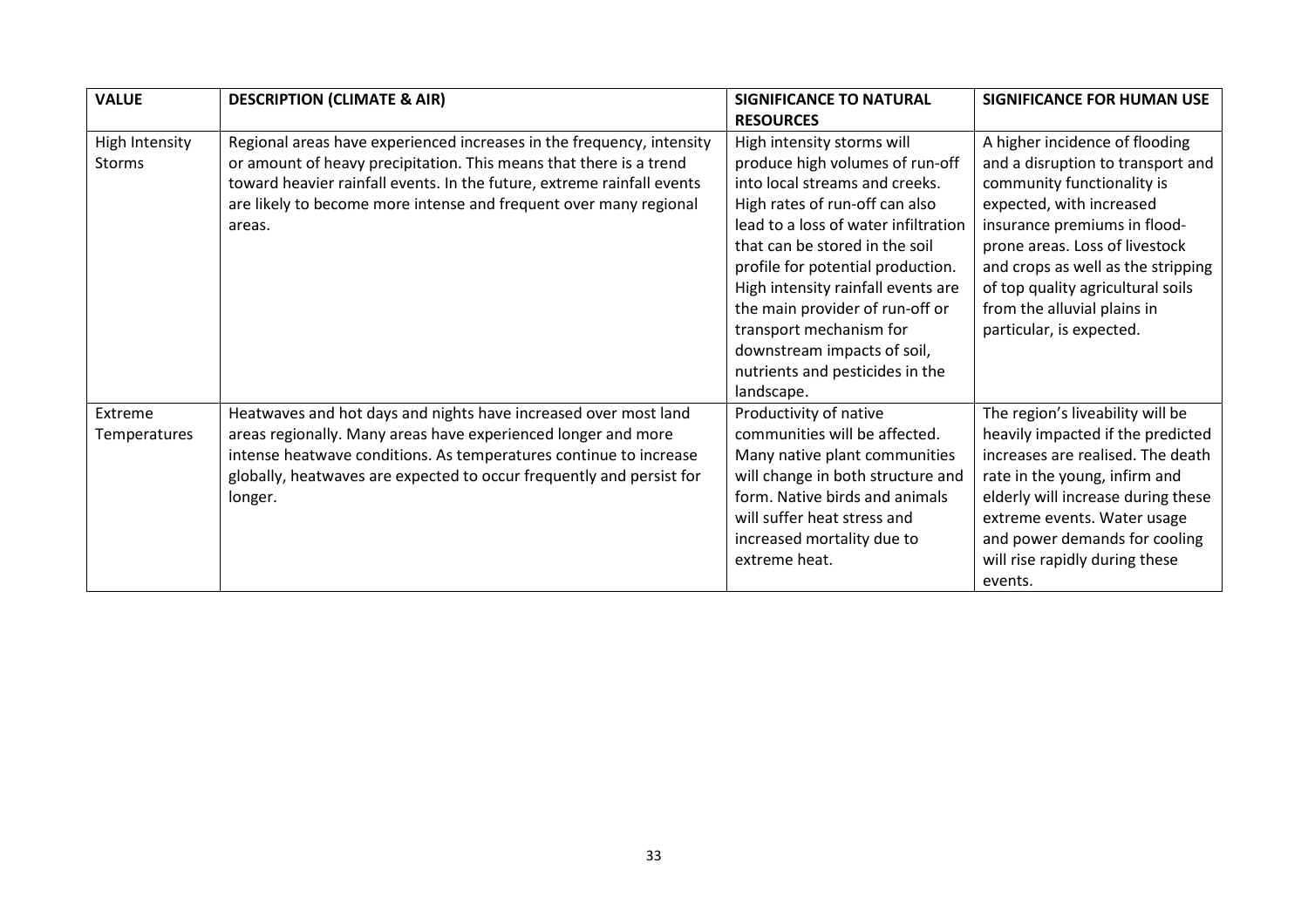| <b>VALUE</b>   | <b>DESCRIPTION (CLIMATE &amp; AIR)</b>                                 | <b>SIGNIFICANCE TO NATURAL</b>       | <b>SIGNIFICANCE FOR HUMAN USE</b>  |
|----------------|------------------------------------------------------------------------|--------------------------------------|------------------------------------|
|                |                                                                        | <b>RESOURCES</b>                     |                                    |
| High Intensity | Regional areas have experienced increases in the frequency, intensity  | High intensity storms will           | A higher incidence of flooding     |
| <b>Storms</b>  | or amount of heavy precipitation. This means that there is a trend     | produce high volumes of run-off      | and a disruption to transport and  |
|                | toward heavier rainfall events. In the future, extreme rainfall events | into local streams and creeks.       | community functionality is         |
|                | are likely to become more intense and frequent over many regional      | High rates of run-off can also       | expected, with increased           |
|                | areas.                                                                 | lead to a loss of water infiltration | insurance premiums in flood-       |
|                |                                                                        | that can be stored in the soil       | prone areas. Loss of livestock     |
|                |                                                                        | profile for potential production.    | and crops as well as the stripping |
|                |                                                                        | High intensity rainfall events are   | of top quality agricultural soils  |
|                |                                                                        | the main provider of run-off or      | from the alluvial plains in        |
|                |                                                                        | transport mechanism for              | particular, is expected.           |
|                |                                                                        | downstream impacts of soil,          |                                    |
|                |                                                                        | nutrients and pesticides in the      |                                    |
|                |                                                                        | landscape.                           |                                    |
| Extreme        | Heatwaves and hot days and nights have increased over most land        | Productivity of native               | The region's liveability will be   |
| Temperatures   | areas regionally. Many areas have experienced longer and more          | communities will be affected.        | heavily impacted if the predicted  |
|                | intense heatwave conditions. As temperatures continue to increase      | Many native plant communities        | increases are realised. The death  |
|                | globally, heatwaves are expected to occur frequently and persist for   | will change in both structure and    | rate in the young, infirm and      |
|                | longer.                                                                | form. Native birds and animals       | elderly will increase during these |
|                |                                                                        | will suffer heat stress and          | extreme events. Water usage        |
|                |                                                                        | increased mortality due to           | and power demands for cooling      |
|                |                                                                        | extreme heat.                        | will rise rapidly during these     |
|                |                                                                        |                                      | events.                            |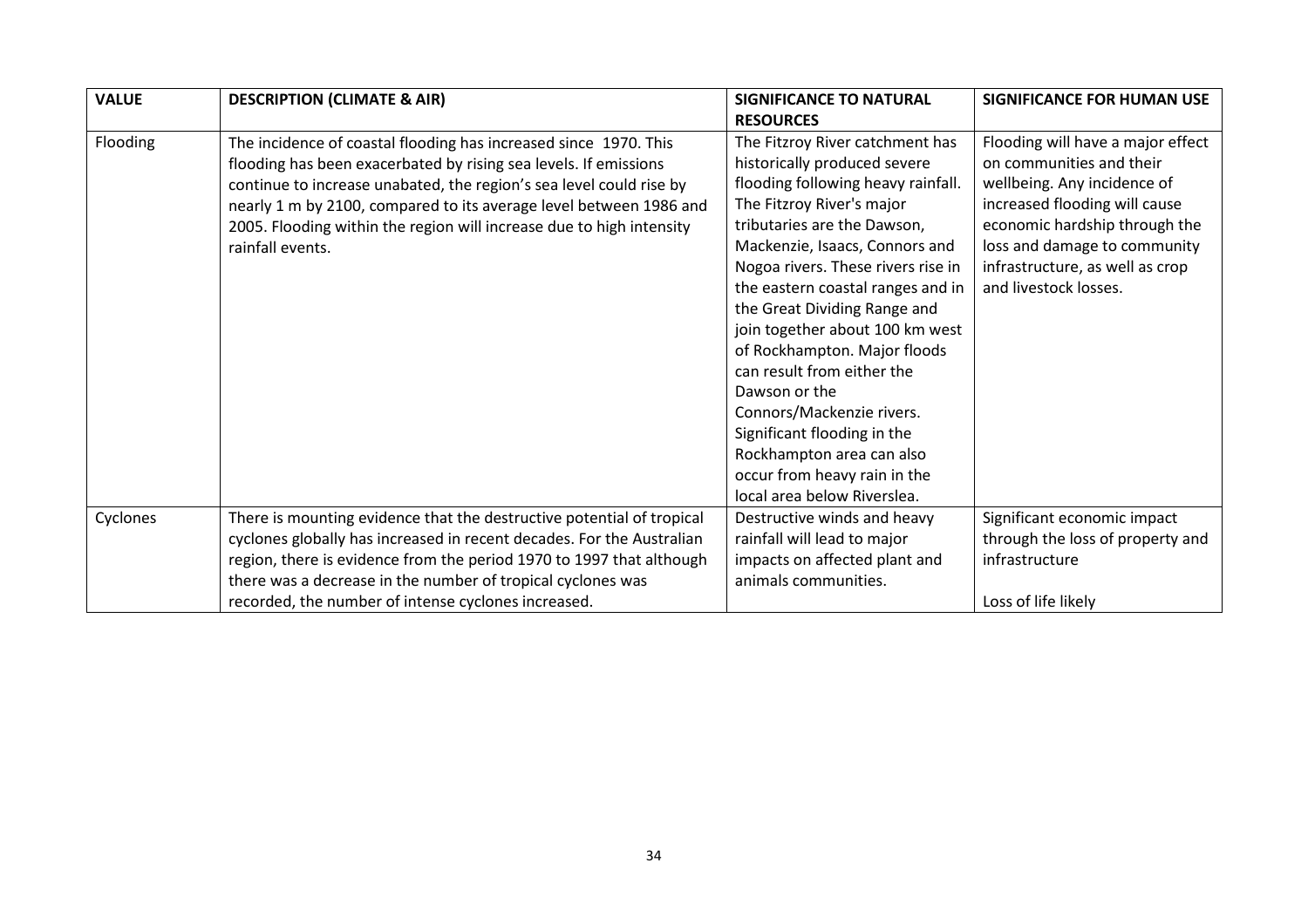| <b>VALUE</b> | <b>DESCRIPTION (CLIMATE &amp; AIR)</b>                                | <b>SIGNIFICANCE TO NATURAL</b>     | <b>SIGNIFICANCE FOR HUMAN USE</b> |
|--------------|-----------------------------------------------------------------------|------------------------------------|-----------------------------------|
|              |                                                                       | <b>RESOURCES</b>                   |                                   |
| Flooding     | The incidence of coastal flooding has increased since 1970. This      | The Fitzroy River catchment has    | Flooding will have a major effect |
|              | flooding has been exacerbated by rising sea levels. If emissions      | historically produced severe       | on communities and their          |
|              | continue to increase unabated, the region's sea level could rise by   | flooding following heavy rainfall. | wellbeing. Any incidence of       |
|              | nearly 1 m by 2100, compared to its average level between 1986 and    | The Fitzroy River's major          | increased flooding will cause     |
|              | 2005. Flooding within the region will increase due to high intensity  | tributaries are the Dawson,        | economic hardship through the     |
|              | rainfall events.                                                      | Mackenzie, Isaacs, Connors and     | loss and damage to community      |
|              |                                                                       | Nogoa rivers. These rivers rise in | infrastructure, as well as crop   |
|              |                                                                       | the eastern coastal ranges and in  | and livestock losses.             |
|              |                                                                       | the Great Dividing Range and       |                                   |
|              |                                                                       | join together about 100 km west    |                                   |
|              |                                                                       | of Rockhampton. Major floods       |                                   |
|              |                                                                       | can result from either the         |                                   |
|              |                                                                       | Dawson or the                      |                                   |
|              |                                                                       | Connors/Mackenzie rivers.          |                                   |
|              |                                                                       | Significant flooding in the        |                                   |
|              |                                                                       | Rockhampton area can also          |                                   |
|              |                                                                       | occur from heavy rain in the       |                                   |
|              |                                                                       | local area below Riverslea.        |                                   |
| Cyclones     | There is mounting evidence that the destructive potential of tropical | Destructive winds and heavy        | Significant economic impact       |
|              | cyclones globally has increased in recent decades. For the Australian | rainfall will lead to major        | through the loss of property and  |
|              | region, there is evidence from the period 1970 to 1997 that although  | impacts on affected plant and      | infrastructure                    |
|              | there was a decrease in the number of tropical cyclones was           | animals communities.               |                                   |
|              | recorded, the number of intense cyclones increased.                   |                                    | Loss of life likely               |